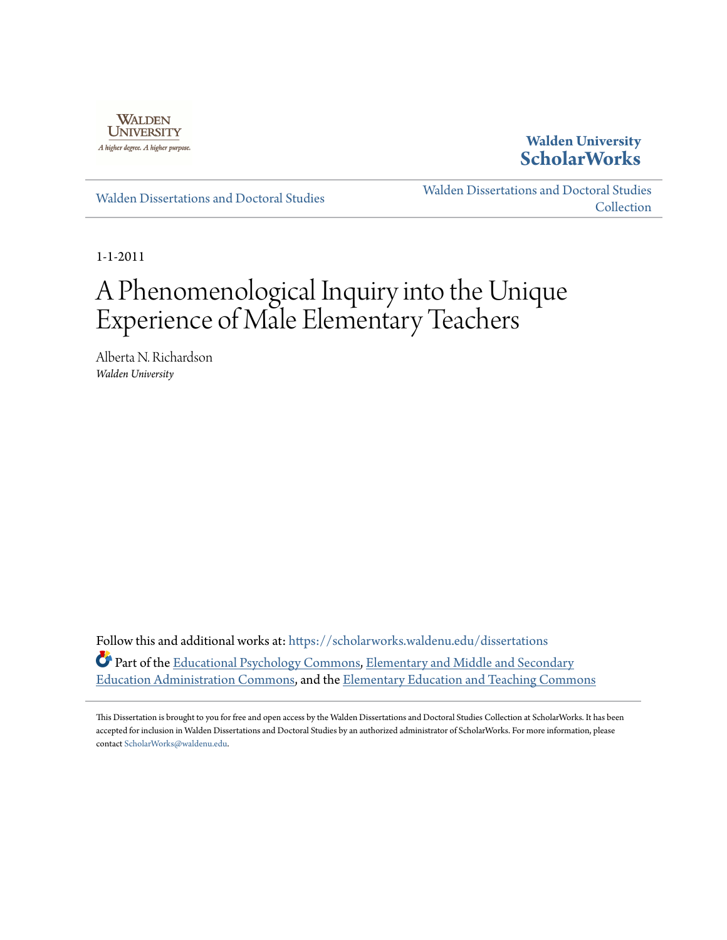

**Walden University [ScholarWorks](https://scholarworks.waldenu.edu?utm_source=scholarworks.waldenu.edu%2Fdissertations%2F1134&utm_medium=PDF&utm_campaign=PDFCoverPages)**

[Walden Dissertations and Doctoral Studies](https://scholarworks.waldenu.edu/dissertations?utm_source=scholarworks.waldenu.edu%2Fdissertations%2F1134&utm_medium=PDF&utm_campaign=PDFCoverPages)

[Walden Dissertations and Doctoral Studies](https://scholarworks.waldenu.edu/dissanddoc?utm_source=scholarworks.waldenu.edu%2Fdissertations%2F1134&utm_medium=PDF&utm_campaign=PDFCoverPages) **[Collection](https://scholarworks.waldenu.edu/dissanddoc?utm_source=scholarworks.waldenu.edu%2Fdissertations%2F1134&utm_medium=PDF&utm_campaign=PDFCoverPages)** 

1-1-2011

# A Phenomenological Inquiry into the Unique Experience of Male Elementary Teachers

Alberta N. Richardson *Walden University*

Follow this and additional works at: [https://scholarworks.waldenu.edu/dissertations](https://scholarworks.waldenu.edu/dissertations?utm_source=scholarworks.waldenu.edu%2Fdissertations%2F1134&utm_medium=PDF&utm_campaign=PDFCoverPages) Part of the [Educational Psychology Commons,](http://network.bepress.com/hgg/discipline/798?utm_source=scholarworks.waldenu.edu%2Fdissertations%2F1134&utm_medium=PDF&utm_campaign=PDFCoverPages) [Elementary and Middle and Secondary](http://network.bepress.com/hgg/discipline/790?utm_source=scholarworks.waldenu.edu%2Fdissertations%2F1134&utm_medium=PDF&utm_campaign=PDFCoverPages) [Education Administration Commons](http://network.bepress.com/hgg/discipline/790?utm_source=scholarworks.waldenu.edu%2Fdissertations%2F1134&utm_medium=PDF&utm_campaign=PDFCoverPages), and the [Elementary Education and Teaching Commons](http://network.bepress.com/hgg/discipline/805?utm_source=scholarworks.waldenu.edu%2Fdissertations%2F1134&utm_medium=PDF&utm_campaign=PDFCoverPages)

This Dissertation is brought to you for free and open access by the Walden Dissertations and Doctoral Studies Collection at ScholarWorks. It has been accepted for inclusion in Walden Dissertations and Doctoral Studies by an authorized administrator of ScholarWorks. For more information, please contact [ScholarWorks@waldenu.edu](mailto:ScholarWorks@waldenu.edu).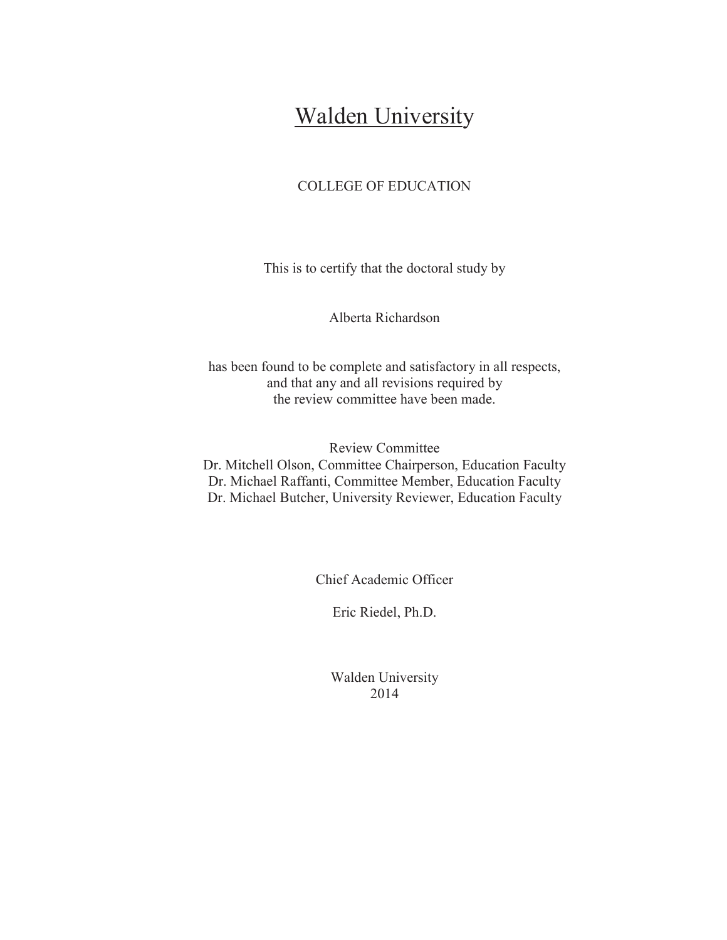# **Walden University**

# COLLEGE OF EDUCATION

This is to certify that the doctoral study by

Alberta Richardson

has been found to be complete and satisfactory in all respects, and that any and all revisions required by the review committee have been made.

Review Committee Dr. Mitchell Olson, Committee Chairperson, Education Faculty Dr. Michael Raffanti, Committee Member, Education Faculty Dr. Michael Butcher, University Reviewer, Education Faculty

Chief Academic Officer

Eric Riedel, Ph.D.

Walden University 2014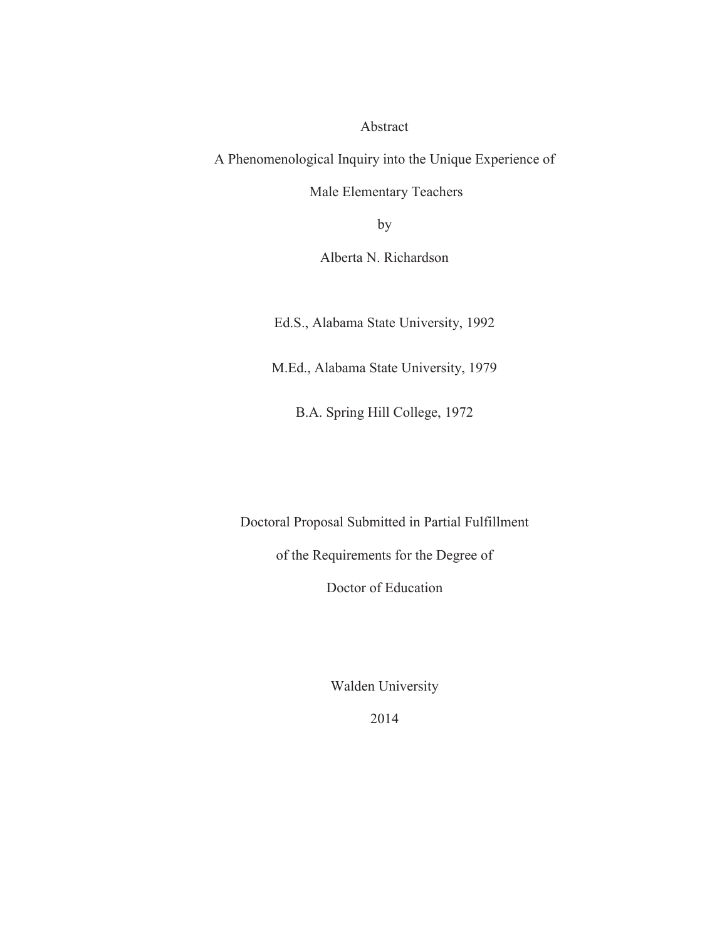Abstract

A Phenomenological Inquiry into the Unique Experience of

Male Elementary Teachers

by

Alberta N. Richardson

Ed.S., Alabama State University, 1992

M.Ed., Alabama State University, 1979

B.A. Spring Hill College, 1972

Doctoral Proposal Submitted in Partial Fulfillment

of the Requirements for the Degree of

Doctor of Education

Walden University

2014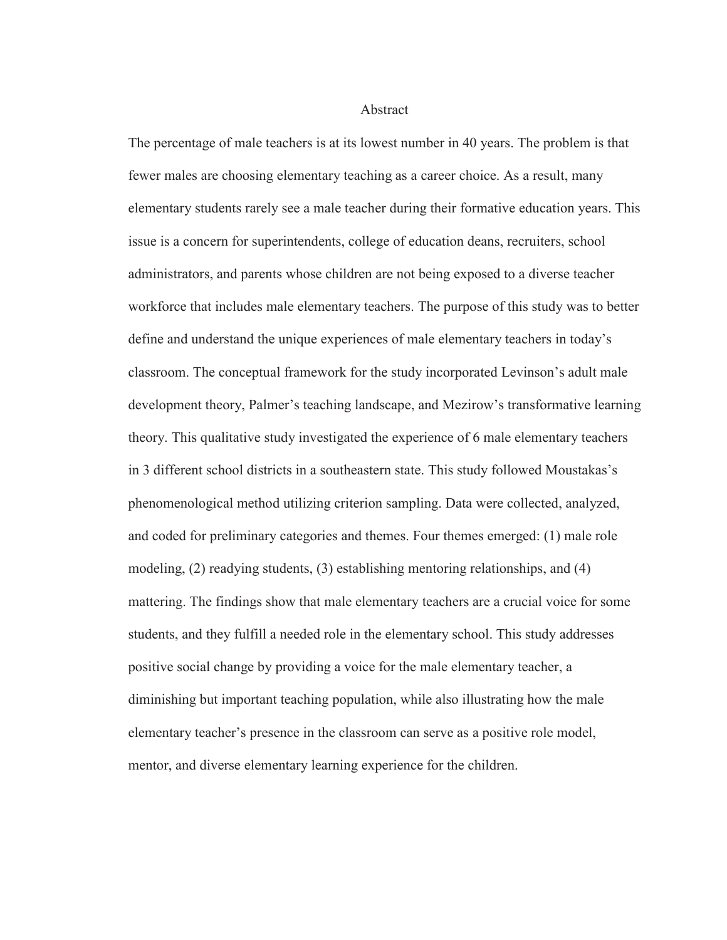**Abstract** 

The percentage of male teachers is at its lowest number in 40 years. The problem is that fewer males are choosing elementary teaching as a career choice. As a result, many elementary students rarely see a male teacher during their formative education years. This issue is a concern for superintendents, college of education deans, recruiters, school administrators, and parents whose children are not being exposed to a diverse teacher workforce that includes male elementary teachers. The purpose of this study was to better define and understand the unique experiences of male elementary teachers in today's classroom. The conceptual framework for the study incorporated Levinson's adult male development theory, Palmer's teaching landscape, and Mezirow's transformative learning theory. This qualitative study investigated the experience of 6 male elementary teachers in 3 different school districts in a southeastern state. This study followed Moustakas's phenomenological method utilizing criterion sampling. Data were collected, analyzed, and coded for preliminary categories and themes. Four themes emerged: (1) male role modeling, (2) readying students, (3) establishing mentoring relationships, and (4) mattering. The findings show that male elementary teachers are a crucial voice for some students, and they fulfill a needed role in the elementary school. This study addresses positive social change by providing a voice for the male elementary teacher, a diminishing but important teaching population, while also illustrating how the male elementary teacher's presence in the classroom can serve as a positive role model, mentor, and diverse elementary learning experience for the children.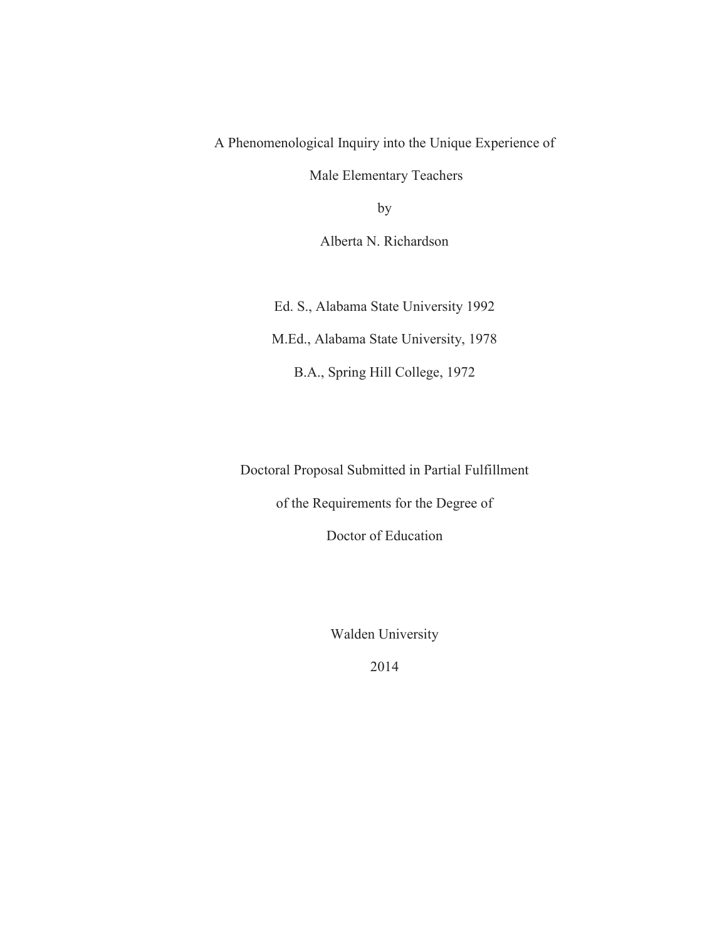A Phenomenological Inquiry into the Unique Experience of

Male Elementary Teachers

by

Alberta N. Richardson

Ed. S., Alabama State University 1992 M.Ed., Alabama State University, 1978 B.A., Spring Hill College, 1972

Doctoral Proposal Submitted in Partial Fulfillment

of the Requirements for the Degree of

Doctor of Education

Walden University

2014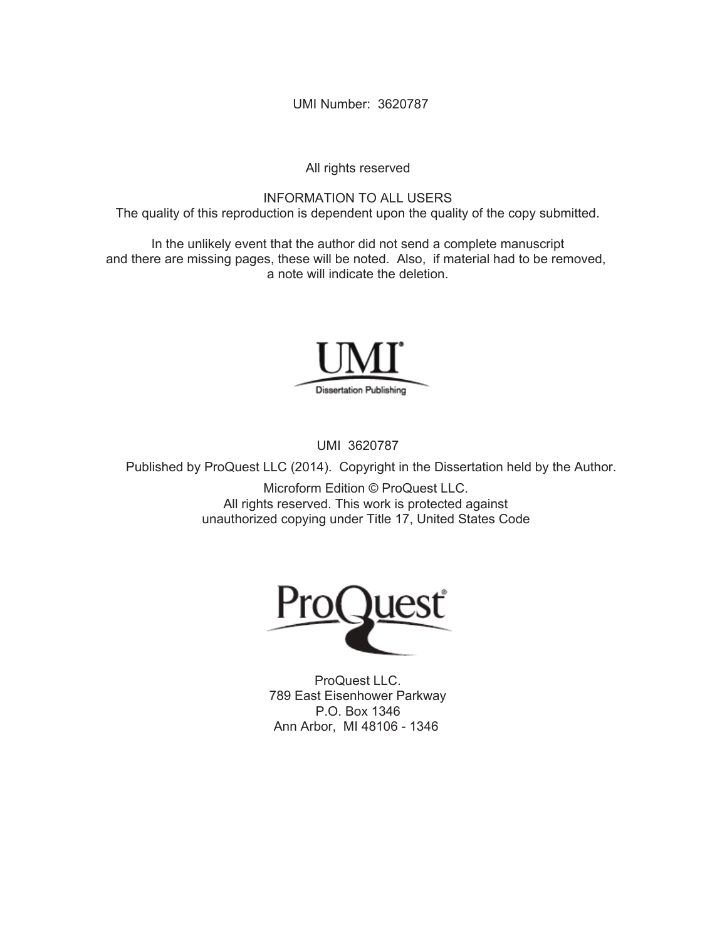UMI Number: 3620787

All rights reserved

INFORMATION TO ALL USERS The quality of this reproduction is dependent upon the quality of the copy submitted.

In the unlikely event that the author did not send a complete manuscript and there are missing pages, these will be noted. Also, if material had to be removed, a note will indicate the deletion.



UMI 3620787

Published by ProQuest LLC (2014). Copyright in the Dissertation held by the Author.

Microform Edition © ProQuest LLC. All rights reserved. This work is protected against unauthorized copying under Title 17, United States Code



ProQuest LLC. 789 East Eisenhower Parkway P.O. Box 1346 Ann Arbor, MI 48106 - 1346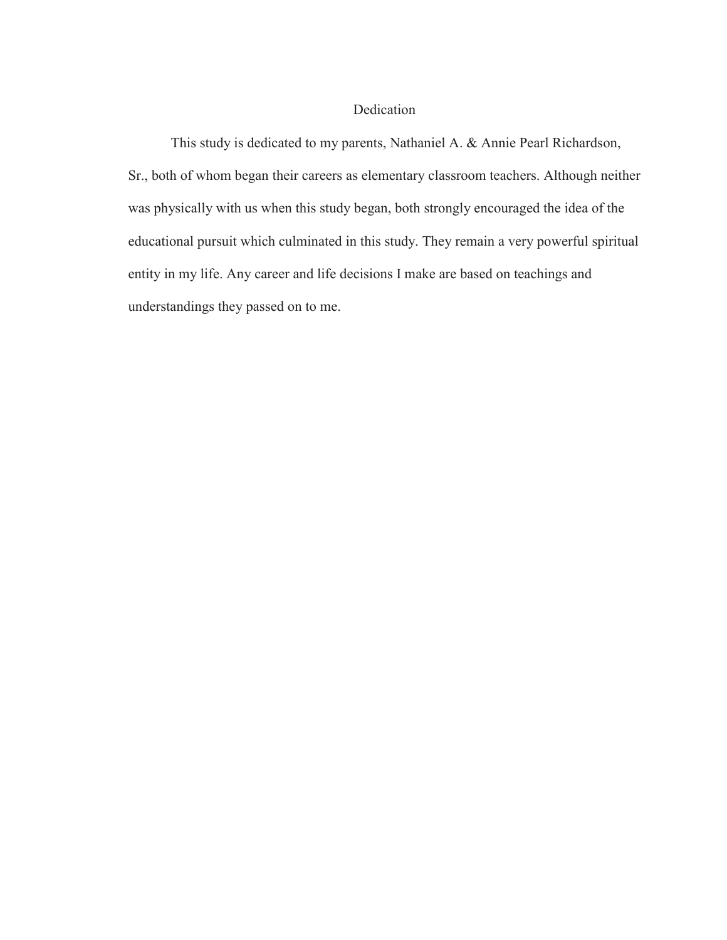# Dedication

This study is dedicated to my parents, Nathaniel A. & Annie Pearl Richardson, Sr., both of whom began their careers as elementary classroom teachers. Although neither was physically with us when this study began, both strongly encouraged the idea of the educational pursuit which culminated in this study. They remain a very powerful spiritual entity in my life. Any career and life decisions I make are based on teachings and understandings they passed on to me.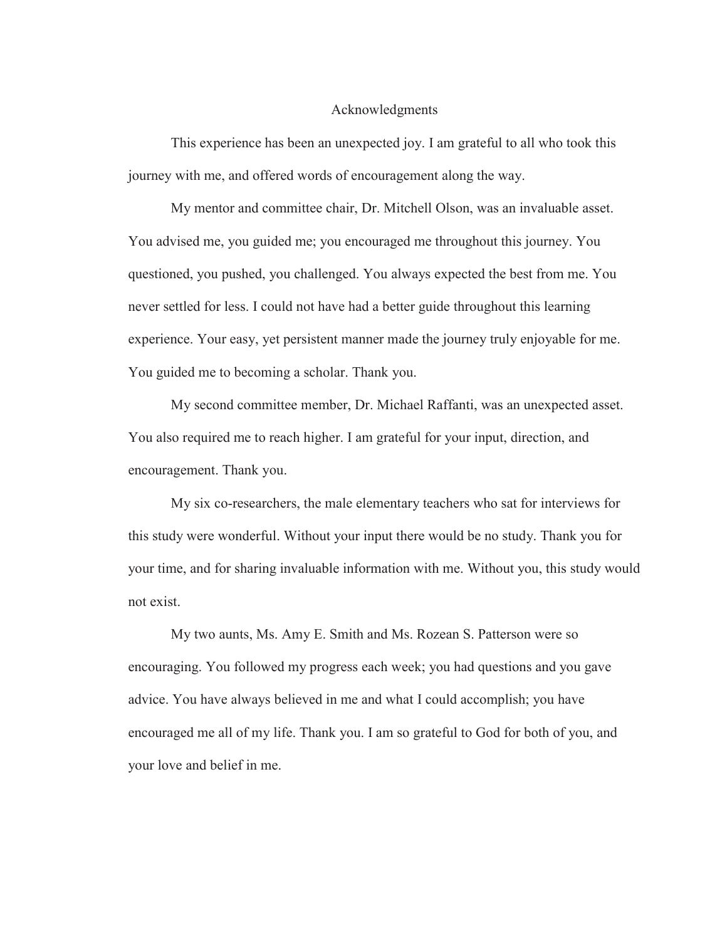# Acknowledgments

This experience has been an unexpected joy. I am grateful to all who took this journey with me, and offered words of encouragement along the way.

My mentor and committee chair, Dr. Mitchell Olson, was an invaluable asset. You advised me, you guided me; you encouraged me throughout this journey. You questioned, you pushed, you challenged. You always expected the best from me. You never settled for less. I could not have had a better guide throughout this learning experience. Your easy, yet persistent manner made the journey truly enjoyable for me. You guided me to becoming a scholar. Thank you.

My second committee member, Dr. Michael Raffanti, was an unexpected asset. You also required me to reach higher. I am grateful for your input, direction, and encouragement. Thank you.

My six co-researchers, the male elementary teachers who sat for interviews for this study were wonderful. Without your input there would be no study. Thank you for your time, and for sharing invaluable information with me. Without you, this study would not exist.

My two aunts, Ms. Amy E. Smith and Ms. Rozean S. Patterson were so encouraging. You followed my progress each week; you had questions and you gave advice. You have always believed in me and what I could accomplish; you have encouraged me all of my life. Thank you. I am so grateful to God for both of you, and your love and belief in me.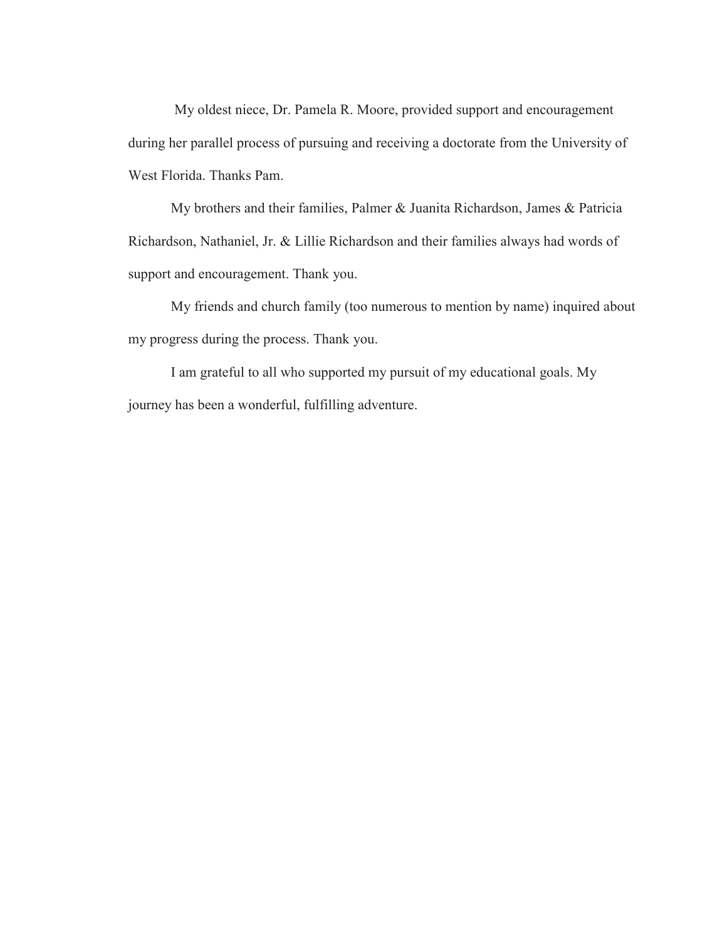My oldest niece, Dr. Pamela R. Moore, provided support and encouragement during her parallel process of pursuing and receiving a doctorate from the University of West Florida. Thanks Pam.

My brothers and their families, Palmer & Juanita Richardson, James & Patricia Richardson, Nathaniel, Jr. & Lillie Richardson and their families always had words of support and encouragement. Thank you.

My friends and church family (too numerous to mention by name) inquired about my progress during the process. Thank you.

I am grateful to all who supported my pursuit of my educational goals. My journey has been a wonderful, fulfilling adventure.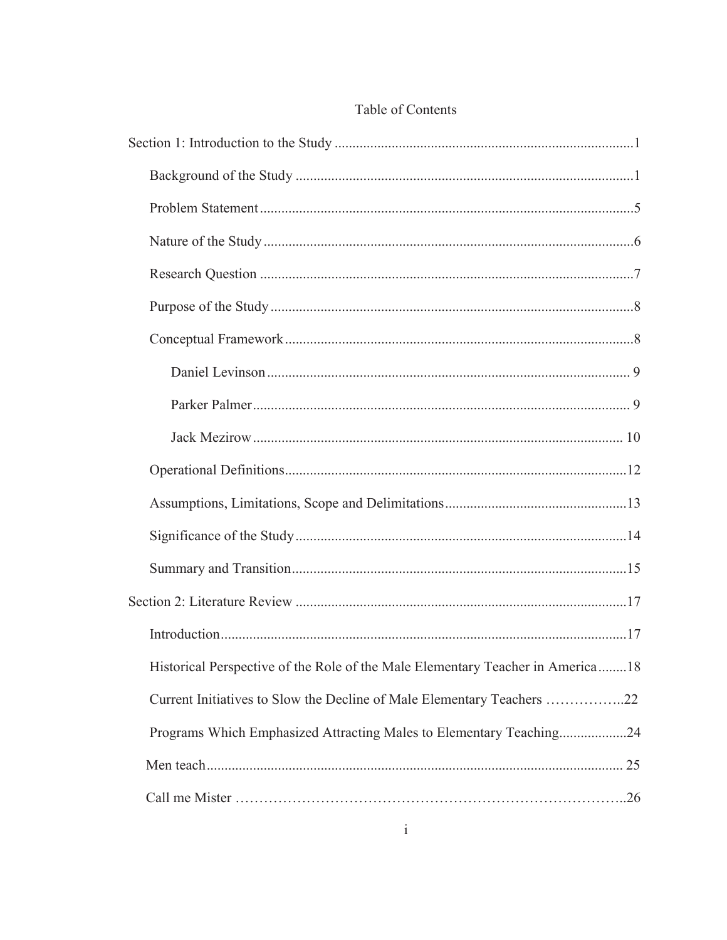| Historical Perspective of the Role of the Male Elementary Teacher in America18 |  |
|--------------------------------------------------------------------------------|--|
| Current Initiatives to Slow the Decline of Male Elementary Teachers 22         |  |
| Programs Which Emphasized Attracting Males to Elementary Teaching24            |  |
|                                                                                |  |
|                                                                                |  |

# Table of Contents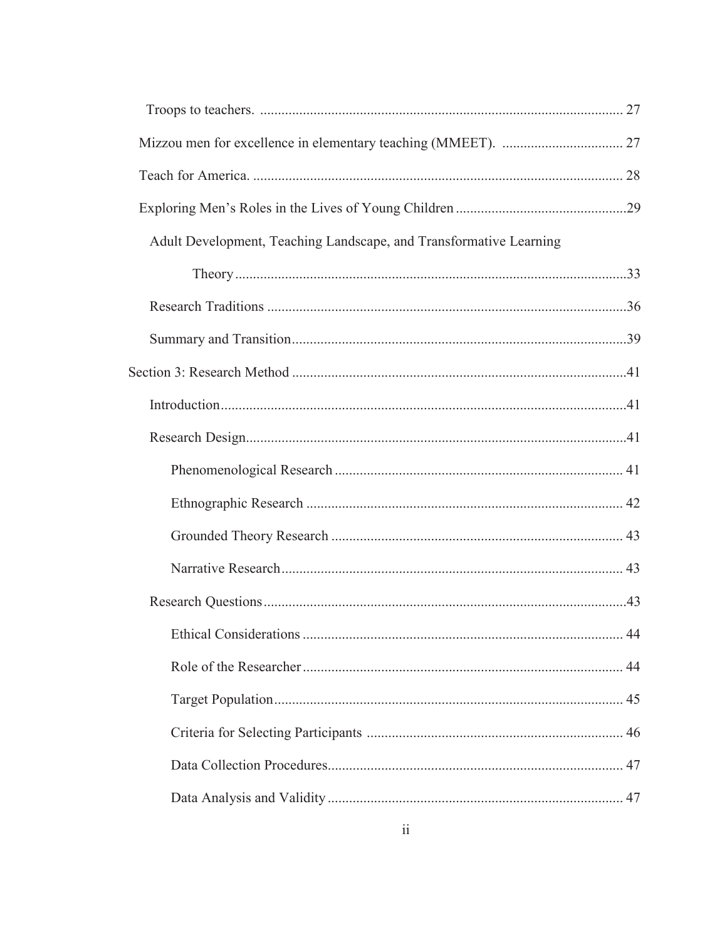| Adult Development, Teaching Landscape, and Transformative Learning |  |
|--------------------------------------------------------------------|--|
|                                                                    |  |
|                                                                    |  |
|                                                                    |  |
|                                                                    |  |
|                                                                    |  |
|                                                                    |  |
|                                                                    |  |
|                                                                    |  |
|                                                                    |  |
|                                                                    |  |
|                                                                    |  |
|                                                                    |  |
|                                                                    |  |
|                                                                    |  |
|                                                                    |  |
|                                                                    |  |
|                                                                    |  |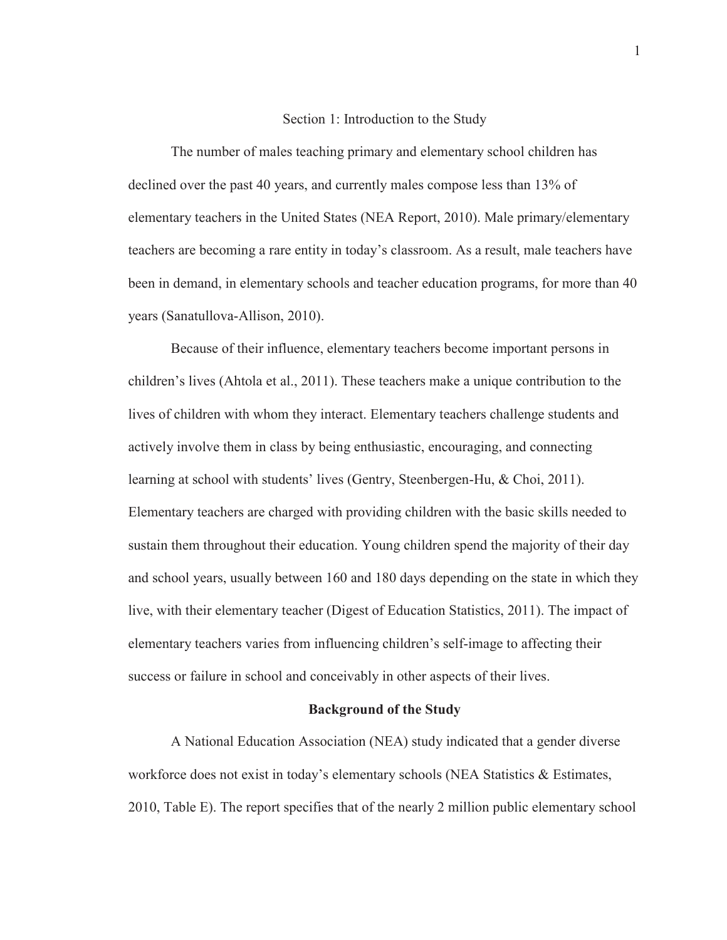#### Section 1: Introduction to the Study

The number of males teaching primary and elementary school children has declined over the past 40 years, and currently males compose less than 13% of elementary teachers in the United States (NEA Report, 2010). Male primary/elementary teachers are becoming a rare entity in today's classroom. As a result, male teachers have been in demand, in elementary schools and teacher education programs, for more than 40 years (Sanatullova-Allison, 2010).

Because of their influence, elementary teachers become important persons in children's lives (Ahtola et al., 2011). These teachers make a unique contribution to the lives of children with whom they interact. Elementary teachers challenge students and actively involve them in class by being enthusiastic, encouraging, and connecting learning at school with students' lives (Gentry, Steenbergen-Hu, & Choi, 2011). Elementary teachers are charged with providing children with the basic skills needed to sustain them throughout their education. Young children spend the majority of their day and school years, usually between 160 and 180 days depending on the state in which they live, with their elementary teacher (Digest of Education Statistics, 2011). The impact of elementary teachers varies from influencing children's self-image to affecting their success or failure in school and conceivably in other aspects of their lives.

# **Background of the Study**

A National Education Association (NEA) study indicated that a gender diverse workforce does not exist in today's elementary schools (NEA Statistics & Estimates, 2010, Table E). The report specifies that of the nearly 2 million public elementary school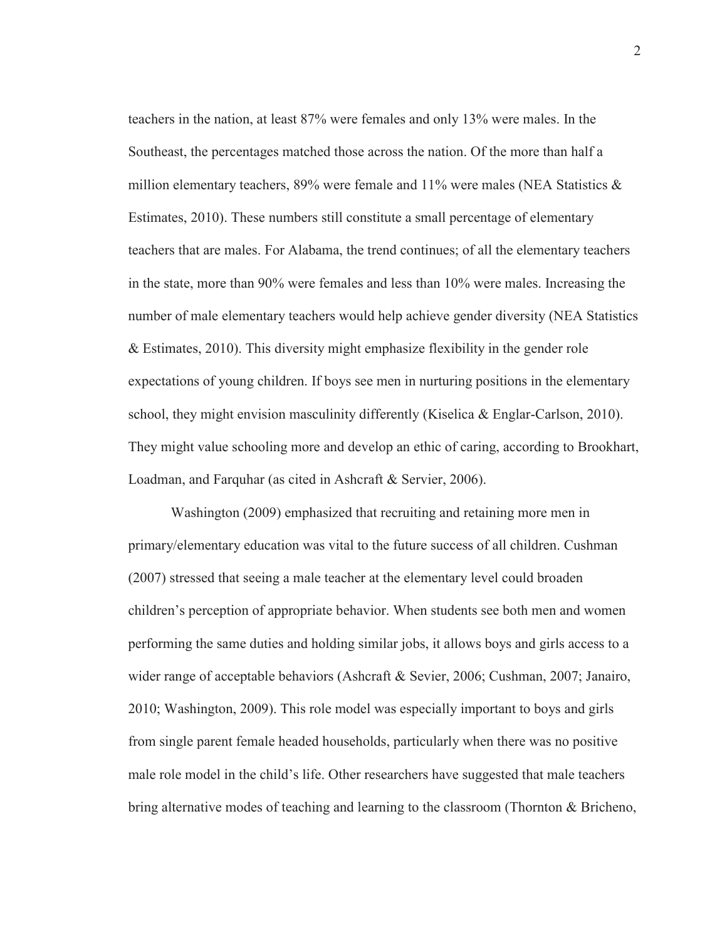teachers in the nation, at least 87% were females and only 13% were males. In the Southeast, the percentages matched those across the nation. Of the more than half a million elementary teachers, 89% were female and 11% were males (NEA Statistics  $\&$ Estimates, 2010). These numbers still constitute a small percentage of elementary teachers that are males. For Alabama, the trend continues; of all the elementary teachers in the state, more than 90% were females and less than 10% were males. Increasing the number of male elementary teachers would help achieve gender diversity (NEA Statistics & Estimates, 2010). This diversity might emphasize flexibility in the gender role expectations of young children. If boys see men in nurturing positions in the elementary school, they might envision masculinity differently (Kiselica & Englar-Carlson, 2010). They might value schooling more and develop an ethic of caring, according to Brookhart, Loadman, and Farquhar (as cited in Ashcraft & Servier, 2006).

Washington (2009) emphasized that recruiting and retaining more men in primary/elementary education was vital to the future success of all children. Cushman (2007) stressed that seeing a male teacher at the elementary level could broaden children's perception of appropriate behavior. When students see both men and women performing the same duties and holding similar jobs, it allows boys and girls access to a wider range of acceptable behaviors (Ashcraft & Sevier, 2006; Cushman, 2007; Janairo, 2010; Washington, 2009). This role model was especially important to boys and girls from single parent female headed households, particularly when there was no positive male role model in the child's life. Other researchers have suggested that male teachers bring alternative modes of teaching and learning to the classroom (Thornton & Bricheno,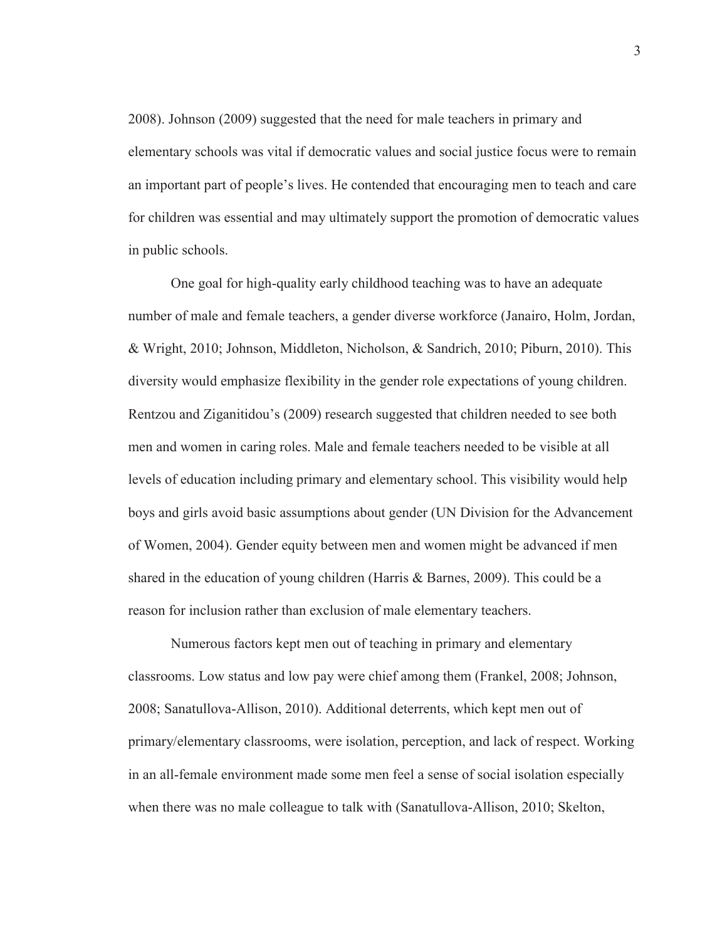2008). Johnson (2009) suggested that the need for male teachers in primary and elementary schools was vital if democratic values and social justice focus were to remain an important part of people's lives. He contended that encouraging men to teach and care for children was essential and may ultimately support the promotion of democratic values in public schools.

One goal for high-quality early childhood teaching was to have an adequate number of male and female teachers, a gender diverse workforce (Janairo, Holm, Jordan, & Wright, 2010; Johnson, Middleton, Nicholson, & Sandrich, 2010; Piburn, 2010). This diversity would emphasize flexibility in the gender role expectations of young children. Rentzou and Ziganitidou's (2009) research suggested that children needed to see both men and women in caring roles. Male and female teachers needed to be visible at all levels of education including primary and elementary school. This visibility would help boys and girls avoid basic assumptions about gender (UN Division for the Advancement of Women, 2004). Gender equity between men and women might be advanced if men shared in the education of young children (Harris & Barnes, 2009). This could be a reason for inclusion rather than exclusion of male elementary teachers.

Numerous factors kept men out of teaching in primary and elementary classrooms. Low status and low pay were chief among them (Frankel, 2008; Johnson, 2008; Sanatullova-Allison, 2010). Additional deterrents, which kept men out of primary/elementary classrooms, were isolation, perception, and lack of respect. Working in an all-female environment made some men feel a sense of social isolation especially when there was no male colleague to talk with (Sanatullova-Allison, 2010; Skelton,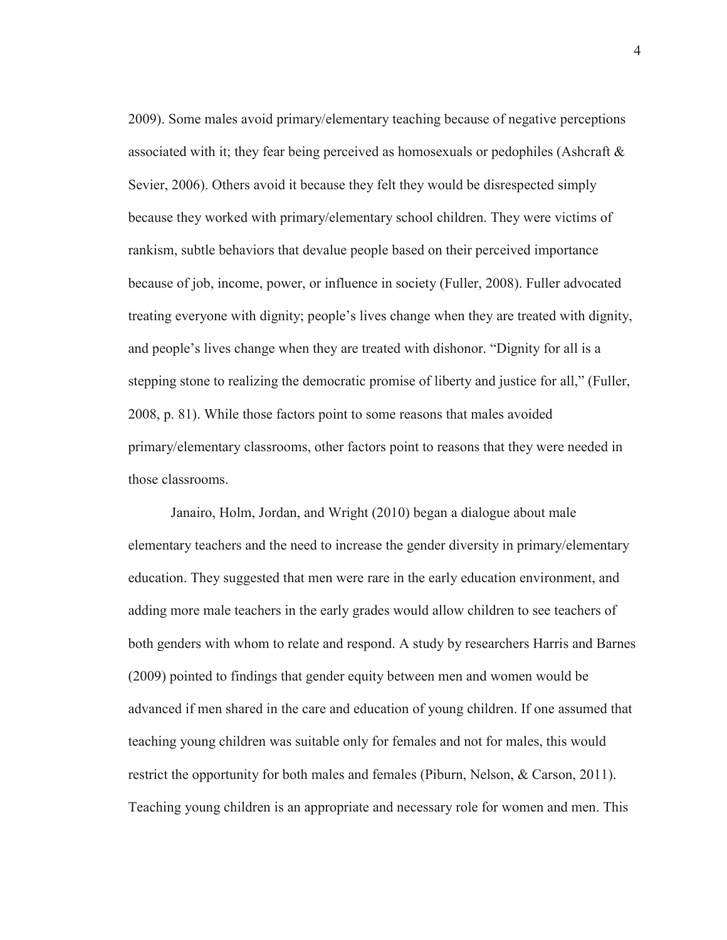2009). Some males avoid primary/elementary teaching because of negative perceptions associated with it; they fear being perceived as homosexuals or pedophiles (Ashcraft & Sevier, 2006). Others avoid it because they felt they would be disrespected simply because they worked with primary/elementary school children. They were victims of rankism, subtle behaviors that devalue people based on their perceived importance because of job, income, power, or influence in society (Fuller, 2008). Fuller advocated treating everyone with dignity; people's lives change when they are treated with dignity, and people's lives change when they are treated with dishonor. "Dignity for all is a stepping stone to realizing the democratic promise of liberty and justice for all," (Fuller, 2008, p. 81). While those factors point to some reasons that males avoided primary/elementary classrooms, other factors point to reasons that they were needed in those classrooms.

Janairo, Holm, Jordan, and Wright (2010) began a dialogue about male elementary teachers and the need to increase the gender diversity in primary/elementary education. They suggested that men were rare in the early education environment, and adding more male teachers in the early grades would allow children to see teachers of both genders with whom to relate and respond. A study by researchers Harris and Barnes (2009) pointed to findings that gender equity between men and women would be advanced if men shared in the care and education of young children. If one assumed that teaching young children was suitable only for females and not for males, this would restrict the opportunity for both males and females (Piburn, Nelson, & Carson, 2011). Teaching young children is an appropriate and necessary role for women and men. This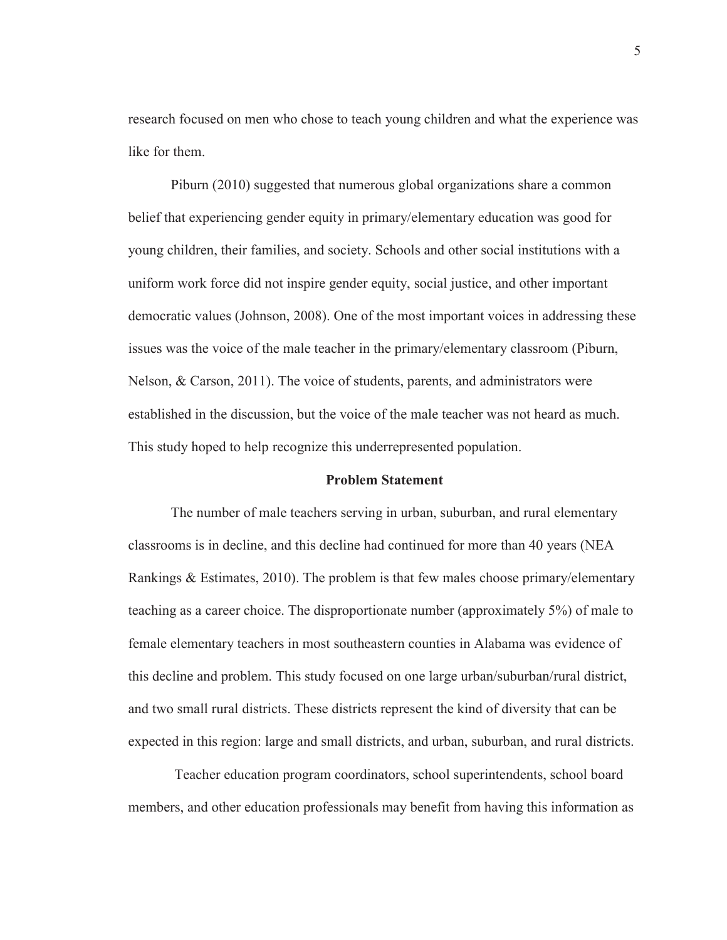research focused on men who chose to teach young children and what the experience was like for them.

Piburn (2010) suggested that numerous global organizations share a common belief that experiencing gender equity in primary/elementary education was good for young children, their families, and society. Schools and other social institutions with a uniform work force did not inspire gender equity, social justice, and other important democratic values (Johnson, 2008). One of the most important voices in addressing these issues was the voice of the male teacher in the primary/elementary classroom (Piburn, Nelson, & Carson, 2011). The voice of students, parents, and administrators were established in the discussion, but the voice of the male teacher was not heard as much. This study hoped to help recognize this underrepresented population.

# **Problem Statement**

The number of male teachers serving in urban, suburban, and rural elementary classrooms is in decline, and this decline had continued for more than 40 years (NEA Rankings & Estimates, 2010). The problem is that few males choose primary/elementary teaching as a career choice. The disproportionate number (approximately 5%) of male to female elementary teachers in most southeastern counties in Alabama was evidence of this decline and problem. This study focused on one large urban/suburban/rural district, and two small rural districts. These districts represent the kind of diversity that can be expected in this region: large and small districts, and urban, suburban, and rural districts.

 Teacher education program coordinators, school superintendents, school board members, and other education professionals may benefit from having this information as

5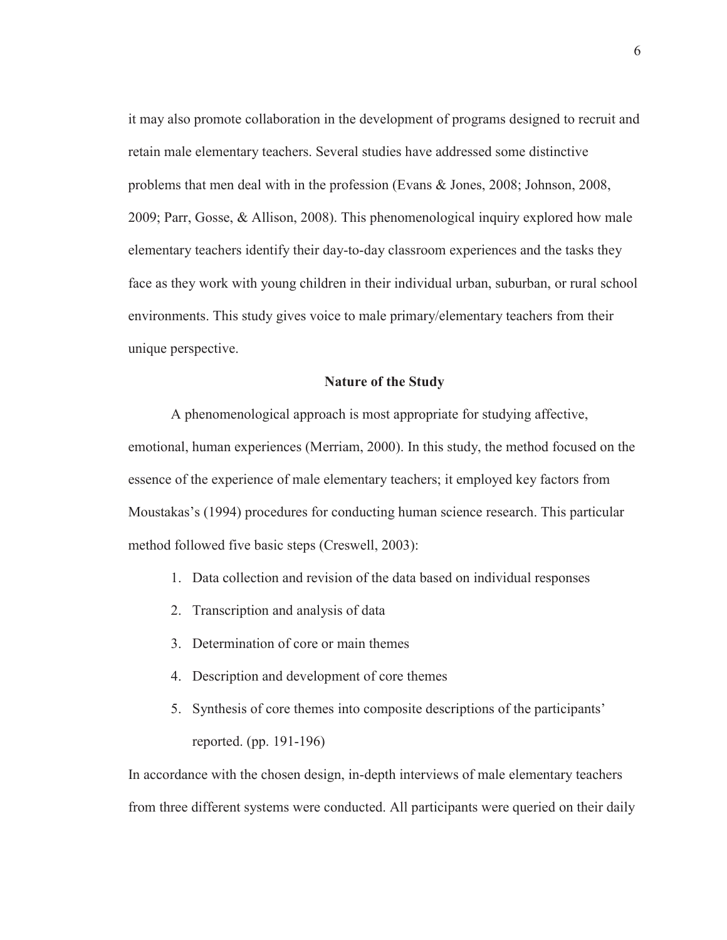it may also promote collaboration in the development of programs designed to recruit and retain male elementary teachers. Several studies have addressed some distinctive problems that men deal with in the profession (Evans & Jones, 2008; Johnson, 2008, 2009; Parr, Gosse, & Allison, 2008). This phenomenological inquiry explored how male elementary teachers identify their day-to-day classroom experiences and the tasks they face as they work with young children in their individual urban, suburban, or rural school environments. This study gives voice to male primary/elementary teachers from their unique perspective.

# **Nature of the Study**

A phenomenological approach is most appropriate for studying affective, emotional, human experiences (Merriam, 2000). In this study, the method focused on the essence of the experience of male elementary teachers; it employed key factors from Moustakas's (1994) procedures for conducting human science research. This particular method followed five basic steps (Creswell, 2003):

- 1. Data collection and revision of the data based on individual responses
- 2. Transcription and analysis of data
- 3. Determination of core or main themes
- 4. Description and development of core themes
- 5. Synthesis of core themes into composite descriptions of the participants' reported. (pp. 191-196)

In accordance with the chosen design, in-depth interviews of male elementary teachers from three different systems were conducted. All participants were queried on their daily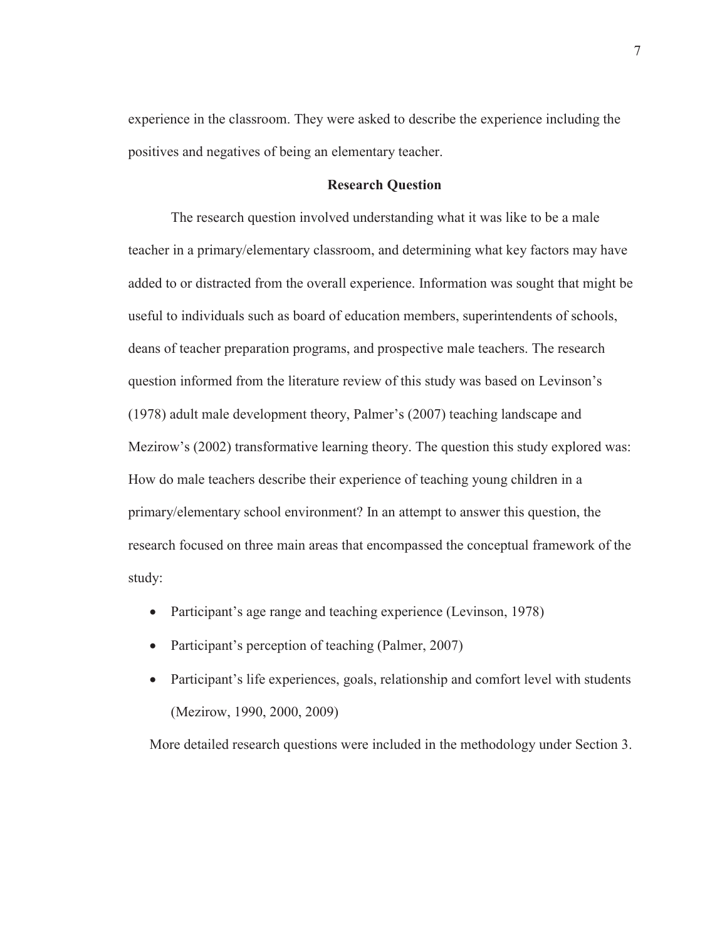experience in the classroom. They were asked to describe the experience including the positives and negatives of being an elementary teacher.

# **Research Question**

The research question involved understanding what it was like to be a male teacher in a primary/elementary classroom, and determining what key factors may have added to or distracted from the overall experience. Information was sought that might be useful to individuals such as board of education members, superintendents of schools, deans of teacher preparation programs, and prospective male teachers. The research question informed from the literature review of this study was based on Levinson's (1978) adult male development theory, Palmer's (2007) teaching landscape and Mezirow's (2002) transformative learning theory. The question this study explored was: How do male teachers describe their experience of teaching young children in a primary/elementary school environment? In an attempt to answer this question, the research focused on three main areas that encompassed the conceptual framework of the study:

- Participant's age range and teaching experience (Levinson, 1978)
- Participant's perception of teaching (Palmer, 2007)
- Participant's life experiences, goals, relationship and comfort level with students (Mezirow, 1990, 2000, 2009)

More detailed research questions were included in the methodology under Section 3.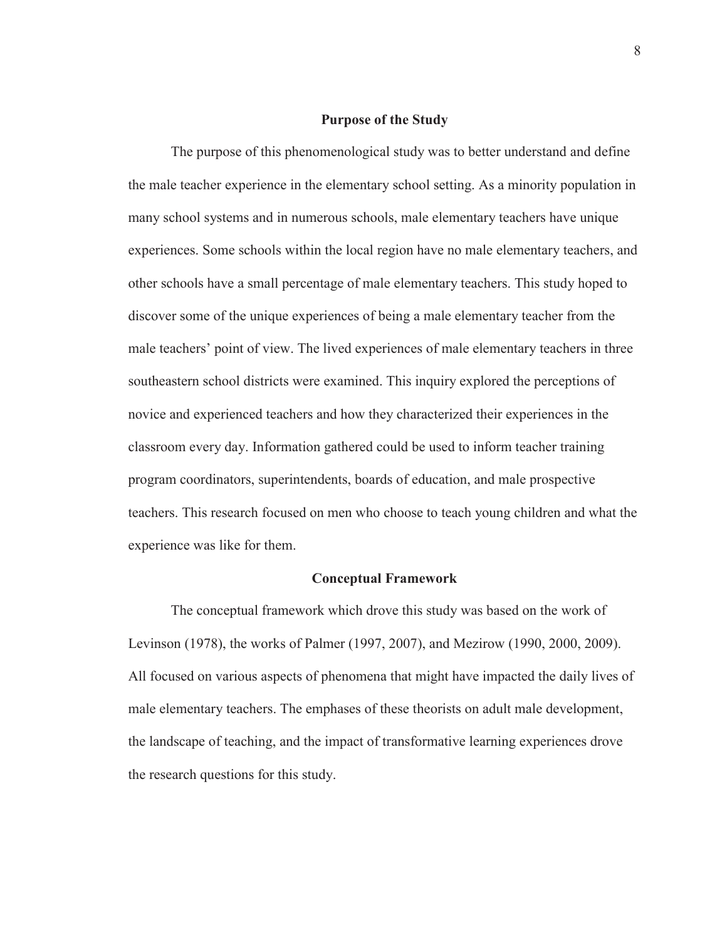# **Purpose of the Study**

The purpose of this phenomenological study was to better understand and define the male teacher experience in the elementary school setting. As a minority population in many school systems and in numerous schools, male elementary teachers have unique experiences. Some schools within the local region have no male elementary teachers, and other schools have a small percentage of male elementary teachers. This study hoped to discover some of the unique experiences of being a male elementary teacher from the male teachers' point of view. The lived experiences of male elementary teachers in three southeastern school districts were examined. This inquiry explored the perceptions of novice and experienced teachers and how they characterized their experiences in the classroom every day. Information gathered could be used to inform teacher training program coordinators, superintendents, boards of education, and male prospective teachers. This research focused on men who choose to teach young children and what the experience was like for them.

# **Conceptual Framework**

The conceptual framework which drove this study was based on the work of Levinson (1978), the works of Palmer (1997, 2007), and Mezirow (1990, 2000, 2009). All focused on various aspects of phenomena that might have impacted the daily lives of male elementary teachers. The emphases of these theorists on adult male development, the landscape of teaching, and the impact of transformative learning experiences drove the research questions for this study.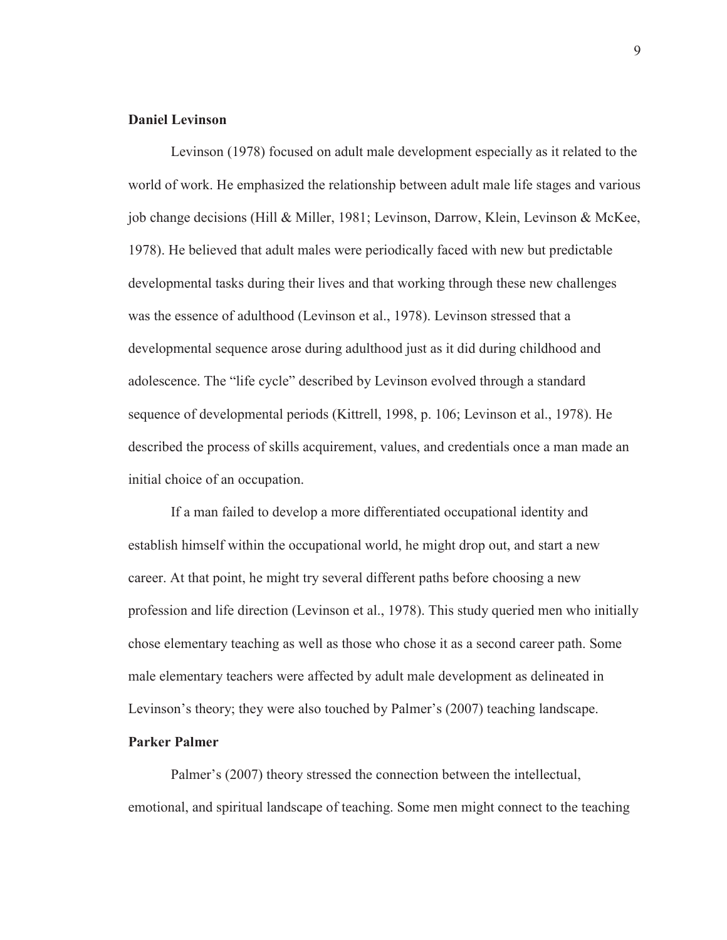# **Daniel Levinson**

Levinson (1978) focused on adult male development especially as it related to the world of work. He emphasized the relationship between adult male life stages and various job change decisions (Hill & Miller, 1981; Levinson, Darrow, Klein, Levinson & McKee, 1978). He believed that adult males were periodically faced with new but predictable developmental tasks during their lives and that working through these new challenges was the essence of adulthood (Levinson et al., 1978). Levinson stressed that a developmental sequence arose during adulthood just as it did during childhood and adolescence. The "life cycle" described by Levinson evolved through a standard sequence of developmental periods (Kittrell, 1998, p. 106; Levinson et al., 1978). He described the process of skills acquirement, values, and credentials once a man made an initial choice of an occupation.

If a man failed to develop a more differentiated occupational identity and establish himself within the occupational world, he might drop out, and start a new career. At that point, he might try several different paths before choosing a new profession and life direction (Levinson et al., 1978). This study queried men who initially chose elementary teaching as well as those who chose it as a second career path. Some male elementary teachers were affected by adult male development as delineated in Levinson's theory; they were also touched by Palmer's (2007) teaching landscape.

# **Parker Palmer**

Palmer's (2007) theory stressed the connection between the intellectual, emotional, and spiritual landscape of teaching. Some men might connect to the teaching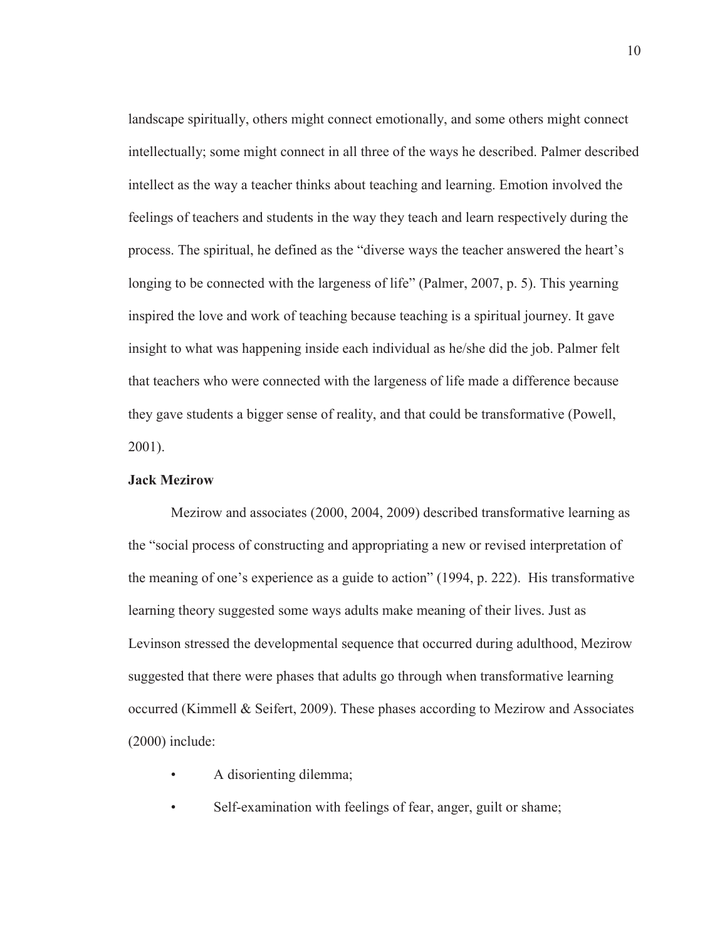landscape spiritually, others might connect emotionally, and some others might connect intellectually; some might connect in all three of the ways he described. Palmer described intellect as the way a teacher thinks about teaching and learning. Emotion involved the feelings of teachers and students in the way they teach and learn respectively during the process. The spiritual, he defined as the "diverse ways the teacher answered the heart's longing to be connected with the largeness of life" (Palmer, 2007, p. 5). This yearning inspired the love and work of teaching because teaching is a spiritual journey. It gave insight to what was happening inside each individual as he/she did the job. Palmer felt that teachers who were connected with the largeness of life made a difference because they gave students a bigger sense of reality, and that could be transformative (Powell, 2001).

# **Jack Mezirow**

Mezirow and associates (2000, 2004, 2009) described transformative learning as the "social process of constructing and appropriating a new or revised interpretation of the meaning of one's experience as a guide to action" (1994, p. 222). His transformative learning theory suggested some ways adults make meaning of their lives. Just as Levinson stressed the developmental sequence that occurred during adulthood, Mezirow suggested that there were phases that adults go through when transformative learning occurred (Kimmell & Seifert, 2009). These phases according to Mezirow and Associates (2000) include:

- A disorienting dilemma;
- Self-examination with feelings of fear, anger, guilt or shame;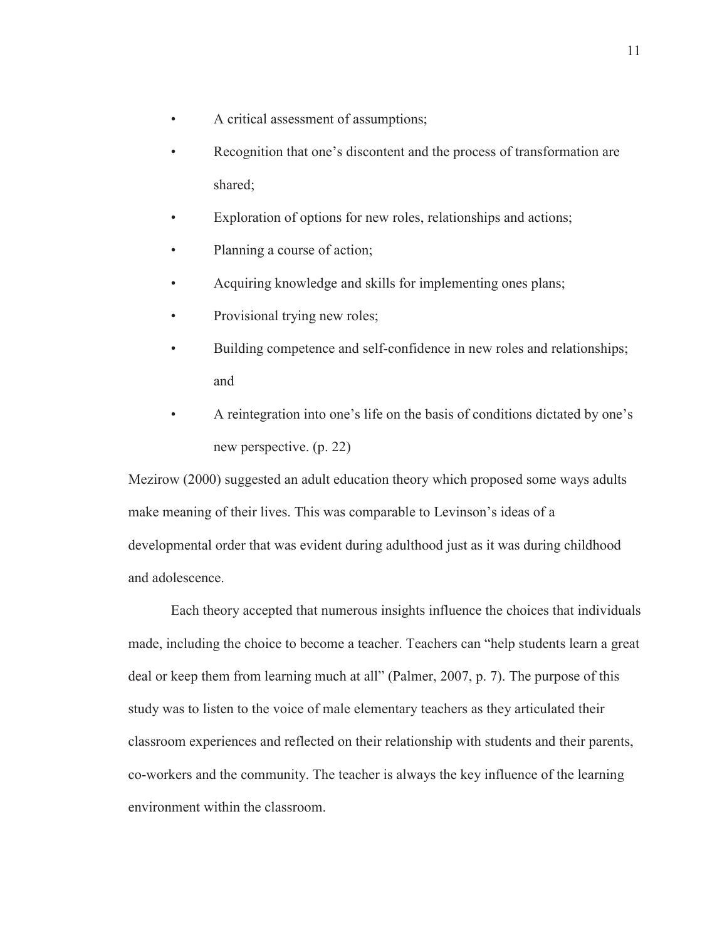- A critical assessment of assumptions;
- Recognition that one's discontent and the process of transformation are shared;
- Exploration of options for new roles, relationships and actions;
- Planning a course of action;
- Acquiring knowledge and skills for implementing ones plans;
- Provisional trying new roles;
- Building competence and self-confidence in new roles and relationships; and
- A reintegration into one's life on the basis of conditions dictated by one's new perspective. (p. 22)

Mezirow (2000) suggested an adult education theory which proposed some ways adults make meaning of their lives. This was comparable to Levinson's ideas of a developmental order that was evident during adulthood just as it was during childhood and adolescence.

 Each theory accepted that numerous insights influence the choices that individuals made, including the choice to become a teacher. Teachers can "help students learn a great deal or keep them from learning much at all" (Palmer, 2007, p. 7). The purpose of this study was to listen to the voice of male elementary teachers as they articulated their classroom experiences and reflected on their relationship with students and their parents, co-workers and the community. The teacher is always the key influence of the learning environment within the classroom.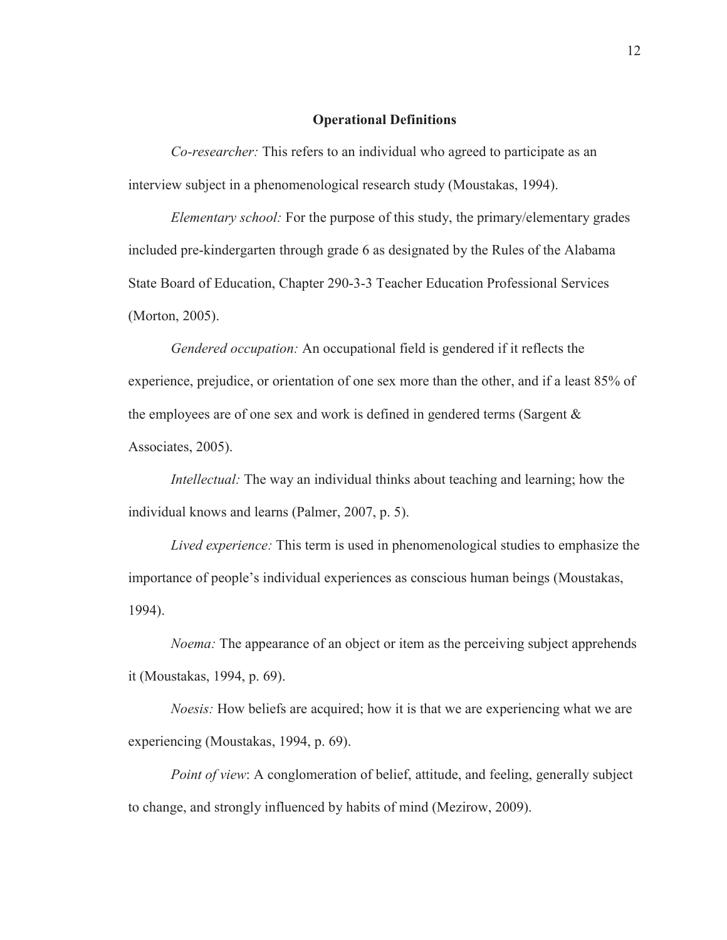#### **Operational Definitions**

*Co-researcher:* This refers to an individual who agreed to participate as an interview subject in a phenomenological research study (Moustakas, 1994).

*Elementary school:* For the purpose of this study, the primary/elementary grades included pre-kindergarten through grade 6 as designated by the Rules of the Alabama State Board of Education, Chapter 290-3-3 Teacher Education Professional Services (Morton, 2005).

*Gendered occupation:* An occupational field is gendered if it reflects the experience, prejudice, or orientation of one sex more than the other, and if a least 85% of the employees are of one sex and work is defined in gendered terms (Sargent & Associates, 2005).

*Intellectual:* The way an individual thinks about teaching and learning; how the individual knows and learns (Palmer, 2007, p. 5).

*Lived experience:* This term is used in phenomenological studies to emphasize the importance of people's individual experiences as conscious human beings (Moustakas, 1994).

*Noema:* The appearance of an object or item as the perceiving subject apprehends it (Moustakas, 1994, p. 69).

*Noesis:* How beliefs are acquired; how it is that we are experiencing what we are experiencing (Moustakas, 1994, p. 69).

*Point of view*: A conglomeration of belief, attitude, and feeling, generally subject to change, and strongly influenced by habits of mind (Mezirow, 2009).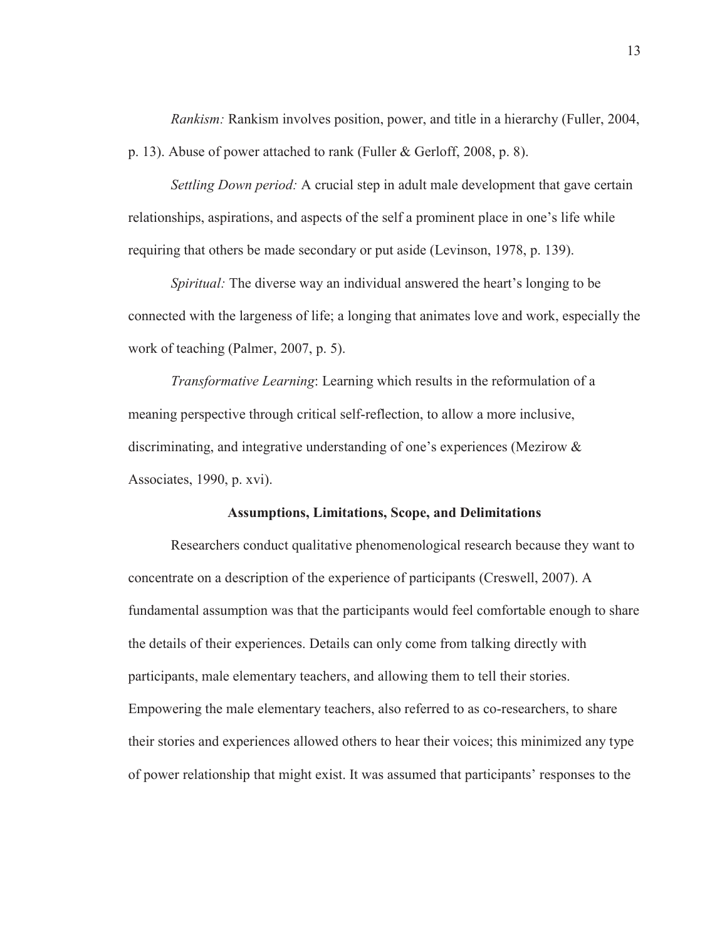*Rankism:* Rankism involves position, power, and title in a hierarchy (Fuller, 2004, p. 13). Abuse of power attached to rank (Fuller & Gerloff, 2008, p. 8).

*Settling Down period:* A crucial step in adult male development that gave certain relationships, aspirations, and aspects of the self a prominent place in one's life while requiring that others be made secondary or put aside (Levinson, 1978, p. 139).

*Spiritual:* The diverse way an individual answered the heart's longing to be connected with the largeness of life; a longing that animates love and work, especially the work of teaching (Palmer, 2007, p. 5).

*Transformative Learning*: Learning which results in the reformulation of a meaning perspective through critical self-reflection, to allow a more inclusive, discriminating, and integrative understanding of one's experiences (Mezirow & Associates, 1990, p. xvi).

# **Assumptions, Limitations, Scope, and Delimitations**

Researchers conduct qualitative phenomenological research because they want to concentrate on a description of the experience of participants (Creswell, 2007). A fundamental assumption was that the participants would feel comfortable enough to share the details of their experiences. Details can only come from talking directly with participants, male elementary teachers, and allowing them to tell their stories. Empowering the male elementary teachers, also referred to as co-researchers, to share their stories and experiences allowed others to hear their voices; this minimized any type of power relationship that might exist. It was assumed that participants' responses to the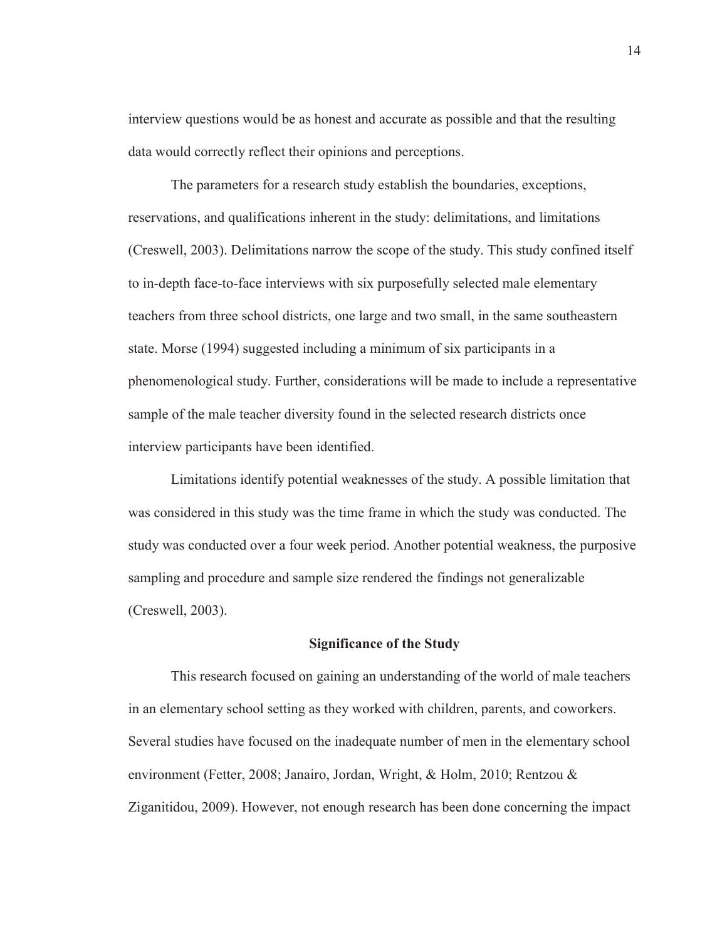interview questions would be as honest and accurate as possible and that the resulting data would correctly reflect their opinions and perceptions.

The parameters for a research study establish the boundaries, exceptions, reservations, and qualifications inherent in the study: delimitations, and limitations (Creswell, 2003). Delimitations narrow the scope of the study. This study confined itself to in-depth face-to-face interviews with six purposefully selected male elementary teachers from three school districts, one large and two small, in the same southeastern state. Morse (1994) suggested including a minimum of six participants in a phenomenological study. Further, considerations will be made to include a representative sample of the male teacher diversity found in the selected research districts once interview participants have been identified.

Limitations identify potential weaknesses of the study. A possible limitation that was considered in this study was the time frame in which the study was conducted. The study was conducted over a four week period. Another potential weakness, the purposive sampling and procedure and sample size rendered the findings not generalizable (Creswell, 2003).

# **Significance of the Study**

This research focused on gaining an understanding of the world of male teachers in an elementary school setting as they worked with children, parents, and coworkers. Several studies have focused on the inadequate number of men in the elementary school environment (Fetter, 2008; Janairo, Jordan, Wright, & Holm, 2010; Rentzou & Ziganitidou, 2009). However, not enough research has been done concerning the impact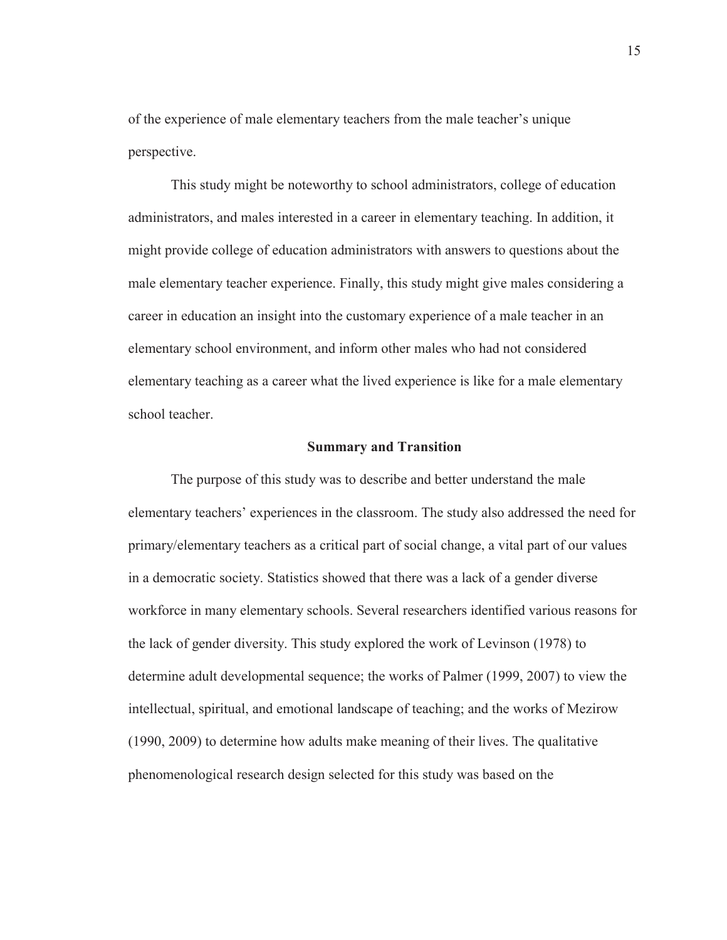of the experience of male elementary teachers from the male teacher's unique perspective.

 This study might be noteworthy to school administrators, college of education administrators, and males interested in a career in elementary teaching. In addition, it might provide college of education administrators with answers to questions about the male elementary teacher experience. Finally, this study might give males considering a career in education an insight into the customary experience of a male teacher in an elementary school environment, and inform other males who had not considered elementary teaching as a career what the lived experience is like for a male elementary school teacher.

# **Summary and Transition**

The purpose of this study was to describe and better understand the male elementary teachers' experiences in the classroom. The study also addressed the need for primary/elementary teachers as a critical part of social change, a vital part of our values in a democratic society. Statistics showed that there was a lack of a gender diverse workforce in many elementary schools. Several researchers identified various reasons for the lack of gender diversity. This study explored the work of Levinson (1978) to determine adult developmental sequence; the works of Palmer (1999, 2007) to view the intellectual, spiritual, and emotional landscape of teaching; and the works of Mezirow (1990, 2009) to determine how adults make meaning of their lives. The qualitative phenomenological research design selected for this study was based on the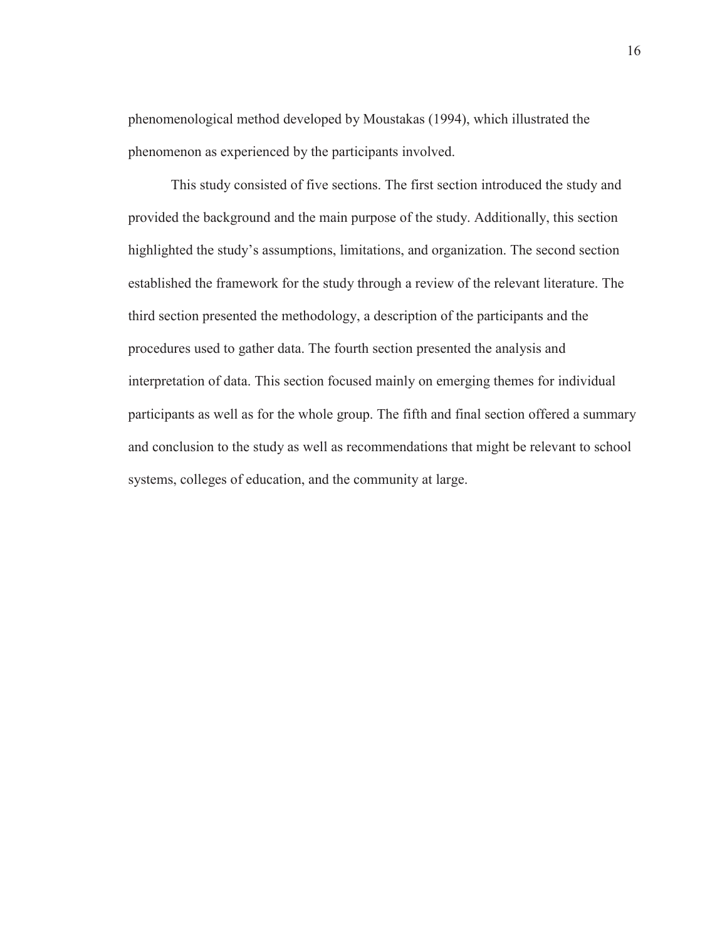phenomenological method developed by Moustakas (1994), which illustrated the phenomenon as experienced by the participants involved.

This study consisted of five sections. The first section introduced the study and provided the background and the main purpose of the study. Additionally, this section highlighted the study's assumptions, limitations, and organization. The second section established the framework for the study through a review of the relevant literature. The third section presented the methodology, a description of the participants and the procedures used to gather data. The fourth section presented the analysis and interpretation of data. This section focused mainly on emerging themes for individual participants as well as for the whole group. The fifth and final section offered a summary and conclusion to the study as well as recommendations that might be relevant to school systems, colleges of education, and the community at large.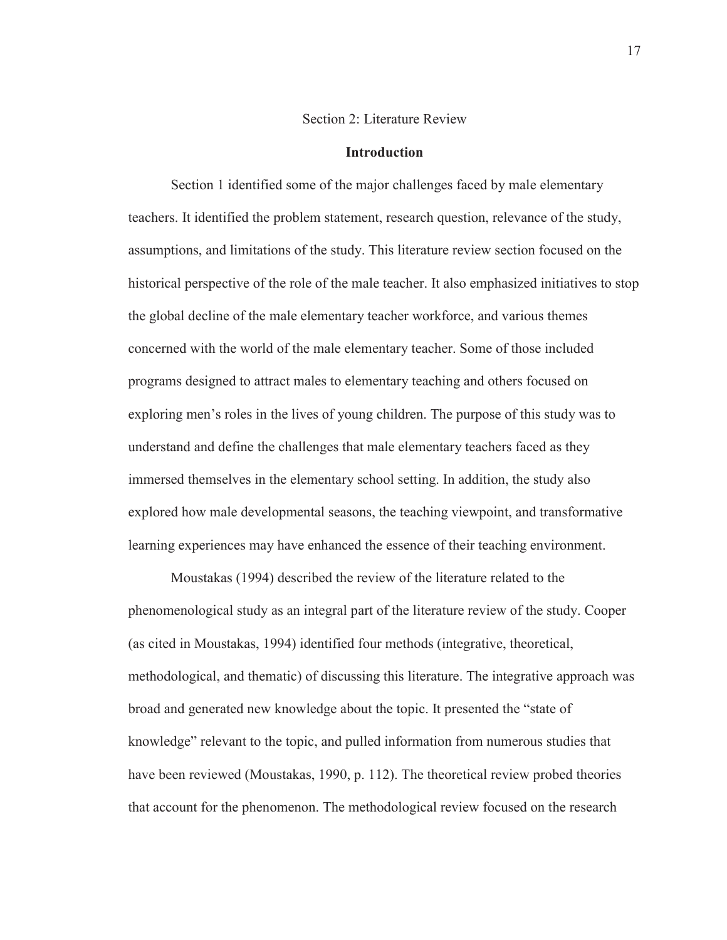#### Section 2: Literature Review

# **Introduction**

Section 1 identified some of the major challenges faced by male elementary teachers. It identified the problem statement, research question, relevance of the study, assumptions, and limitations of the study. This literature review section focused on the historical perspective of the role of the male teacher. It also emphasized initiatives to stop the global decline of the male elementary teacher workforce, and various themes concerned with the world of the male elementary teacher. Some of those included programs designed to attract males to elementary teaching and others focused on exploring men's roles in the lives of young children. The purpose of this study was to understand and define the challenges that male elementary teachers faced as they immersed themselves in the elementary school setting. In addition, the study also explored how male developmental seasons, the teaching viewpoint, and transformative learning experiences may have enhanced the essence of their teaching environment.

 Moustakas (1994) described the review of the literature related to the phenomenological study as an integral part of the literature review of the study. Cooper (as cited in Moustakas, 1994) identified four methods (integrative, theoretical, methodological, and thematic) of discussing this literature. The integrative approach was broad and generated new knowledge about the topic. It presented the "state of knowledge" relevant to the topic, and pulled information from numerous studies that have been reviewed (Moustakas, 1990, p. 112). The theoretical review probed theories that account for the phenomenon. The methodological review focused on the research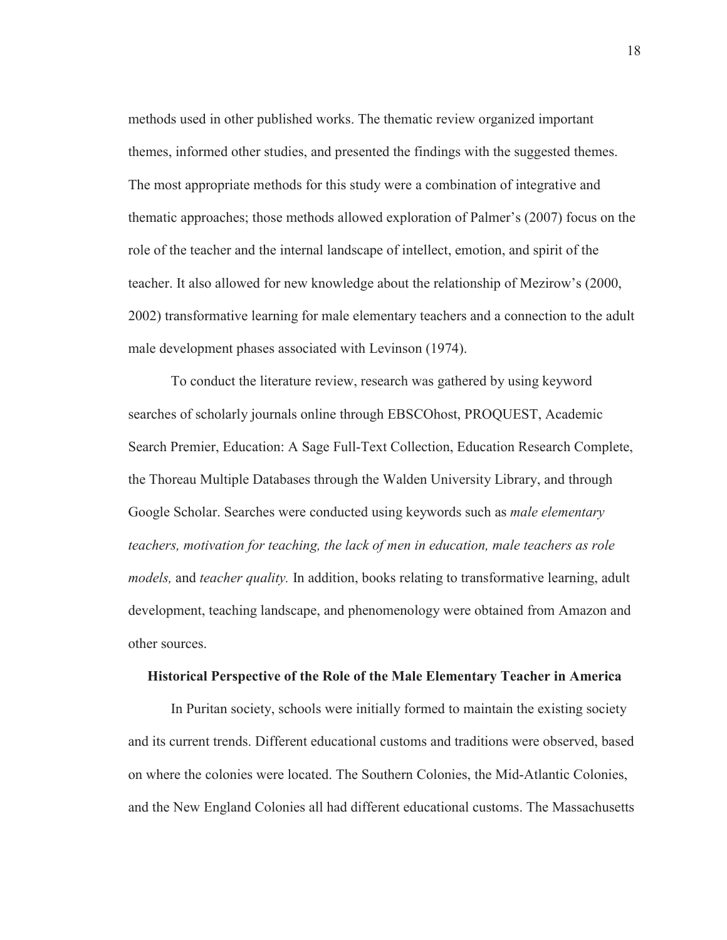methods used in other published works. The thematic review organized important themes, informed other studies, and presented the findings with the suggested themes. The most appropriate methods for this study were a combination of integrative and thematic approaches; those methods allowed exploration of Palmer's (2007) focus on the role of the teacher and the internal landscape of intellect, emotion, and spirit of the teacher. It also allowed for new knowledge about the relationship of Mezirow's (2000, 2002) transformative learning for male elementary teachers and a connection to the adult male development phases associated with Levinson (1974).

 To conduct the literature review, research was gathered by using keyword searches of scholarly journals online through EBSCOhost, PROQUEST, Academic Search Premier, Education: A Sage Full-Text Collection, Education Research Complete, the Thoreau Multiple Databases through the Walden University Library, and through Google Scholar. Searches were conducted using keywords such as *male elementary teachers, motivation for teaching, the lack of men in education, male teachers as role models,* and *teacher quality.* In addition, books relating to transformative learning, adult development, teaching landscape, and phenomenology were obtained from Amazon and other sources.

#### **Historical Perspective of the Role of the Male Elementary Teacher in America**

In Puritan society, schools were initially formed to maintain the existing society and its current trends. Different educational customs and traditions were observed, based on where the colonies were located. The Southern Colonies, the Mid-Atlantic Colonies, and the New England Colonies all had different educational customs. The Massachusetts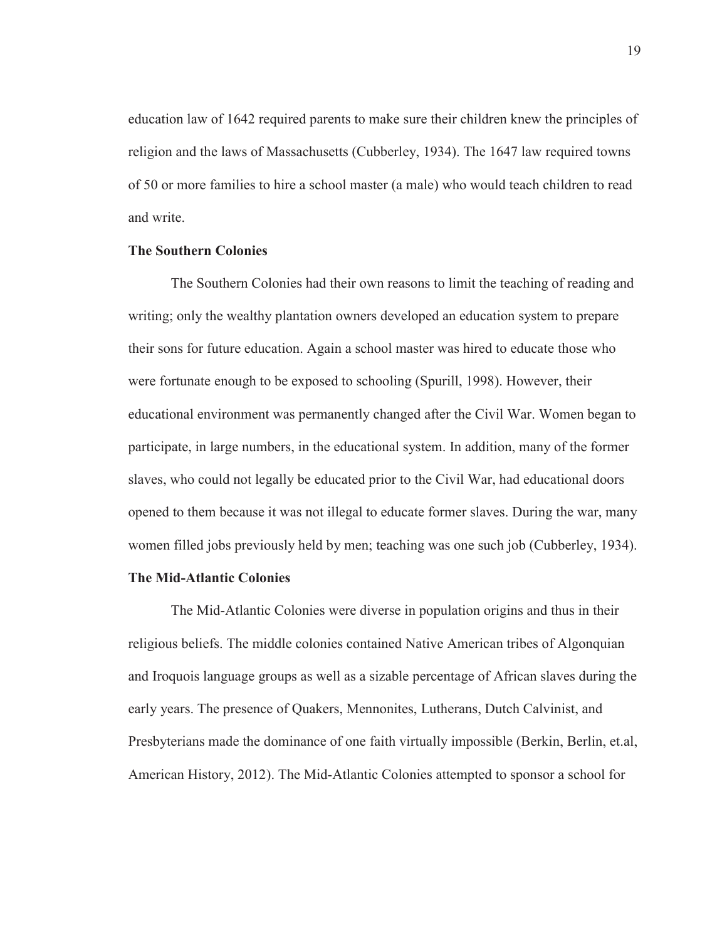education law of 1642 required parents to make sure their children knew the principles of religion and the laws of Massachusetts (Cubberley, 1934). The 1647 law required towns of 50 or more families to hire a school master (a male) who would teach children to read and write.

# **The Southern Colonies**

The Southern Colonies had their own reasons to limit the teaching of reading and writing; only the wealthy plantation owners developed an education system to prepare their sons for future education. Again a school master was hired to educate those who were fortunate enough to be exposed to schooling (Spurill, 1998). However, their educational environment was permanently changed after the Civil War. Women began to participate, in large numbers, in the educational system. In addition, many of the former slaves, who could not legally be educated prior to the Civil War, had educational doors opened to them because it was not illegal to educate former slaves. During the war, many women filled jobs previously held by men; teaching was one such job (Cubberley, 1934).

# **The Mid-Atlantic Colonies**

The Mid-Atlantic Colonies were diverse in population origins and thus in their religious beliefs. The middle colonies contained Native American tribes of Algonquian and Iroquois language groups as well as a sizable percentage of African slaves during the early years. The presence of Quakers, Mennonites, Lutherans, Dutch Calvinist, and Presbyterians made the dominance of one faith virtually impossible (Berkin, Berlin, et.al, American History, 2012). The Mid-Atlantic Colonies attempted to sponsor a school for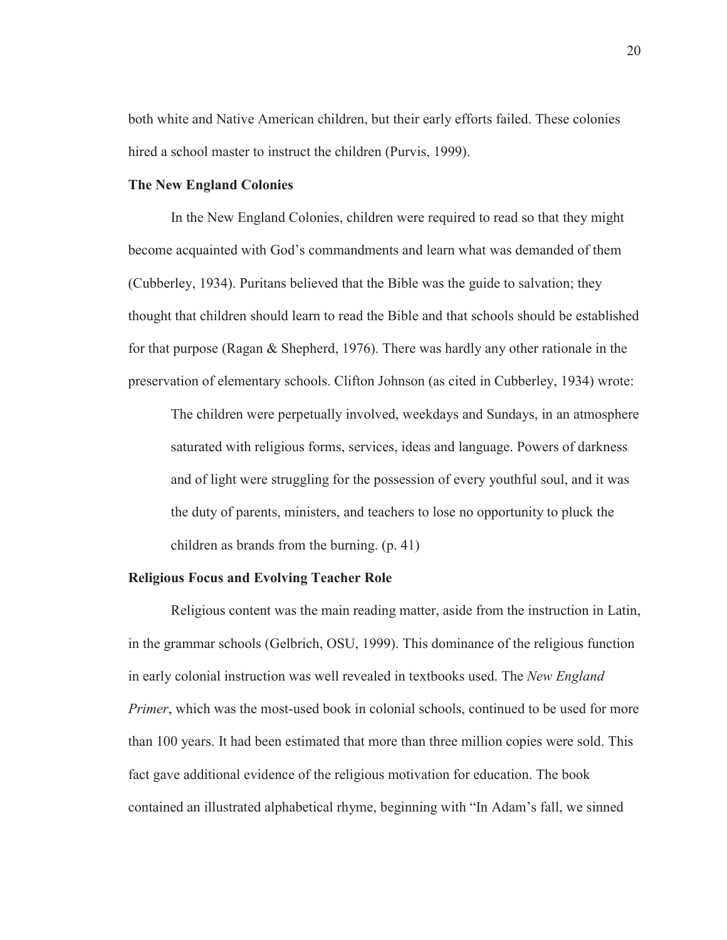both white and Native American children, but their early efforts failed. These colonies hired a school master to instruct the children (Purvis, 1999).

# **The New England Colonies**

In the New England Colonies, children were required to read so that they might become acquainted with God's commandments and learn what was demanded of them (Cubberley, 1934). Puritans believed that the Bible was the guide to salvation; they thought that children should learn to read the Bible and that schools should be established for that purpose (Ragan & Shepherd, 1976). There was hardly any other rationale in the preservation of elementary schools. Clifton Johnson (as cited in Cubberley, 1934) wrote:

The children were perpetually involved, weekdays and Sundays, in an atmosphere saturated with religious forms, services, ideas and language. Powers of darkness and of light were struggling for the possession of every youthful soul, and it was the duty of parents, ministers, and teachers to lose no opportunity to pluck the children as brands from the burning. (p. 41)

# **Religious Focus and Evolving Teacher Role**

Religious content was the main reading matter, aside from the instruction in Latin, in the grammar schools (Gelbrich, OSU, 1999). This dominance of the religious function in early colonial instruction was well revealed in textbooks used. The *New England Primer*, which was the most-used book in colonial schools, continued to be used for more than 100 years. It had been estimated that more than three million copies were sold. This fact gave additional evidence of the religious motivation for education. The book contained an illustrated alphabetical rhyme, beginning with "In Adam's fall, we sinned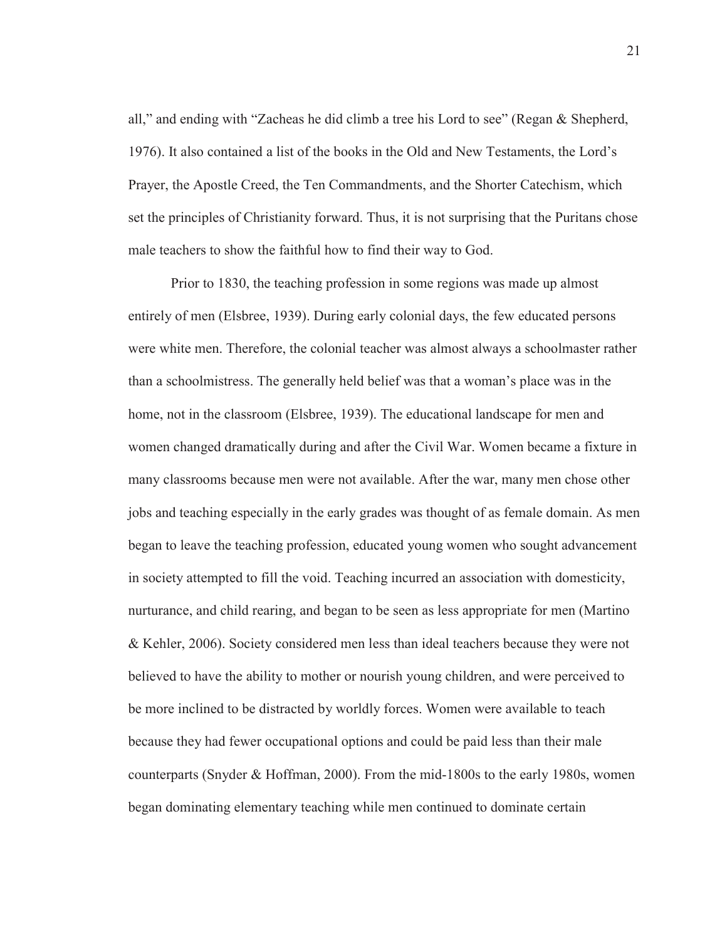all," and ending with "Zacheas he did climb a tree his Lord to see" (Regan & Shepherd, 1976). It also contained a list of the books in the Old and New Testaments, the Lord's Prayer, the Apostle Creed, the Ten Commandments, and the Shorter Catechism, which set the principles of Christianity forward. Thus, it is not surprising that the Puritans chose male teachers to show the faithful how to find their way to God.

 Prior to 1830, the teaching profession in some regions was made up almost entirely of men (Elsbree, 1939). During early colonial days, the few educated persons were white men. Therefore, the colonial teacher was almost always a schoolmaster rather than a schoolmistress. The generally held belief was that a woman's place was in the home, not in the classroom (Elsbree, 1939). The educational landscape for men and women changed dramatically during and after the Civil War. Women became a fixture in many classrooms because men were not available. After the war, many men chose other jobs and teaching especially in the early grades was thought of as female domain. As men began to leave the teaching profession, educated young women who sought advancement in society attempted to fill the void. Teaching incurred an association with domesticity, nurturance, and child rearing, and began to be seen as less appropriate for men (Martino & Kehler, 2006). Society considered men less than ideal teachers because they were not believed to have the ability to mother or nourish young children, and were perceived to be more inclined to be distracted by worldly forces. Women were available to teach because they had fewer occupational options and could be paid less than their male counterparts (Snyder & Hoffman, 2000). From the mid-1800s to the early 1980s, women began dominating elementary teaching while men continued to dominate certain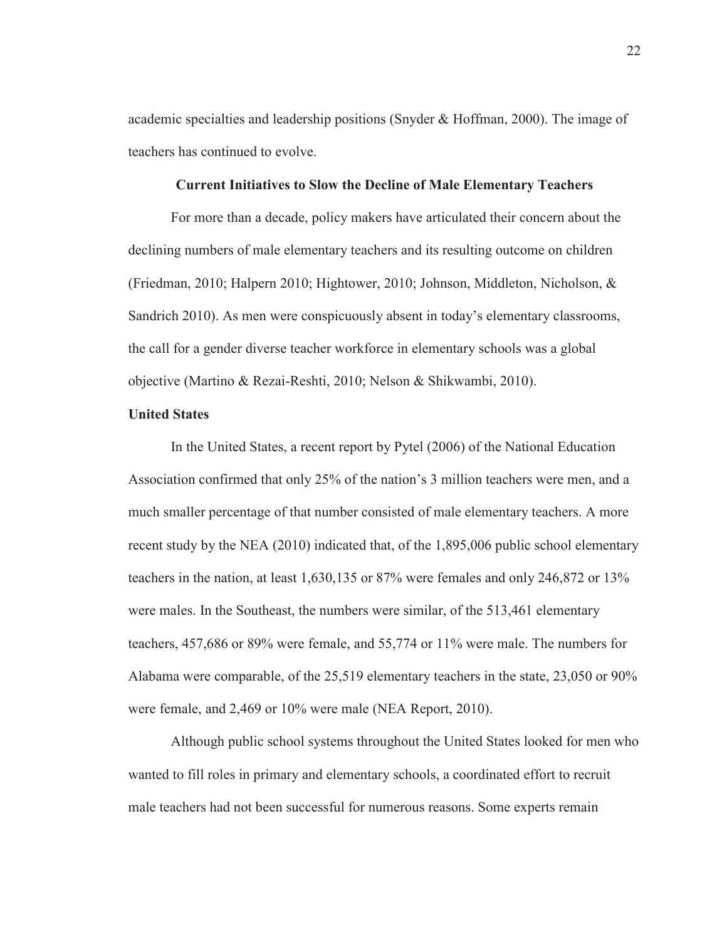academic specialties and leadership positions (Snyder  $\&$  Hoffman, 2000). The image of teachers has continued to evolve.

# **Current Initiatives to Slow the Decline of Male Elementary Teachers**

For more than a decade, policy makers have articulated their concern about the declining numbers of male elementary teachers and its resulting outcome on children (Friedman, 2010; Halpern 2010; Hightower, 2010; Johnson, Middleton, Nicholson, & Sandrich 2010). As men were conspicuously absent in today's elementary classrooms, the call for a gender diverse teacher workforce in elementary schools was a global objective (Martino & Rezai-Reshti, 2010; Nelson & Shikwambi, 2010).

# **United States**

In the United States, a recent report by Pytel (2006) of the National Education Association confirmed that only 25% of the nation's 3 million teachers were men, and a much smaller percentage of that number consisted of male elementary teachers. A more recent study by the NEA (2010) indicated that, of the 1,895,006 public school elementary teachers in the nation, at least 1,630,135 or 87% were females and only 246,872 or 13% were males. In the Southeast, the numbers were similar, of the 513,461 elementary teachers, 457,686 or 89% were female, and 55,774 or 11% were male. The numbers for Alabama were comparable, of the 25,519 elementary teachers in the state, 23,050 or 90% were female, and 2,469 or 10% were male (NEA Report, 2010).

 Although public school systems throughout the United States looked for men who wanted to fill roles in primary and elementary schools, a coordinated effort to recruit male teachers had not been successful for numerous reasons. Some experts remain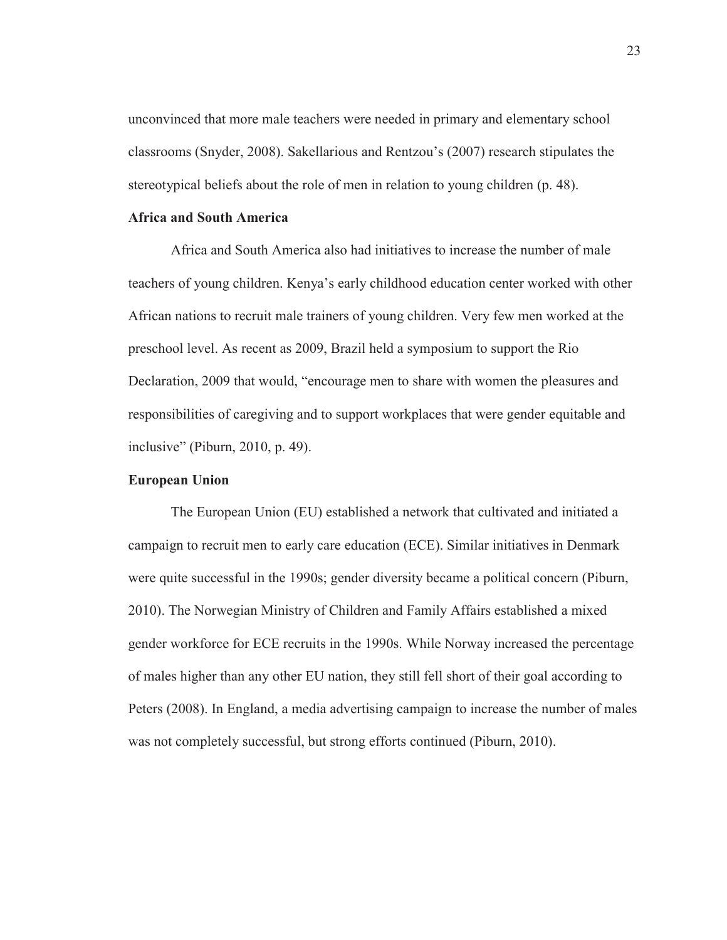unconvinced that more male teachers were needed in primary and elementary school classrooms (Snyder, 2008). Sakellarious and Rentzou's (2007) research stipulates the stereotypical beliefs about the role of men in relation to young children (p. 48).

# **Africa and South America**

Africa and South America also had initiatives to increase the number of male teachers of young children. Kenya's early childhood education center worked with other African nations to recruit male trainers of young children. Very few men worked at the preschool level. As recent as 2009, Brazil held a symposium to support the Rio Declaration, 2009 that would, "encourage men to share with women the pleasures and responsibilities of caregiving and to support workplaces that were gender equitable and inclusive" (Piburn, 2010, p. 49).

### **European Union**

The European Union (EU) established a network that cultivated and initiated a campaign to recruit men to early care education (ECE). Similar initiatives in Denmark were quite successful in the 1990s; gender diversity became a political concern (Piburn, 2010). The Norwegian Ministry of Children and Family Affairs established a mixed gender workforce for ECE recruits in the 1990s. While Norway increased the percentage of males higher than any other EU nation, they still fell short of their goal according to Peters (2008). In England, a media advertising campaign to increase the number of males was not completely successful, but strong efforts continued (Piburn, 2010).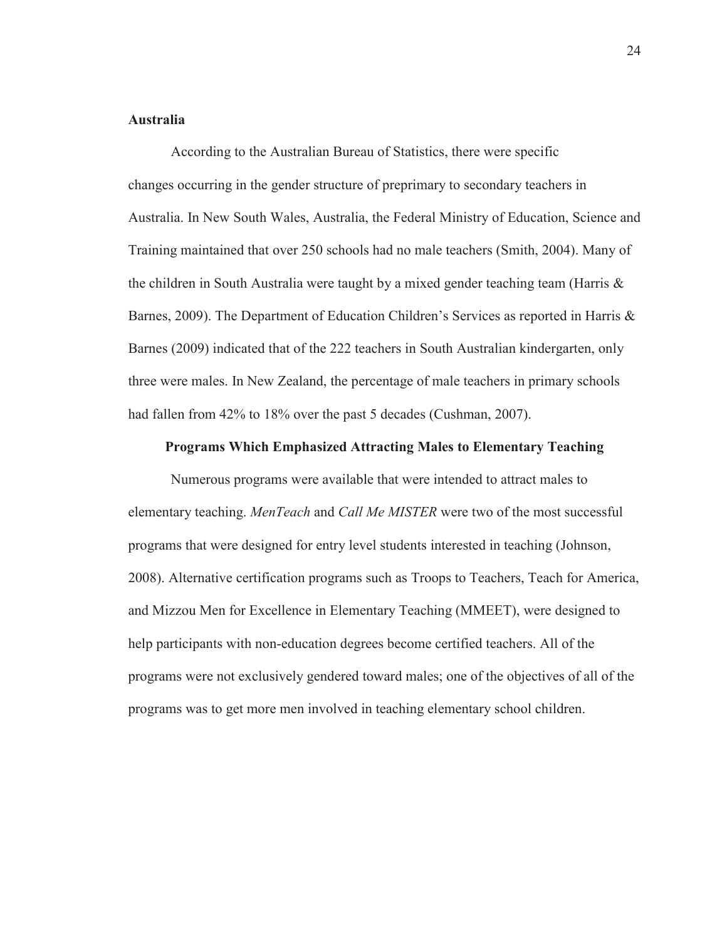# **Australia**

According to the Australian Bureau of Statistics, there were specific changes occurring in the gender structure of preprimary to secondary teachers in Australia. In New South Wales, Australia, the Federal Ministry of Education, Science and Training maintained that over 250 schools had no male teachers (Smith, 2004). Many of the children in South Australia were taught by a mixed gender teaching team (Harris & Barnes, 2009). The Department of Education Children's Services as reported in Harris & Barnes (2009) indicated that of the 222 teachers in South Australian kindergarten, only three were males. In New Zealand, the percentage of male teachers in primary schools had fallen from 42% to 18% over the past 5 decades (Cushman, 2007).

#### **Programs Which Emphasized Attracting Males to Elementary Teaching**

Numerous programs were available that were intended to attract males to elementary teaching. *MenTeach* and *Call Me MISTER* were two of the most successful programs that were designed for entry level students interested in teaching (Johnson, 2008). Alternative certification programs such as Troops to Teachers, Teach for America, and Mizzou Men for Excellence in Elementary Teaching (MMEET), were designed to help participants with non-education degrees become certified teachers. All of the programs were not exclusively gendered toward males; one of the objectives of all of the programs was to get more men involved in teaching elementary school children.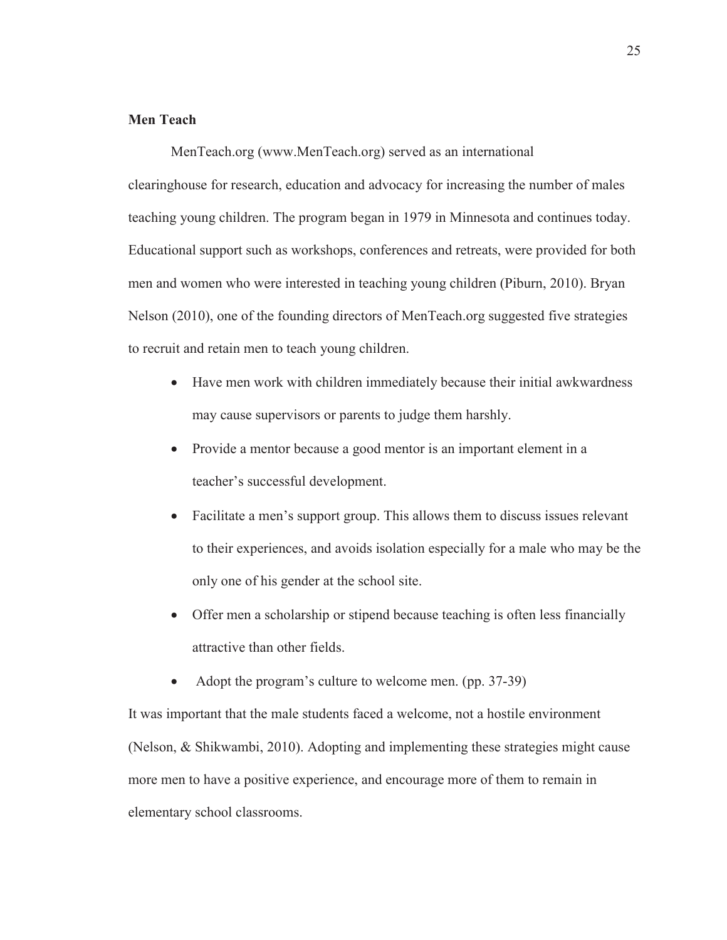# **Men Teach**

MenTeach.org (www.MenTeach.org) served as an international clearinghouse for research, education and advocacy for increasing the number of males teaching young children. The program began in 1979 in Minnesota and continues today. Educational support such as workshops, conferences and retreats, were provided for both men and women who were interested in teaching young children (Piburn, 2010). Bryan Nelson (2010), one of the founding directors of MenTeach.org suggested five strategies to recruit and retain men to teach young children.

- Have men work with children immediately because their initial awkwardness may cause supervisors or parents to judge them harshly.
- Provide a mentor because a good mentor is an important element in a teacher's successful development.
- Facilitate a men's support group. This allows them to discuss issues relevant to their experiences, and avoids isolation especially for a male who may be the only one of his gender at the school site.
- Offer men a scholarship or stipend because teaching is often less financially attractive than other fields.
- Adopt the program's culture to welcome men. (pp. 37-39)

It was important that the male students faced a welcome, not a hostile environment (Nelson, & Shikwambi, 2010). Adopting and implementing these strategies might cause more men to have a positive experience, and encourage more of them to remain in elementary school classrooms.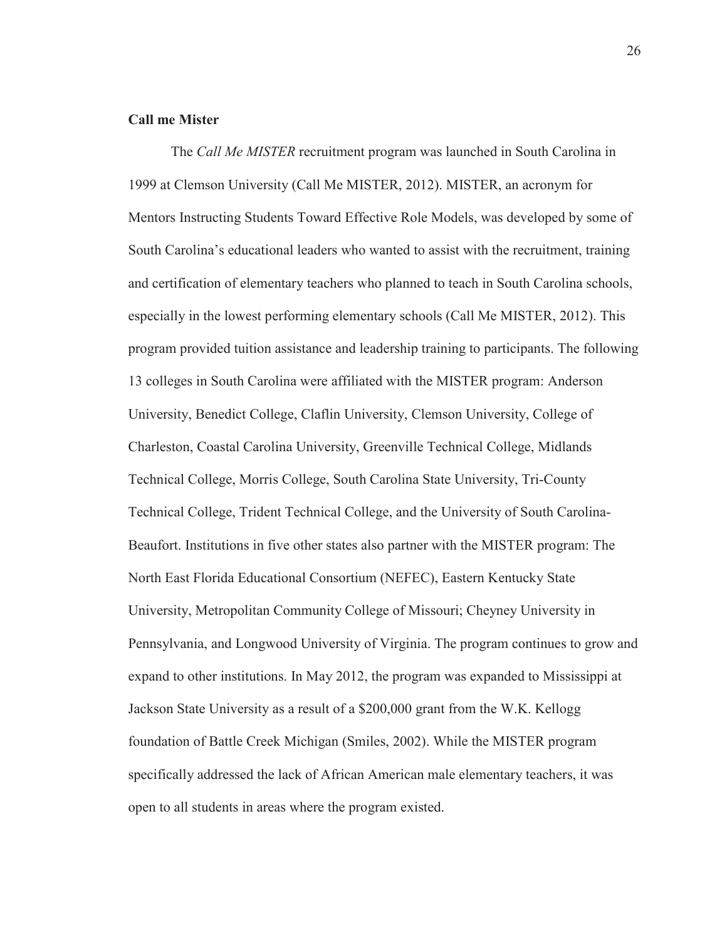### **Call me Mister**

The *Call Me MISTER* recruitment program was launched in South Carolina in 1999 at Clemson University (Call Me MISTER, 2012). MISTER, an acronym for Mentors Instructing Students Toward Effective Role Models, was developed by some of South Carolina's educational leaders who wanted to assist with the recruitment, training and certification of elementary teachers who planned to teach in South Carolina schools, especially in the lowest performing elementary schools (Call Me MISTER, 2012). This program provided tuition assistance and leadership training to participants. The following 13 colleges in South Carolina were affiliated with the MISTER program: Anderson University, Benedict College, Claflin University, Clemson University, College of Charleston, Coastal Carolina University, Greenville Technical College, Midlands Technical College, Morris College, South Carolina State University, Tri-County Technical College, Trident Technical College, and the University of South Carolina-Beaufort. Institutions in five other states also partner with the MISTER program: The North East Florida Educational Consortium (NEFEC), Eastern Kentucky State University, Metropolitan Community College of Missouri; Cheyney University in Pennsylvania, and Longwood University of Virginia. The program continues to grow and expand to other institutions. In May 2012, the program was expanded to Mississippi at Jackson State University as a result of a \$200,000 grant from the W.K. Kellogg foundation of Battle Creek Michigan (Smiles, 2002). While the MISTER program specifically addressed the lack of African American male elementary teachers, it was open to all students in areas where the program existed.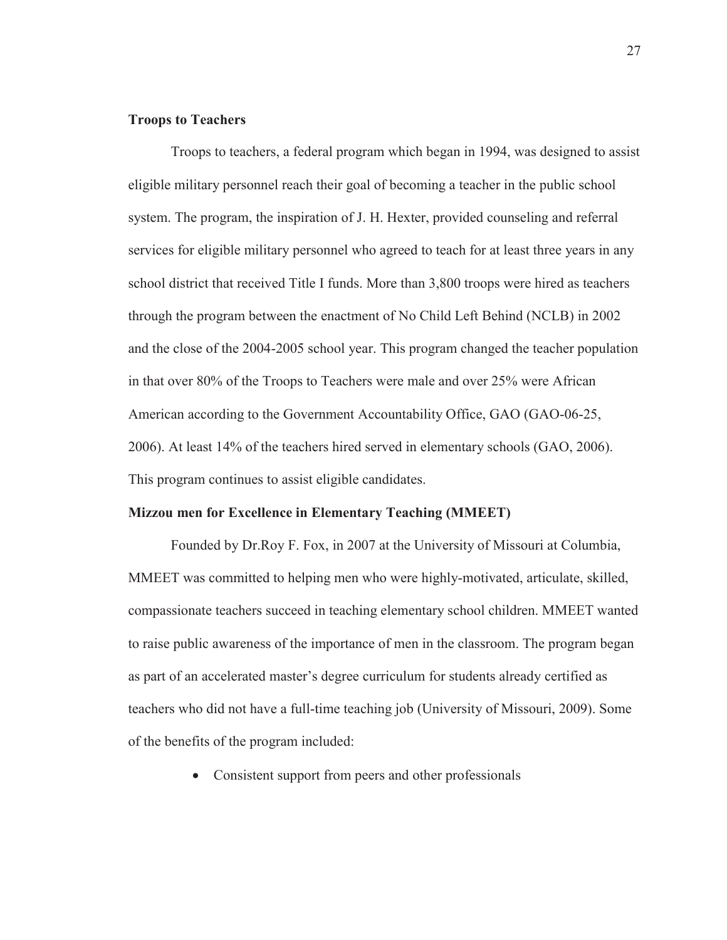# **Troops to Teachers**

Troops to teachers, a federal program which began in 1994, was designed to assist eligible military personnel reach their goal of becoming a teacher in the public school system. The program, the inspiration of J. H. Hexter, provided counseling and referral services for eligible military personnel who agreed to teach for at least three years in any school district that received Title I funds. More than 3,800 troops were hired as teachers through the program between the enactment of No Child Left Behind (NCLB) in 2002 and the close of the 2004-2005 school year. This program changed the teacher population in that over 80% of the Troops to Teachers were male and over 25% were African American according to the Government Accountability Office, GAO (GAO-06-25, 2006). At least 14% of the teachers hired served in elementary schools (GAO, 2006). This program continues to assist eligible candidates.

## **Mizzou men for Excellence in Elementary Teaching (MMEET)**

Founded by Dr.Roy F. Fox, in 2007 at the University of Missouri at Columbia, MMEET was committed to helping men who were highly-motivated, articulate, skilled, compassionate teachers succeed in teaching elementary school children. MMEET wanted to raise public awareness of the importance of men in the classroom. The program began as part of an accelerated master's degree curriculum for students already certified as teachers who did not have a full-time teaching job (University of Missouri, 2009). Some of the benefits of the program included:

• Consistent support from peers and other professionals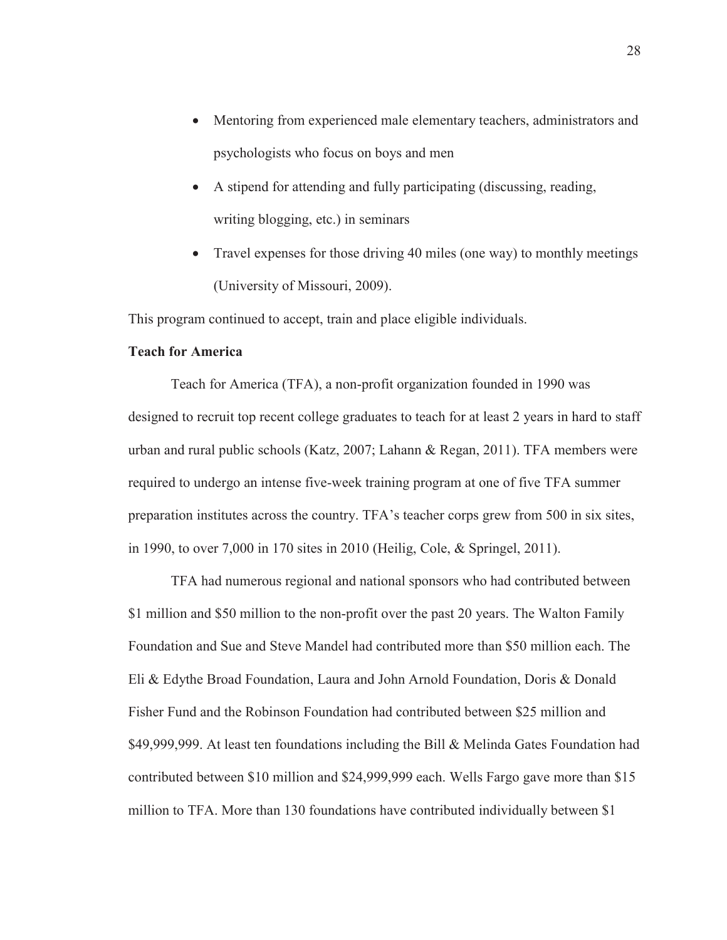- Mentoring from experienced male elementary teachers, administrators and psychologists who focus on boys and men
- $\bullet$  A stipend for attending and fully participating (discussing, reading, writing blogging, etc.) in seminars
- Travel expenses for those driving 40 miles (one way) to monthly meetings (University of Missouri, 2009).

This program continued to accept, train and place eligible individuals.

# **Teach for America**

Teach for America (TFA), a non-profit organization founded in 1990 was designed to recruit top recent college graduates to teach for at least 2 years in hard to staff urban and rural public schools (Katz, 2007; Lahann & Regan, 2011). TFA members were required to undergo an intense five-week training program at one of five TFA summer preparation institutes across the country. TFA's teacher corps grew from 500 in six sites, in 1990, to over 7,000 in 170 sites in 2010 (Heilig, Cole, & Springel, 2011).

TFA had numerous regional and national sponsors who had contributed between \$1 million and \$50 million to the non-profit over the past 20 years. The Walton Family Foundation and Sue and Steve Mandel had contributed more than \$50 million each. The Eli & Edythe Broad Foundation, Laura and John Arnold Foundation, Doris & Donald Fisher Fund and the Robinson Foundation had contributed between \$25 million and \$49,999,999. At least ten foundations including the Bill & Melinda Gates Foundation had contributed between \$10 million and \$24,999,999 each. Wells Fargo gave more than \$15 million to TFA. More than 130 foundations have contributed individually between \$1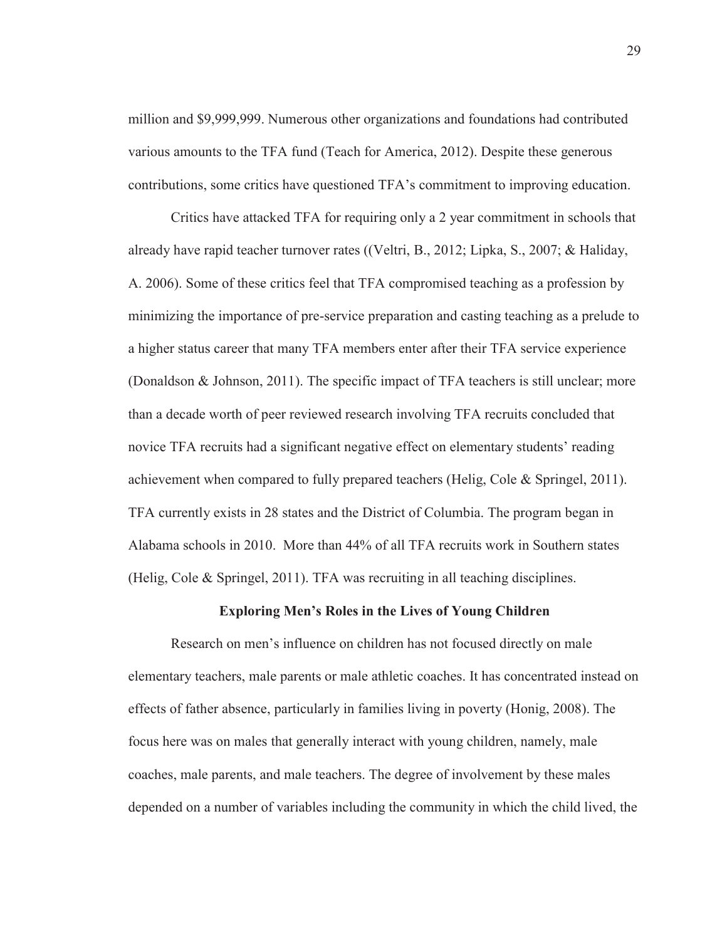million and \$9,999,999. Numerous other organizations and foundations had contributed various amounts to the TFA fund (Teach for America, 2012). Despite these generous contributions, some critics have questioned TFA's commitment to improving education.

 Critics have attacked TFA for requiring only a 2 year commitment in schools that already have rapid teacher turnover rates ((Veltri, B., 2012; Lipka, S., 2007; & Haliday, A. 2006). Some of these critics feel that TFA compromised teaching as a profession by minimizing the importance of pre-service preparation and casting teaching as a prelude to a higher status career that many TFA members enter after their TFA service experience (Donaldson & Johnson, 2011). The specific impact of TFA teachers is still unclear; more than a decade worth of peer reviewed research involving TFA recruits concluded that novice TFA recruits had a significant negative effect on elementary students' reading achievement when compared to fully prepared teachers (Helig, Cole & Springel, 2011). TFA currently exists in 28 states and the District of Columbia. The program began in Alabama schools in 2010. More than 44% of all TFA recruits work in Southern states (Helig, Cole & Springel, 2011). TFA was recruiting in all teaching disciplines.

### **Exploring Men's Roles in the Lives of Young Children**

Research on men's influence on children has not focused directly on male elementary teachers, male parents or male athletic coaches. It has concentrated instead on effects of father absence, particularly in families living in poverty (Honig, 2008). The focus here was on males that generally interact with young children, namely, male coaches, male parents, and male teachers. The degree of involvement by these males depended on a number of variables including the community in which the child lived, the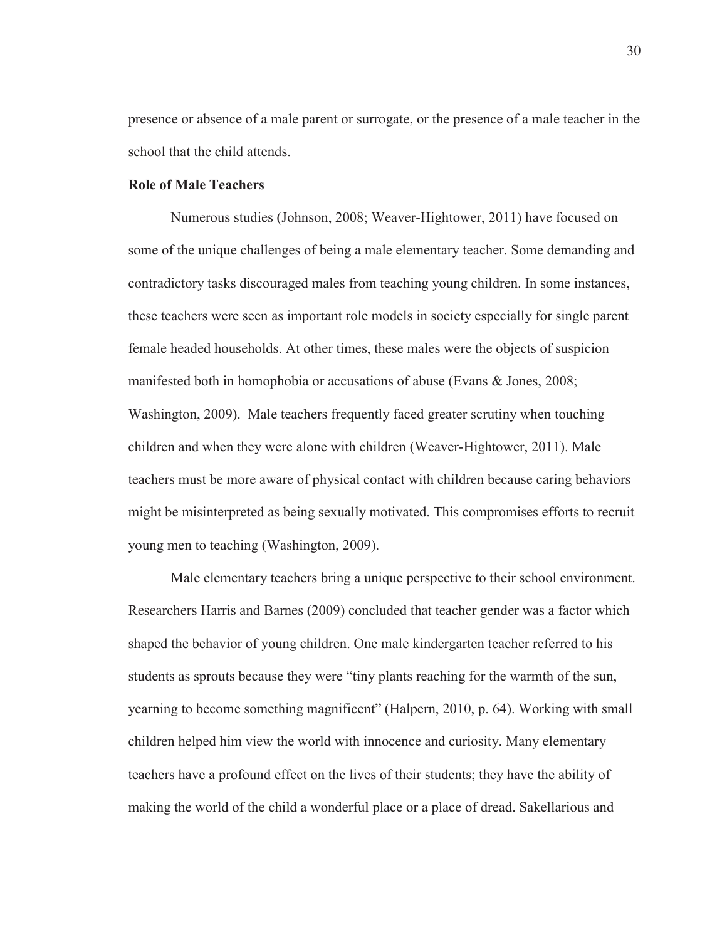presence or absence of a male parent or surrogate, or the presence of a male teacher in the school that the child attends.

# **Role of Male Teachers**

Numerous studies (Johnson, 2008; Weaver-Hightower, 2011) have focused on some of the unique challenges of being a male elementary teacher. Some demanding and contradictory tasks discouraged males from teaching young children. In some instances, these teachers were seen as important role models in society especially for single parent female headed households. At other times, these males were the objects of suspicion manifested both in homophobia or accusations of abuse (Evans & Jones, 2008; Washington, 2009). Male teachers frequently faced greater scrutiny when touching children and when they were alone with children (Weaver-Hightower, 2011). Male teachers must be more aware of physical contact with children because caring behaviors might be misinterpreted as being sexually motivated. This compromises efforts to recruit young men to teaching (Washington, 2009).

Male elementary teachers bring a unique perspective to their school environment. Researchers Harris and Barnes (2009) concluded that teacher gender was a factor which shaped the behavior of young children. One male kindergarten teacher referred to his students as sprouts because they were "tiny plants reaching for the warmth of the sun, yearning to become something magnificent" (Halpern, 2010, p. 64). Working with small children helped him view the world with innocence and curiosity. Many elementary teachers have a profound effect on the lives of their students; they have the ability of making the world of the child a wonderful place or a place of dread. Sakellarious and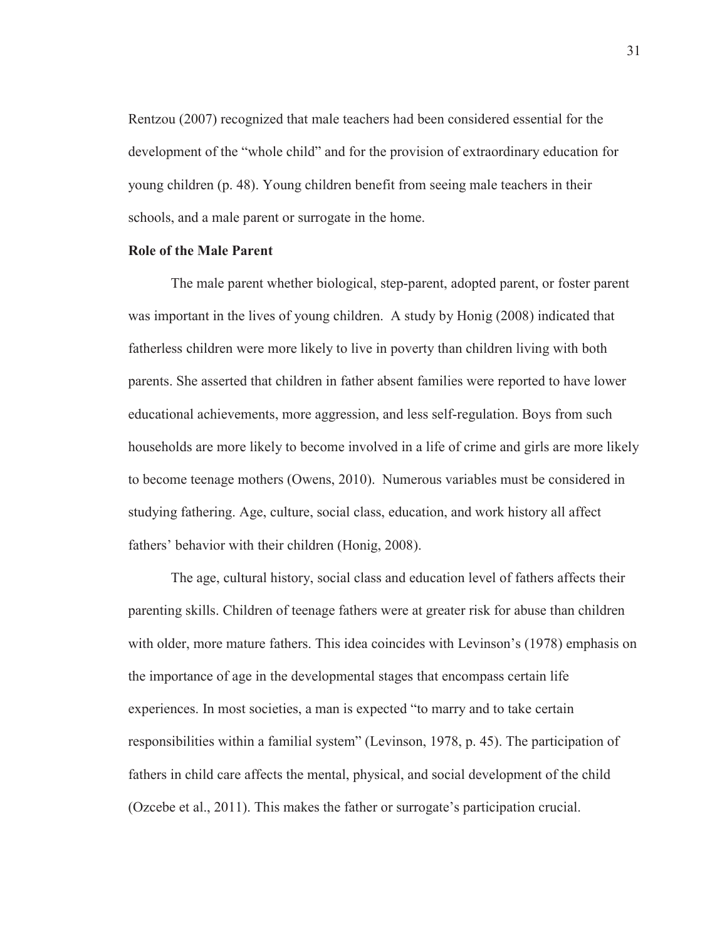Rentzou (2007) recognized that male teachers had been considered essential for the development of the "whole child" and for the provision of extraordinary education for young children (p. 48). Young children benefit from seeing male teachers in their schools, and a male parent or surrogate in the home.

## **Role of the Male Parent**

The male parent whether biological, step-parent, adopted parent, or foster parent was important in the lives of young children. A study by Honig (2008) indicated that fatherless children were more likely to live in poverty than children living with both parents. She asserted that children in father absent families were reported to have lower educational achievements, more aggression, and less self-regulation. Boys from such households are more likely to become involved in a life of crime and girls are more likely to become teenage mothers (Owens, 2010). Numerous variables must be considered in studying fathering. Age, culture, social class, education, and work history all affect fathers' behavior with their children (Honig, 2008).

 The age, cultural history, social class and education level of fathers affects their parenting skills. Children of teenage fathers were at greater risk for abuse than children with older, more mature fathers. This idea coincides with Levinson's (1978) emphasis on the importance of age in the developmental stages that encompass certain life experiences. In most societies, a man is expected "to marry and to take certain responsibilities within a familial system" (Levinson, 1978, p. 45). The participation of fathers in child care affects the mental, physical, and social development of the child (Ozcebe et al., 2011). This makes the father or surrogate's participation crucial.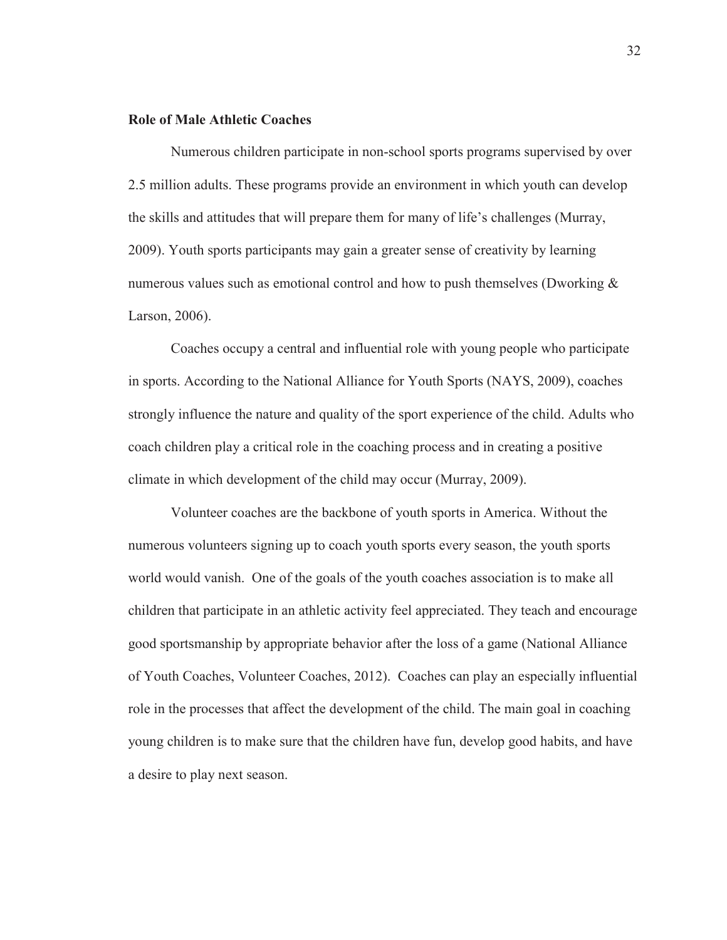## **Role of Male Athletic Coaches**

Numerous children participate in non-school sports programs supervised by over 2.5 million adults. These programs provide an environment in which youth can develop the skills and attitudes that will prepare them for many of life's challenges (Murray, 2009). Youth sports participants may gain a greater sense of creativity by learning numerous values such as emotional control and how to push themselves (Dworking  $\&$ Larson, 2006).

 Coaches occupy a central and influential role with young people who participate in sports. According to the National Alliance for Youth Sports (NAYS, 2009), coaches strongly influence the nature and quality of the sport experience of the child. Adults who coach children play a critical role in the coaching process and in creating a positive climate in which development of the child may occur (Murray, 2009).

Volunteer coaches are the backbone of youth sports in America. Without the numerous volunteers signing up to coach youth sports every season, the youth sports world would vanish. One of the goals of the youth coaches association is to make all children that participate in an athletic activity feel appreciated. They teach and encourage good sportsmanship by appropriate behavior after the loss of a game (National Alliance of Youth Coaches, Volunteer Coaches, 2012). Coaches can play an especially influential role in the processes that affect the development of the child. The main goal in coaching young children is to make sure that the children have fun, develop good habits, and have a desire to play next season.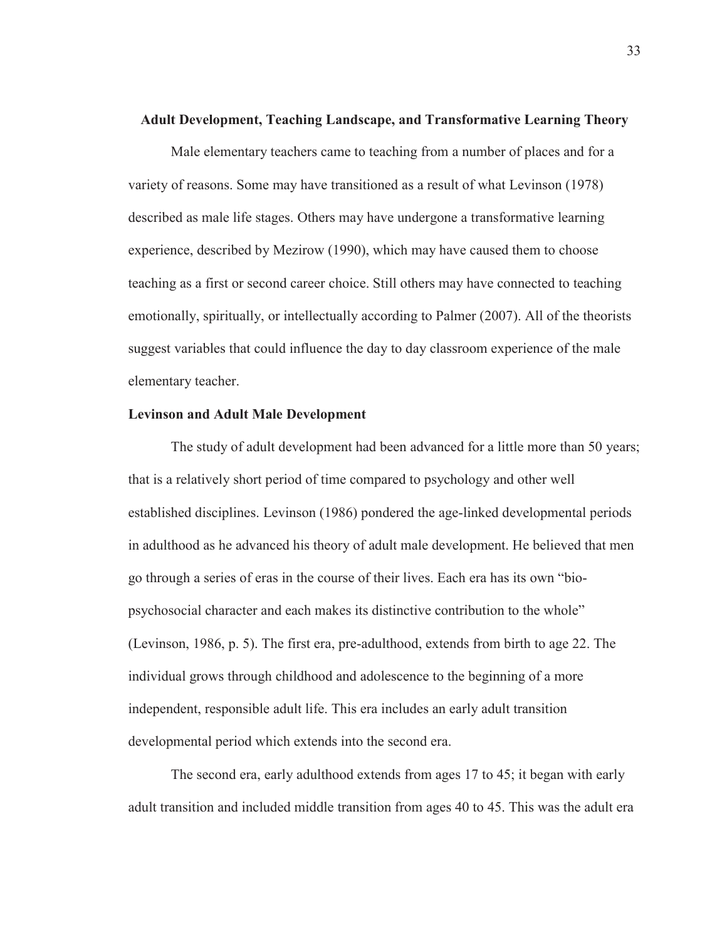#### **Adult Development, Teaching Landscape, and Transformative Learning Theory**

Male elementary teachers came to teaching from a number of places and for a variety of reasons. Some may have transitioned as a result of what Levinson (1978) described as male life stages. Others may have undergone a transformative learning experience, described by Mezirow (1990), which may have caused them to choose teaching as a first or second career choice. Still others may have connected to teaching emotionally, spiritually, or intellectually according to Palmer (2007). All of the theorists suggest variables that could influence the day to day classroom experience of the male elementary teacher.

# **Levinson and Adult Male Development**

The study of adult development had been advanced for a little more than 50 years; that is a relatively short period of time compared to psychology and other well established disciplines. Levinson (1986) pondered the age-linked developmental periods in adulthood as he advanced his theory of adult male development. He believed that men go through a series of eras in the course of their lives. Each era has its own "biopsychosocial character and each makes its distinctive contribution to the whole" (Levinson, 1986, p. 5). The first era, pre-adulthood, extends from birth to age 22. The individual grows through childhood and adolescence to the beginning of a more independent, responsible adult life. This era includes an early adult transition developmental period which extends into the second era.

The second era, early adulthood extends from ages 17 to 45; it began with early adult transition and included middle transition from ages 40 to 45. This was the adult era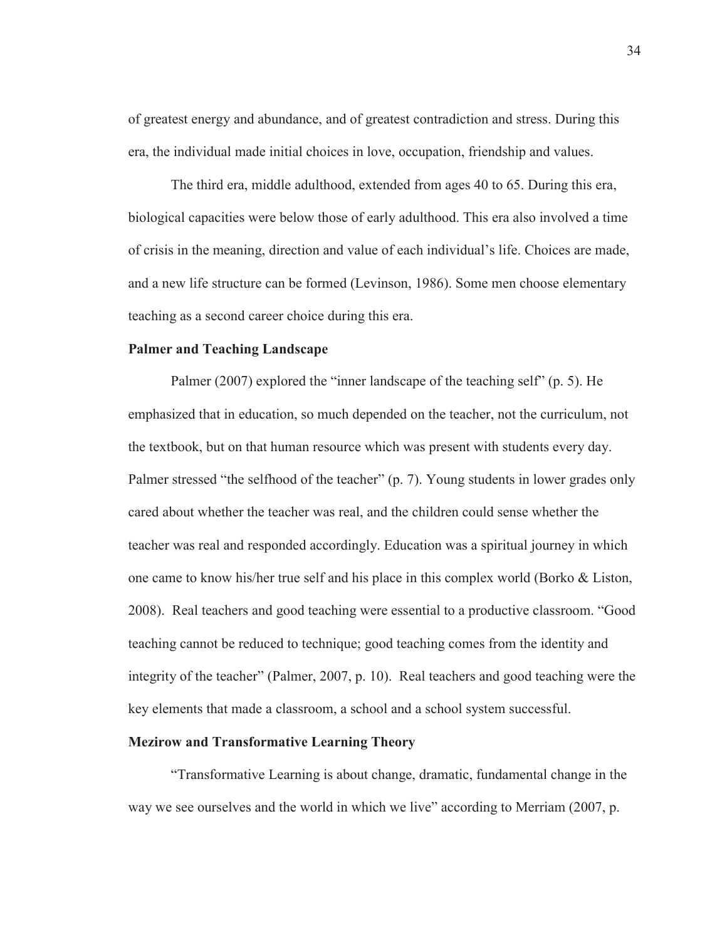of greatest energy and abundance, and of greatest contradiction and stress. During this era, the individual made initial choices in love, occupation, friendship and values.

The third era, middle adulthood, extended from ages 40 to 65. During this era, biological capacities were below those of early adulthood. This era also involved a time of crisis in the meaning, direction and value of each individual's life. Choices are made, and a new life structure can be formed (Levinson, 1986). Some men choose elementary teaching as a second career choice during this era.

# **Palmer and Teaching Landscape**

Palmer (2007) explored the "inner landscape of the teaching self" (p. 5). He emphasized that in education, so much depended on the teacher, not the curriculum, not the textbook, but on that human resource which was present with students every day. Palmer stressed "the selfhood of the teacher" (p. 7). Young students in lower grades only cared about whether the teacher was real, and the children could sense whether the teacher was real and responded accordingly. Education was a spiritual journey in which one came to know his/her true self and his place in this complex world (Borko & Liston, 2008). Real teachers and good teaching were essential to a productive classroom. "Good teaching cannot be reduced to technique; good teaching comes from the identity and integrity of the teacher" (Palmer, 2007, p. 10). Real teachers and good teaching were the key elements that made a classroom, a school and a school system successful.

#### **Mezirow and Transformative Learning Theory**

"Transformative Learning is about change, dramatic, fundamental change in the way we see ourselves and the world in which we live" according to Merriam (2007, p.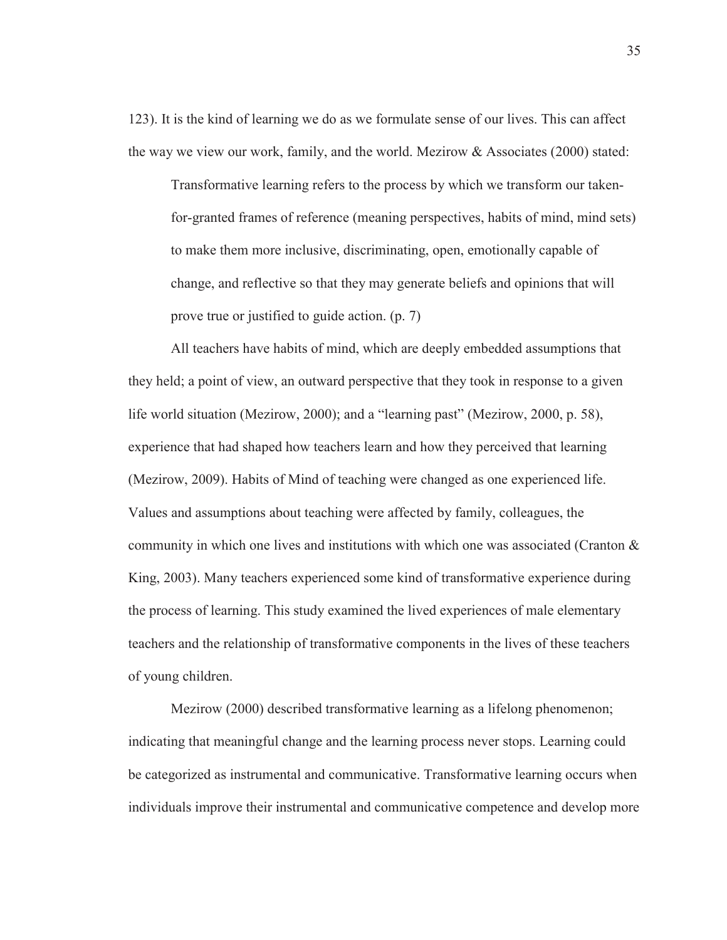123). It is the kind of learning we do as we formulate sense of our lives. This can affect the way we view our work, family, and the world. Mezirow & Associates (2000) stated:

Transformative learning refers to the process by which we transform our takenfor-granted frames of reference (meaning perspectives, habits of mind, mind sets) to make them more inclusive, discriminating, open, emotionally capable of change, and reflective so that they may generate beliefs and opinions that will prove true or justified to guide action. (p. 7)

 All teachers have habits of mind, which are deeply embedded assumptions that they held; a point of view, an outward perspective that they took in response to a given life world situation (Mezirow, 2000); and a "learning past" (Mezirow, 2000, p. 58), experience that had shaped how teachers learn and how they perceived that learning (Mezirow, 2009). Habits of Mind of teaching were changed as one experienced life. Values and assumptions about teaching were affected by family, colleagues, the community in which one lives and institutions with which one was associated (Cranton  $\&$ King, 2003). Many teachers experienced some kind of transformative experience during the process of learning. This study examined the lived experiences of male elementary teachers and the relationship of transformative components in the lives of these teachers of young children.

Mezirow (2000) described transformative learning as a lifelong phenomenon; indicating that meaningful change and the learning process never stops. Learning could be categorized as instrumental and communicative. Transformative learning occurs when individuals improve their instrumental and communicative competence and develop more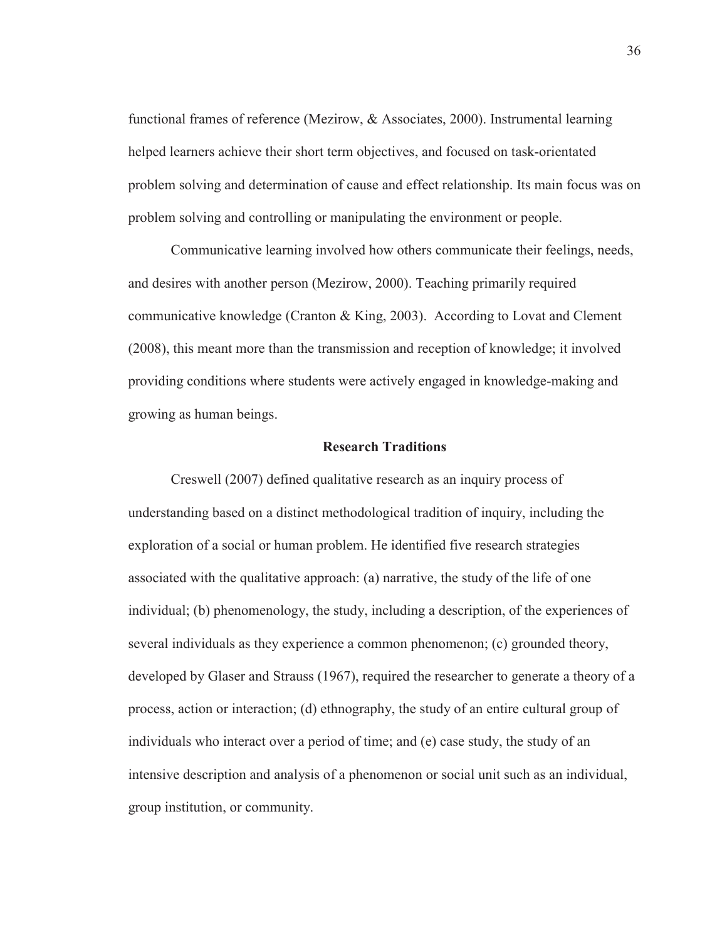functional frames of reference (Mezirow, & Associates, 2000). Instrumental learning helped learners achieve their short term objectives, and focused on task-orientated problem solving and determination of cause and effect relationship. Its main focus was on problem solving and controlling or manipulating the environment or people.

 Communicative learning involved how others communicate their feelings, needs, and desires with another person (Mezirow, 2000). Teaching primarily required communicative knowledge (Cranton & King, 2003). According to Lovat and Clement (2008), this meant more than the transmission and reception of knowledge; it involved providing conditions where students were actively engaged in knowledge-making and growing as human beings.

#### **Research Traditions**

Creswell (2007) defined qualitative research as an inquiry process of understanding based on a distinct methodological tradition of inquiry, including the exploration of a social or human problem. He identified five research strategies associated with the qualitative approach: (a) narrative, the study of the life of one individual; (b) phenomenology, the study, including a description, of the experiences of several individuals as they experience a common phenomenon; (c) grounded theory, developed by Glaser and Strauss (1967), required the researcher to generate a theory of a process, action or interaction; (d) ethnography, the study of an entire cultural group of individuals who interact over a period of time; and (e) case study, the study of an intensive description and analysis of a phenomenon or social unit such as an individual, group institution, or community.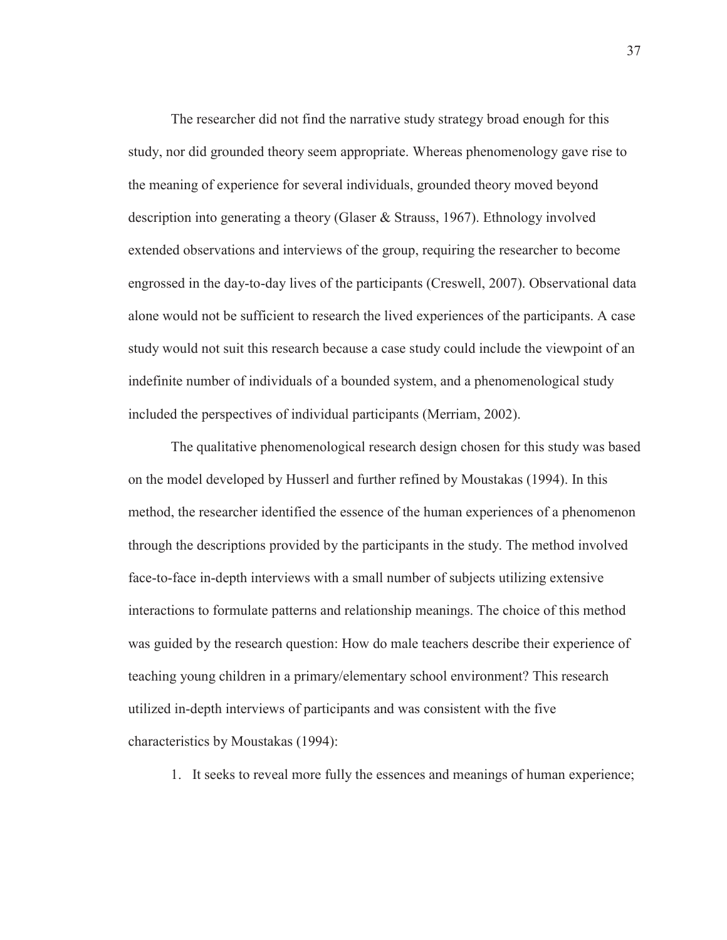The researcher did not find the narrative study strategy broad enough for this study, nor did grounded theory seem appropriate. Whereas phenomenology gave rise to the meaning of experience for several individuals, grounded theory moved beyond description into generating a theory (Glaser & Strauss, 1967). Ethnology involved extended observations and interviews of the group, requiring the researcher to become engrossed in the day-to-day lives of the participants (Creswell, 2007). Observational data alone would not be sufficient to research the lived experiences of the participants. A case study would not suit this research because a case study could include the viewpoint of an indefinite number of individuals of a bounded system, and a phenomenological study included the perspectives of individual participants (Merriam, 2002).

The qualitative phenomenological research design chosen for this study was based on the model developed by Husserl and further refined by Moustakas (1994). In this method, the researcher identified the essence of the human experiences of a phenomenon through the descriptions provided by the participants in the study. The method involved face-to-face in-depth interviews with a small number of subjects utilizing extensive interactions to formulate patterns and relationship meanings. The choice of this method was guided by the research question: How do male teachers describe their experience of teaching young children in a primary/elementary school environment? This research utilized in-depth interviews of participants and was consistent with the five characteristics by Moustakas (1994):

1. It seeks to reveal more fully the essences and meanings of human experience;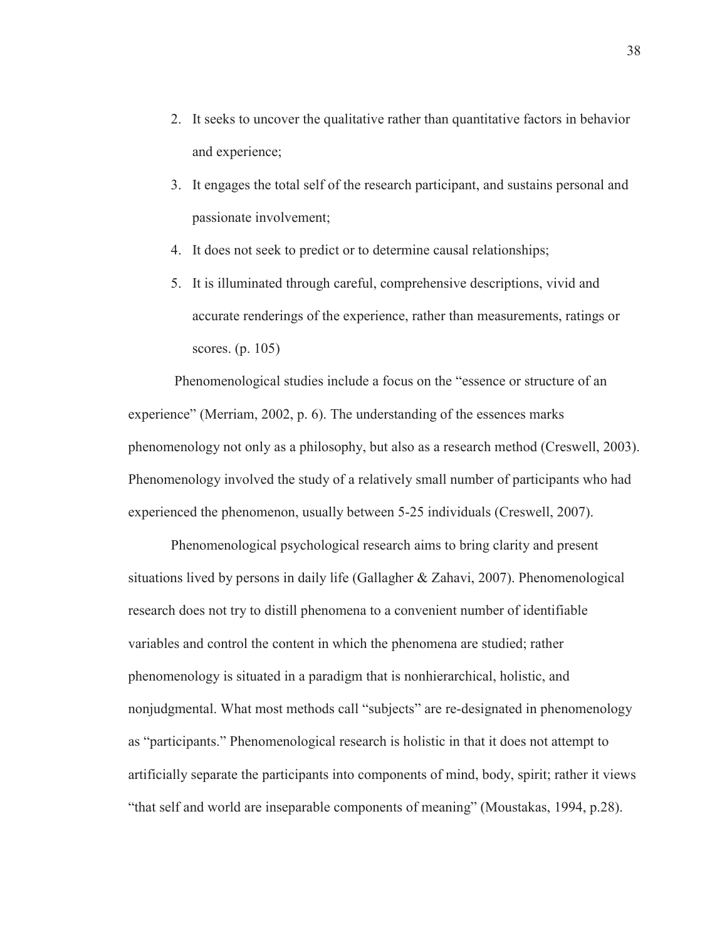- 2. It seeks to uncover the qualitative rather than quantitative factors in behavior and experience;
- 3. It engages the total self of the research participant, and sustains personal and passionate involvement;
- 4. It does not seek to predict or to determine causal relationships;
- 5. It is illuminated through careful, comprehensive descriptions, vivid and accurate renderings of the experience, rather than measurements, ratings or scores. (p. 105)

 Phenomenological studies include a focus on the "essence or structure of an experience" (Merriam, 2002, p. 6). The understanding of the essences marks phenomenology not only as a philosophy, but also as a research method (Creswell, 2003). Phenomenology involved the study of a relatively small number of participants who had experienced the phenomenon, usually between 5-25 individuals (Creswell, 2007).

Phenomenological psychological research aims to bring clarity and present situations lived by persons in daily life (Gallagher & Zahavi, 2007). Phenomenological research does not try to distill phenomena to a convenient number of identifiable variables and control the content in which the phenomena are studied; rather phenomenology is situated in a paradigm that is nonhierarchical, holistic, and nonjudgmental. What most methods call "subjects" are re-designated in phenomenology as "participants." Phenomenological research is holistic in that it does not attempt to artificially separate the participants into components of mind, body, spirit; rather it views "that self and world are inseparable components of meaning" (Moustakas, 1994, p.28).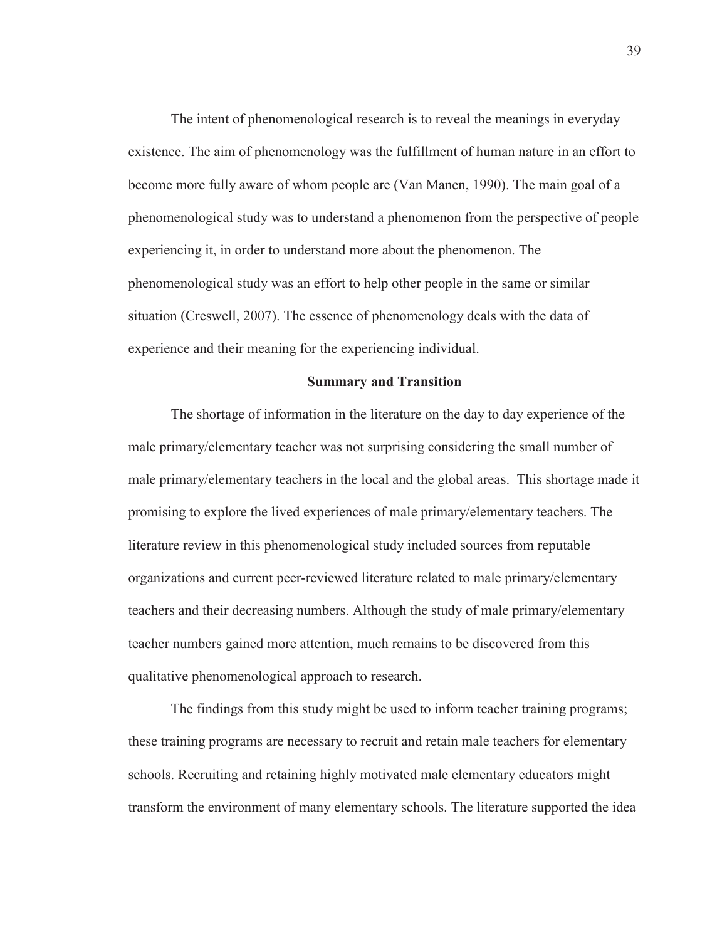The intent of phenomenological research is to reveal the meanings in everyday existence. The aim of phenomenology was the fulfillment of human nature in an effort to become more fully aware of whom people are (Van Manen, 1990). The main goal of a phenomenological study was to understand a phenomenon from the perspective of people experiencing it, in order to understand more about the phenomenon. The phenomenological study was an effort to help other people in the same or similar situation (Creswell, 2007). The essence of phenomenology deals with the data of experience and their meaning for the experiencing individual.

#### **Summary and Transition**

The shortage of information in the literature on the day to day experience of the male primary/elementary teacher was not surprising considering the small number of male primary/elementary teachers in the local and the global areas. This shortage made it promising to explore the lived experiences of male primary/elementary teachers. The literature review in this phenomenological study included sources from reputable organizations and current peer-reviewed literature related to male primary/elementary teachers and their decreasing numbers. Although the study of male primary/elementary teacher numbers gained more attention, much remains to be discovered from this qualitative phenomenological approach to research.

The findings from this study might be used to inform teacher training programs; these training programs are necessary to recruit and retain male teachers for elementary schools. Recruiting and retaining highly motivated male elementary educators might transform the environment of many elementary schools. The literature supported the idea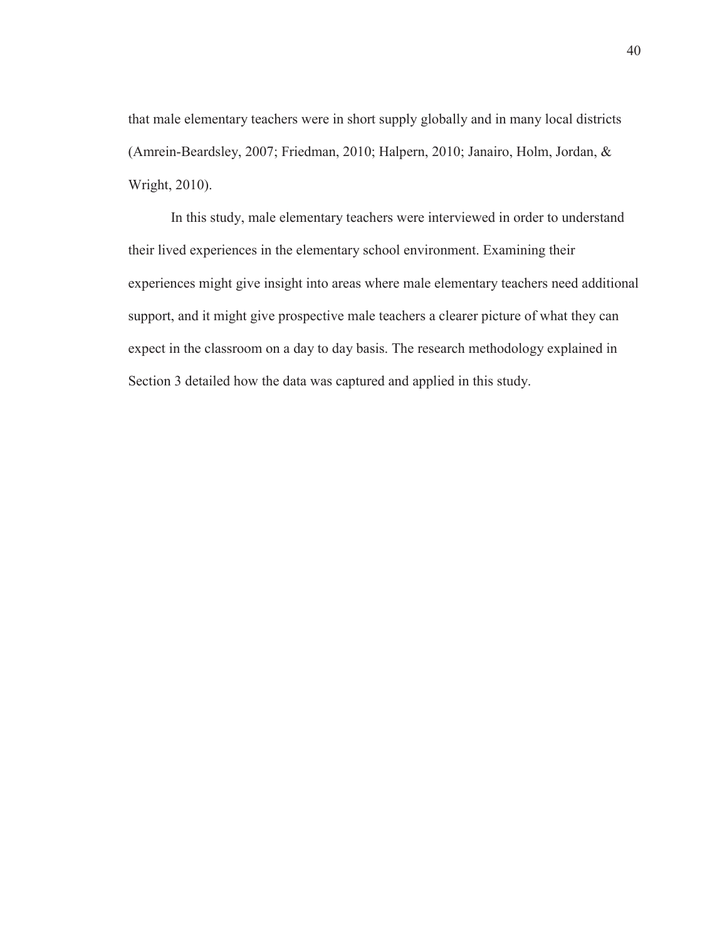that male elementary teachers were in short supply globally and in many local districts (Amrein-Beardsley, 2007; Friedman, 2010; Halpern, 2010; Janairo, Holm, Jordan, & Wright, 2010).

 In this study, male elementary teachers were interviewed in order to understand their lived experiences in the elementary school environment. Examining their experiences might give insight into areas where male elementary teachers need additional support, and it might give prospective male teachers a clearer picture of what they can expect in the classroom on a day to day basis. The research methodology explained in Section 3 detailed how the data was captured and applied in this study.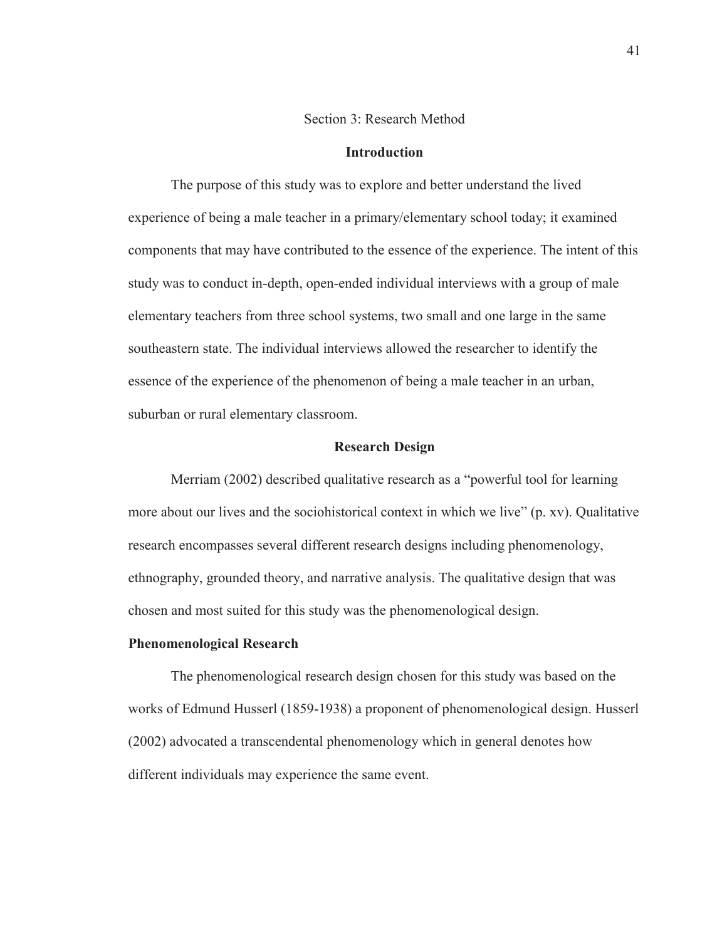#### Section 3: Research Method

# **Introduction**

The purpose of this study was to explore and better understand the lived experience of being a male teacher in a primary/elementary school today; it examined components that may have contributed to the essence of the experience. The intent of this study was to conduct in-depth, open-ended individual interviews with a group of male elementary teachers from three school systems, two small and one large in the same southeastern state. The individual interviews allowed the researcher to identify the essence of the experience of the phenomenon of being a male teacher in an urban, suburban or rural elementary classroom.

## **Research Design**

Merriam (2002) described qualitative research as a "powerful tool for learning more about our lives and the sociohistorical context in which we live" (p. xv). Qualitative research encompasses several different research designs including phenomenology, ethnography, grounded theory, and narrative analysis. The qualitative design that was chosen and most suited for this study was the phenomenological design.

### **Phenomenological Research**

The phenomenological research design chosen for this study was based on the works of Edmund Husserl (1859-1938) a proponent of phenomenological design. Husserl (2002) advocated a transcendental phenomenology which in general denotes how different individuals may experience the same event.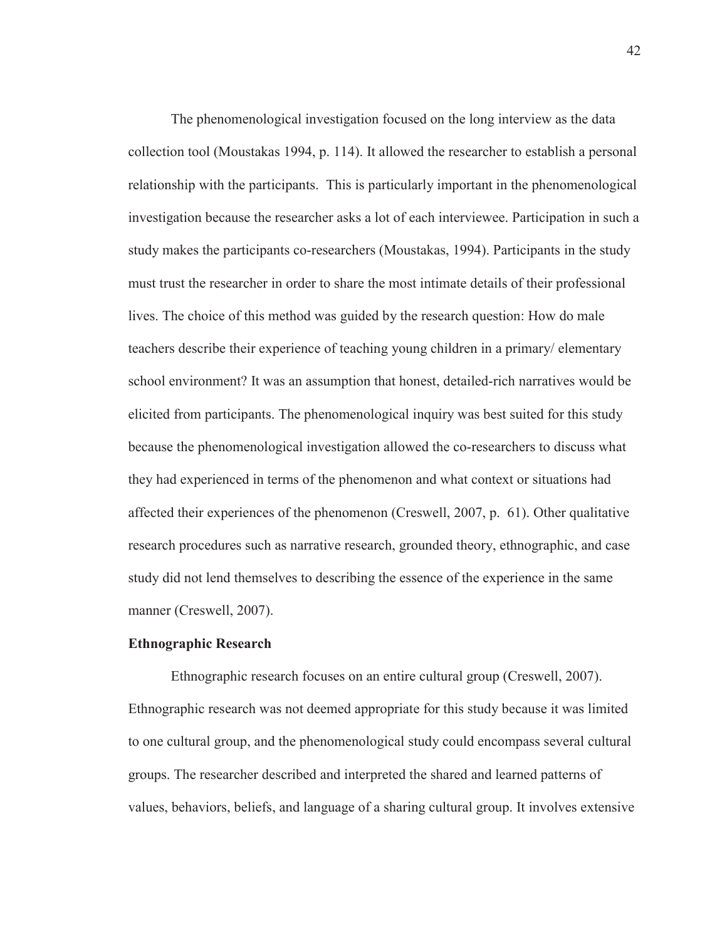The phenomenological investigation focused on the long interview as the data collection tool (Moustakas 1994, p. 114). It allowed the researcher to establish a personal relationship with the participants. This is particularly important in the phenomenological investigation because the researcher asks a lot of each interviewee. Participation in such a study makes the participants co-researchers (Moustakas, 1994). Participants in the study must trust the researcher in order to share the most intimate details of their professional lives. The choice of this method was guided by the research question: How do male teachers describe their experience of teaching young children in a primary/ elementary school environment? It was an assumption that honest, detailed-rich narratives would be elicited from participants. The phenomenological inquiry was best suited for this study because the phenomenological investigation allowed the co-researchers to discuss what they had experienced in terms of the phenomenon and what context or situations had affected their experiences of the phenomenon (Creswell, 2007, p. 61). Other qualitative research procedures such as narrative research, grounded theory, ethnographic, and case study did not lend themselves to describing the essence of the experience in the same manner (Creswell, 2007).

### **Ethnographic Research**

Ethnographic research focuses on an entire cultural group (Creswell, 2007). Ethnographic research was not deemed appropriate for this study because it was limited to one cultural group, and the phenomenological study could encompass several cultural groups. The researcher described and interpreted the shared and learned patterns of values, behaviors, beliefs, and language of a sharing cultural group. It involves extensive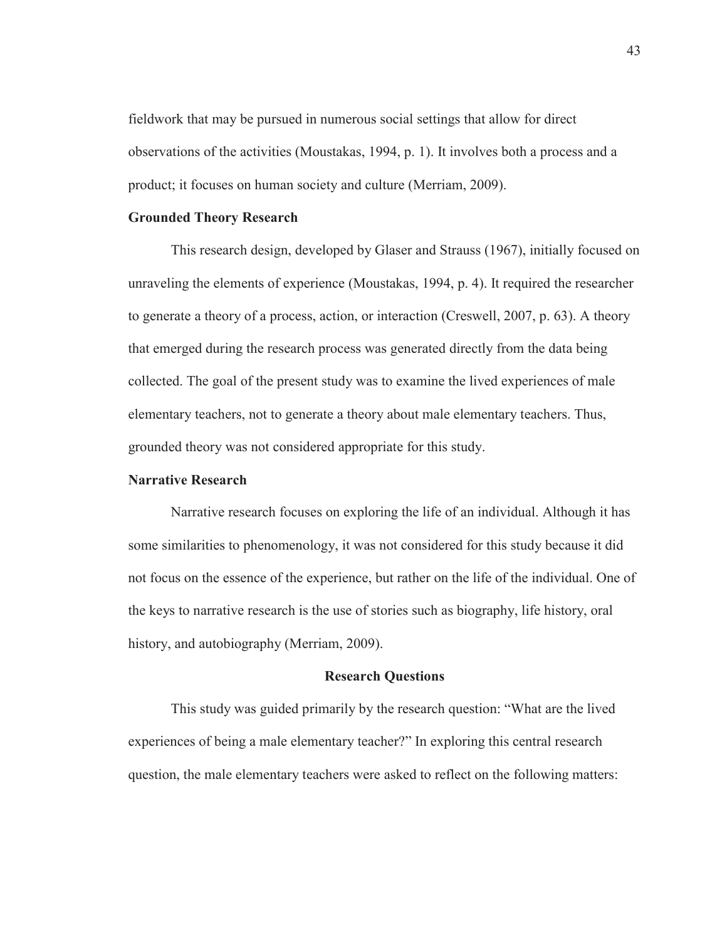fieldwork that may be pursued in numerous social settings that allow for direct observations of the activities (Moustakas, 1994, p. 1). It involves both a process and a product; it focuses on human society and culture (Merriam, 2009).

# **Grounded Theory Research**

This research design, developed by Glaser and Strauss (1967), initially focused on unraveling the elements of experience (Moustakas, 1994, p. 4). It required the researcher to generate a theory of a process, action, or interaction (Creswell, 2007, p. 63). A theory that emerged during the research process was generated directly from the data being collected. The goal of the present study was to examine the lived experiences of male elementary teachers, not to generate a theory about male elementary teachers. Thus, grounded theory was not considered appropriate for this study.

### **Narrative Research**

Narrative research focuses on exploring the life of an individual. Although it has some similarities to phenomenology, it was not considered for this study because it did not focus on the essence of the experience, but rather on the life of the individual. One of the keys to narrative research is the use of stories such as biography, life history, oral history, and autobiography (Merriam, 2009).

#### **Research Questions**

This study was guided primarily by the research question: "What are the lived experiences of being a male elementary teacher?" In exploring this central research question, the male elementary teachers were asked to reflect on the following matters: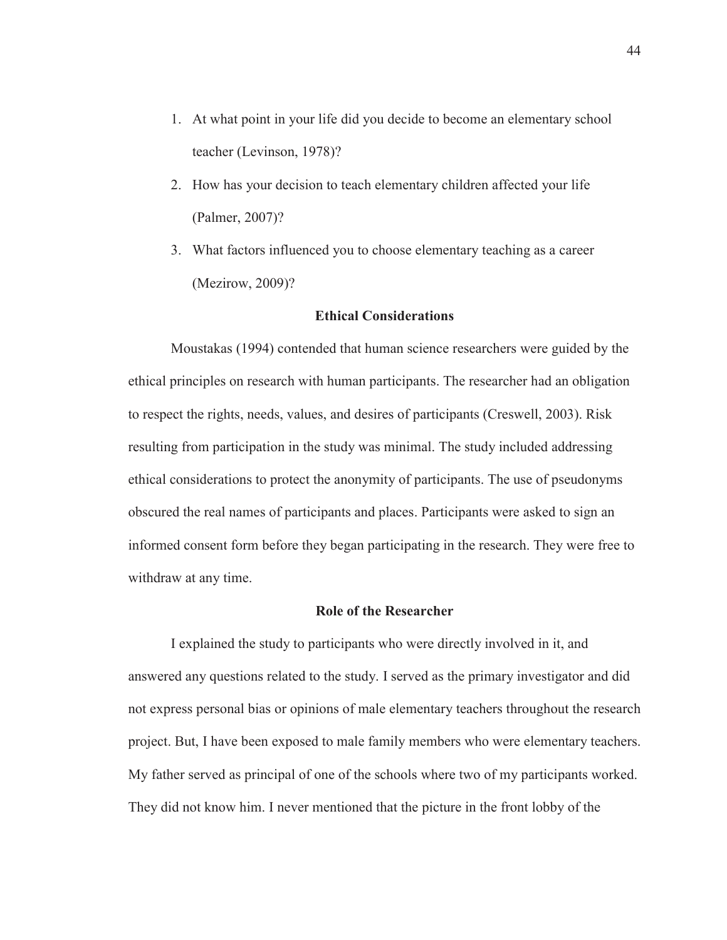- 1. At what point in your life did you decide to become an elementary school teacher (Levinson, 1978)?
- 2. How has your decision to teach elementary children affected your life (Palmer, 2007)?
- 3. What factors influenced you to choose elementary teaching as a career (Mezirow, 2009)?

# **Ethical Considerations**

Moustakas (1994) contended that human science researchers were guided by the ethical principles on research with human participants. The researcher had an obligation to respect the rights, needs, values, and desires of participants (Creswell, 2003). Risk resulting from participation in the study was minimal. The study included addressing ethical considerations to protect the anonymity of participants. The use of pseudonyms obscured the real names of participants and places. Participants were asked to sign an informed consent form before they began participating in the research. They were free to withdraw at any time.

#### **Role of the Researcher**

I explained the study to participants who were directly involved in it, and answered any questions related to the study. I served as the primary investigator and did not express personal bias or opinions of male elementary teachers throughout the research project. But, I have been exposed to male family members who were elementary teachers. My father served as principal of one of the schools where two of my participants worked. They did not know him. I never mentioned that the picture in the front lobby of the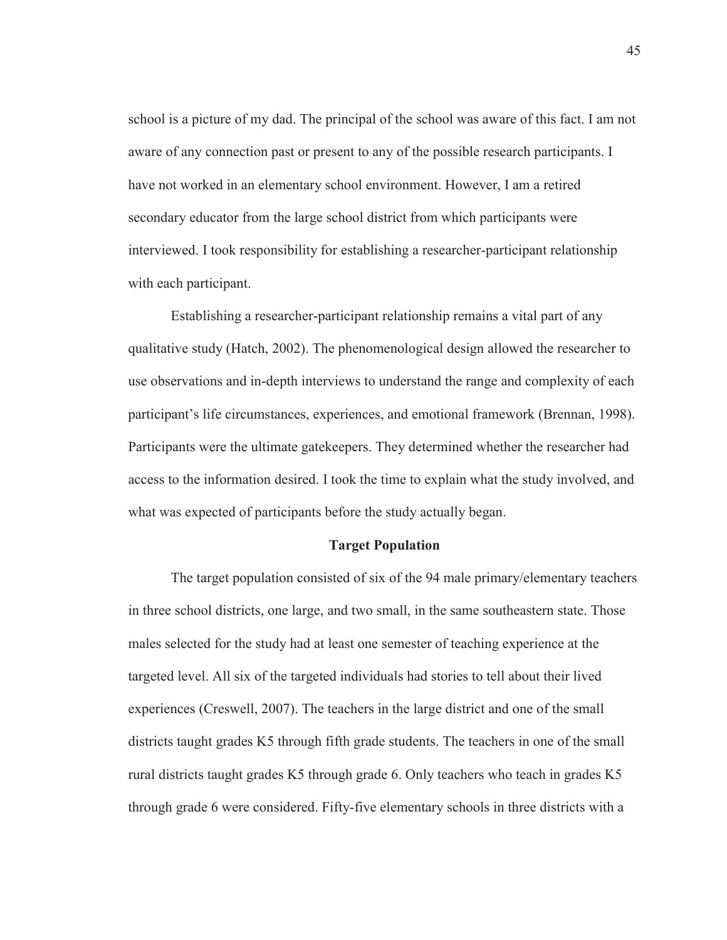school is a picture of my dad. The principal of the school was aware of this fact. I am not aware of any connection past or present to any of the possible research participants. I have not worked in an elementary school environment. However, I am a retired secondary educator from the large school district from which participants were interviewed. I took responsibility for establishing a researcher-participant relationship with each participant.

Establishing a researcher-participant relationship remains a vital part of any qualitative study (Hatch, 2002). The phenomenological design allowed the researcher to use observations and in-depth interviews to understand the range and complexity of each participant's life circumstances, experiences, and emotional framework (Brennan, 1998). Participants were the ultimate gatekeepers. They determined whether the researcher had access to the information desired. I took the time to explain what the study involved, and what was expected of participants before the study actually began.

#### **Target Population**

The target population consisted of six of the 94 male primary/elementary teachers in three school districts, one large, and two small, in the same southeastern state. Those males selected for the study had at least one semester of teaching experience at the targeted level. All six of the targeted individuals had stories to tell about their lived experiences (Creswell, 2007). The teachers in the large district and one of the small districts taught grades K5 through fifth grade students. The teachers in one of the small rural districts taught grades K5 through grade 6. Only teachers who teach in grades K5 through grade 6 were considered. Fifty-five elementary schools in three districts with a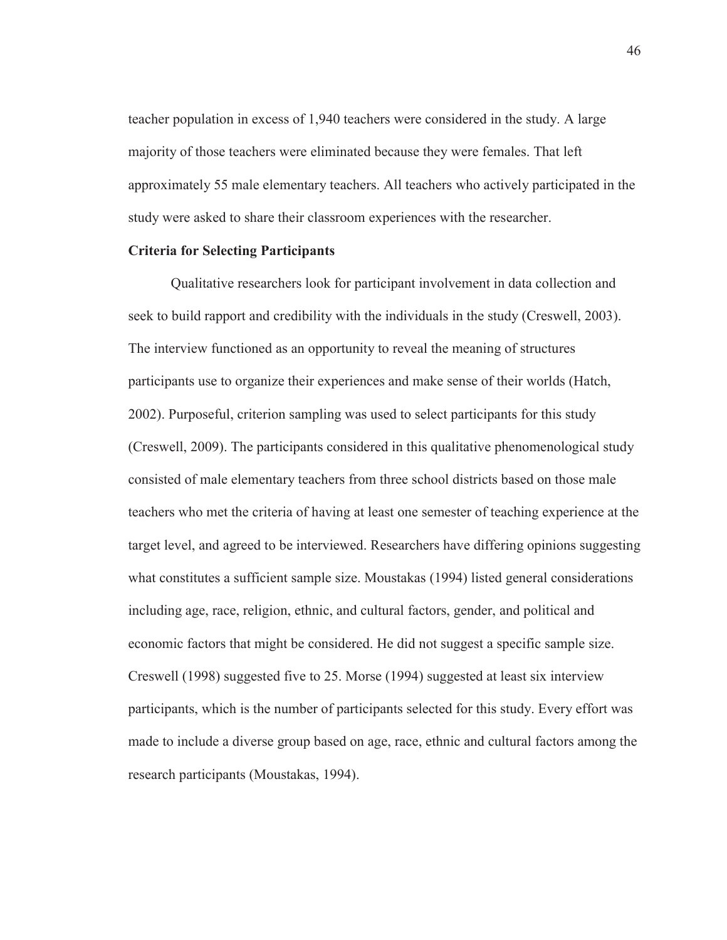teacher population in excess of 1,940 teachers were considered in the study. A large majority of those teachers were eliminated because they were females. That left approximately 55 male elementary teachers. All teachers who actively participated in the study were asked to share their classroom experiences with the researcher.

## **Criteria for Selecting Participants**

 Qualitative researchers look for participant involvement in data collection and seek to build rapport and credibility with the individuals in the study (Creswell, 2003). The interview functioned as an opportunity to reveal the meaning of structures participants use to organize their experiences and make sense of their worlds (Hatch, 2002). Purposeful, criterion sampling was used to select participants for this study (Creswell, 2009). The participants considered in this qualitative phenomenological study consisted of male elementary teachers from three school districts based on those male teachers who met the criteria of having at least one semester of teaching experience at the target level, and agreed to be interviewed. Researchers have differing opinions suggesting what constitutes a sufficient sample size. Moustakas (1994) listed general considerations including age, race, religion, ethnic, and cultural factors, gender, and political and economic factors that might be considered. He did not suggest a specific sample size. Creswell (1998) suggested five to 25. Morse (1994) suggested at least six interview participants, which is the number of participants selected for this study. Every effort was made to include a diverse group based on age, race, ethnic and cultural factors among the research participants (Moustakas, 1994).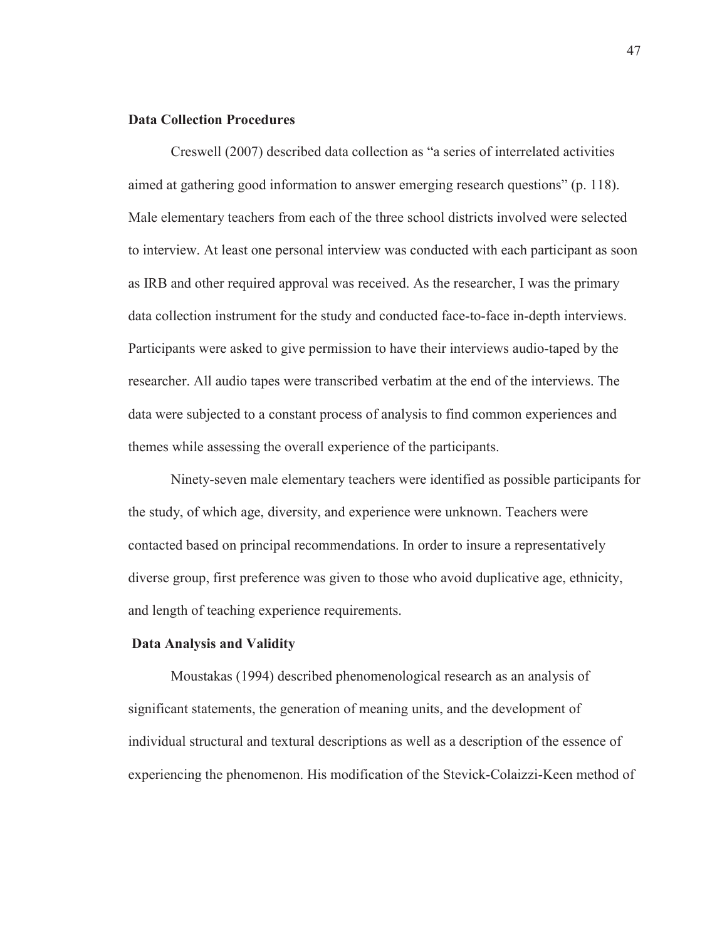## **Data Collection Procedures**

Creswell (2007) described data collection as "a series of interrelated activities aimed at gathering good information to answer emerging research questions" (p. 118). Male elementary teachers from each of the three school districts involved were selected to interview. At least one personal interview was conducted with each participant as soon as IRB and other required approval was received. As the researcher, I was the primary data collection instrument for the study and conducted face-to-face in-depth interviews. Participants were asked to give permission to have their interviews audio-taped by the researcher. All audio tapes were transcribed verbatim at the end of the interviews. The data were subjected to a constant process of analysis to find common experiences and themes while assessing the overall experience of the participants.

Ninety-seven male elementary teachers were identified as possible participants for the study, of which age, diversity, and experience were unknown. Teachers were contacted based on principal recommendations. In order to insure a representatively diverse group, first preference was given to those who avoid duplicative age, ethnicity, and length of teaching experience requirements.

### **Data Analysis and Validity**

Moustakas (1994) described phenomenological research as an analysis of significant statements, the generation of meaning units, and the development of individual structural and textural descriptions as well as a description of the essence of experiencing the phenomenon. His modification of the Stevick-Colaizzi-Keen method of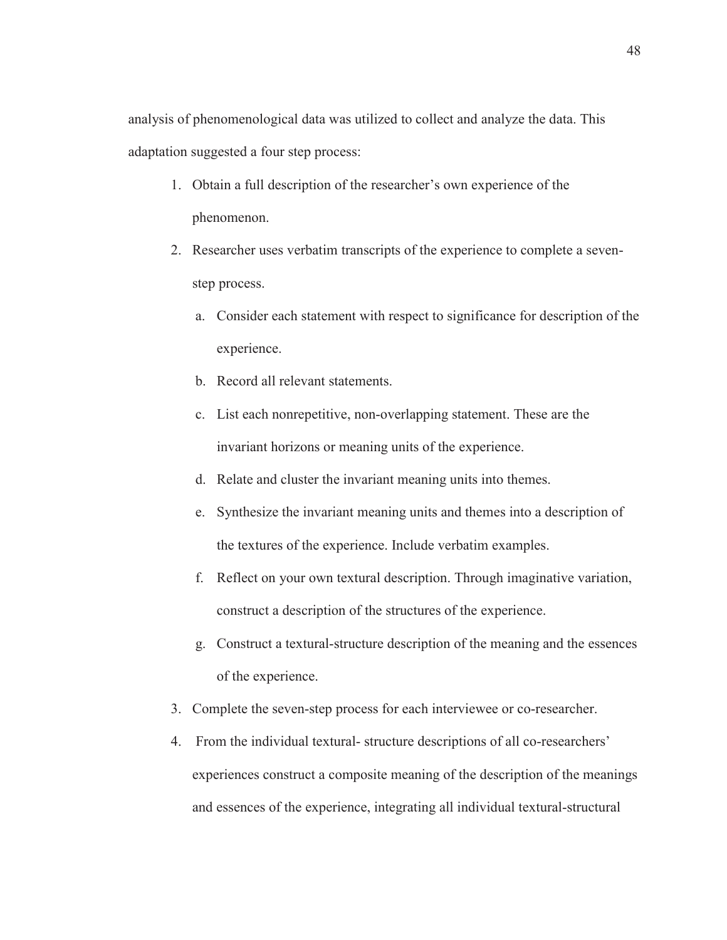analysis of phenomenological data was utilized to collect and analyze the data. This adaptation suggested a four step process:

- 1. Obtain a full description of the researcher's own experience of the phenomenon.
- 2. Researcher uses verbatim transcripts of the experience to complete a sevenstep process.
	- a. Consider each statement with respect to significance for description of the experience.
	- b. Record all relevant statements.
	- c. List each nonrepetitive, non-overlapping statement. These are the invariant horizons or meaning units of the experience.
	- d. Relate and cluster the invariant meaning units into themes.
	- e. Synthesize the invariant meaning units and themes into a description of the textures of the experience. Include verbatim examples.
	- f. Reflect on your own textural description. Through imaginative variation, construct a description of the structures of the experience.
	- g. Construct a textural-structure description of the meaning and the essences of the experience.
- 3. Complete the seven-step process for each interviewee or co-researcher.
- 4. From the individual textural- structure descriptions of all co-researchers' experiences construct a composite meaning of the description of the meanings and essences of the experience, integrating all individual textural-structural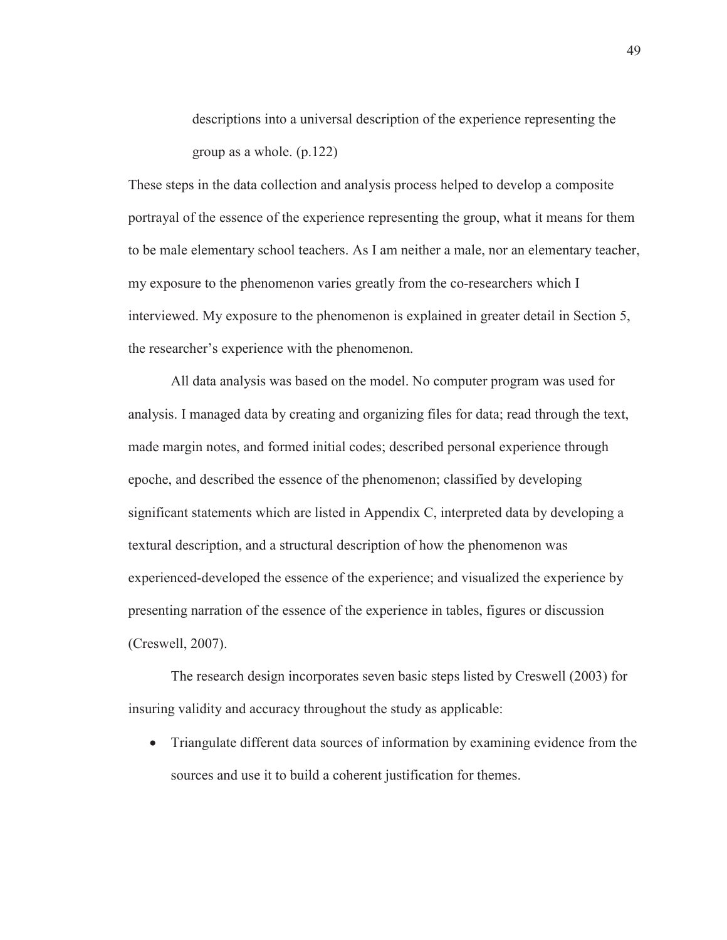descriptions into a universal description of the experience representing the group as a whole. (p.122)

These steps in the data collection and analysis process helped to develop a composite portrayal of the essence of the experience representing the group, what it means for them to be male elementary school teachers. As I am neither a male, nor an elementary teacher, my exposure to the phenomenon varies greatly from the co-researchers which I interviewed. My exposure to the phenomenon is explained in greater detail in Section 5, the researcher's experience with the phenomenon.

 All data analysis was based on the model. No computer program was used for analysis. I managed data by creating and organizing files for data; read through the text, made margin notes, and formed initial codes; described personal experience through epoche, and described the essence of the phenomenon; classified by developing significant statements which are listed in Appendix C, interpreted data by developing a textural description, and a structural description of how the phenomenon was experienced-developed the essence of the experience; and visualized the experience by presenting narration of the essence of the experience in tables, figures or discussion (Creswell, 2007).

The research design incorporates seven basic steps listed by Creswell (2003) for insuring validity and accuracy throughout the study as applicable:

• Triangulate different data sources of information by examining evidence from the sources and use it to build a coherent justification for themes.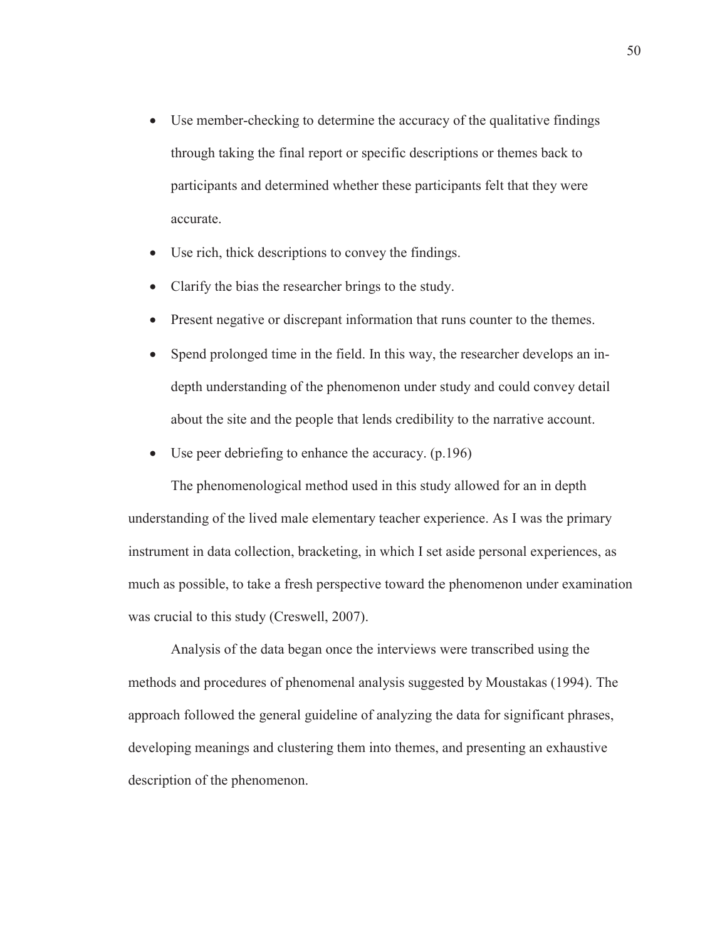- Use member-checking to determine the accuracy of the qualitative findings through taking the final report or specific descriptions or themes back to participants and determined whether these participants felt that they were accurate.
- Use rich, thick descriptions to convey the findings.
- Clarify the bias the researcher brings to the study.
- Present negative or discrepant information that runs counter to the themes.
- Spend prolonged time in the field. In this way, the researcher develops an indepth understanding of the phenomenon under study and could convey detail about the site and the people that lends credibility to the narrative account.
- Use peer debriefing to enhance the accuracy.  $(p.196)$

The phenomenological method used in this study allowed for an in depth understanding of the lived male elementary teacher experience. As I was the primary instrument in data collection, bracketing, in which I set aside personal experiences, as much as possible, to take a fresh perspective toward the phenomenon under examination was crucial to this study (Creswell, 2007).

Analysis of the data began once the interviews were transcribed using the methods and procedures of phenomenal analysis suggested by Moustakas (1994). The approach followed the general guideline of analyzing the data for significant phrases, developing meanings and clustering them into themes, and presenting an exhaustive description of the phenomenon.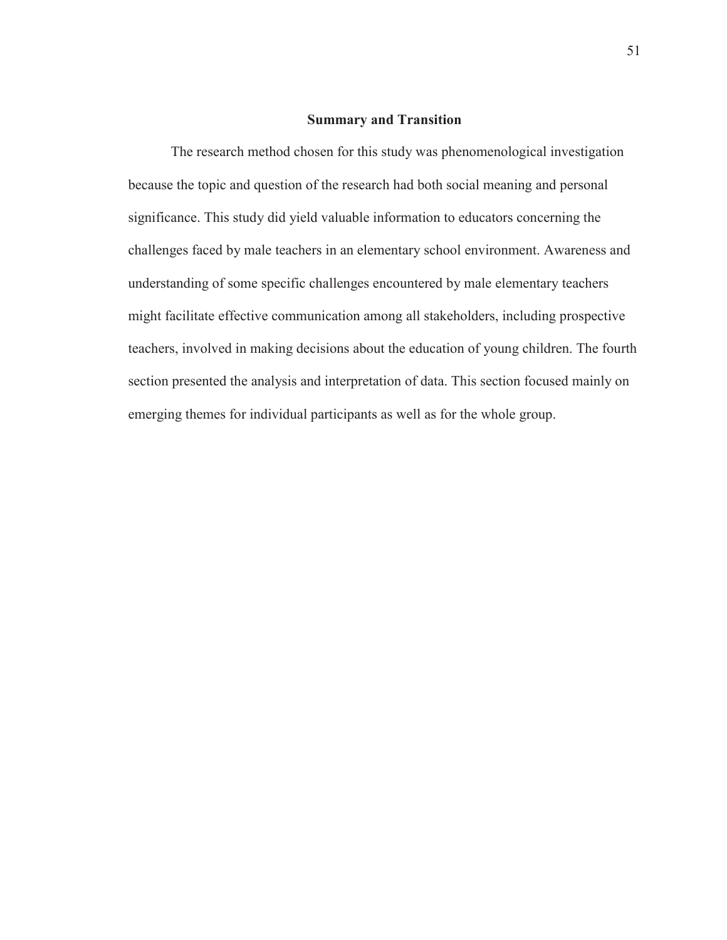#### **Summary and Transition**

The research method chosen for this study was phenomenological investigation because the topic and question of the research had both social meaning and personal significance. This study did yield valuable information to educators concerning the challenges faced by male teachers in an elementary school environment. Awareness and understanding of some specific challenges encountered by male elementary teachers might facilitate effective communication among all stakeholders, including prospective teachers, involved in making decisions about the education of young children. The fourth section presented the analysis and interpretation of data. This section focused mainly on emerging themes for individual participants as well as for the whole group.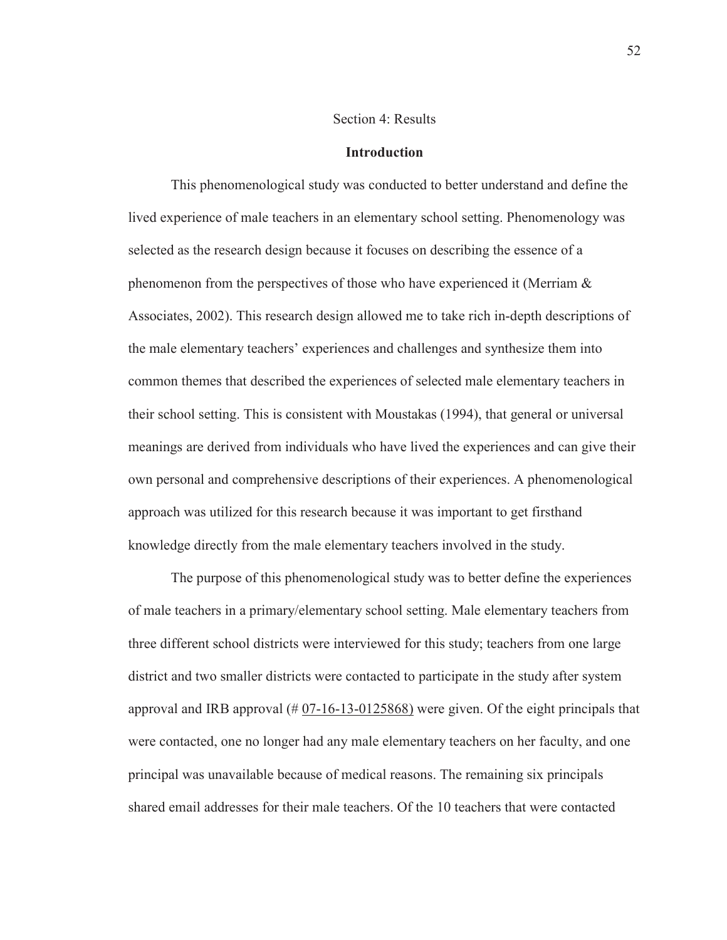# Section 4: Results

#### **Introduction**

This phenomenological study was conducted to better understand and define the lived experience of male teachers in an elementary school setting. Phenomenology was selected as the research design because it focuses on describing the essence of a phenomenon from the perspectives of those who have experienced it (Merriam & Associates, 2002). This research design allowed me to take rich in-depth descriptions of the male elementary teachers' experiences and challenges and synthesize them into common themes that described the experiences of selected male elementary teachers in their school setting. This is consistent with Moustakas (1994), that general or universal meanings are derived from individuals who have lived the experiences and can give their own personal and comprehensive descriptions of their experiences. A phenomenological approach was utilized for this research because it was important to get firsthand knowledge directly from the male elementary teachers involved in the study.

The purpose of this phenomenological study was to better define the experiences of male teachers in a primary/elementary school setting. Male elementary teachers from three different school districts were interviewed for this study; teachers from one large district and two smaller districts were contacted to participate in the study after system approval and IRB approval  $(\text{\# }07$ -16-13-0125868) were given. Of the eight principals that were contacted, one no longer had any male elementary teachers on her faculty, and one principal was unavailable because of medical reasons. The remaining six principals shared email addresses for their male teachers. Of the 10 teachers that were contacted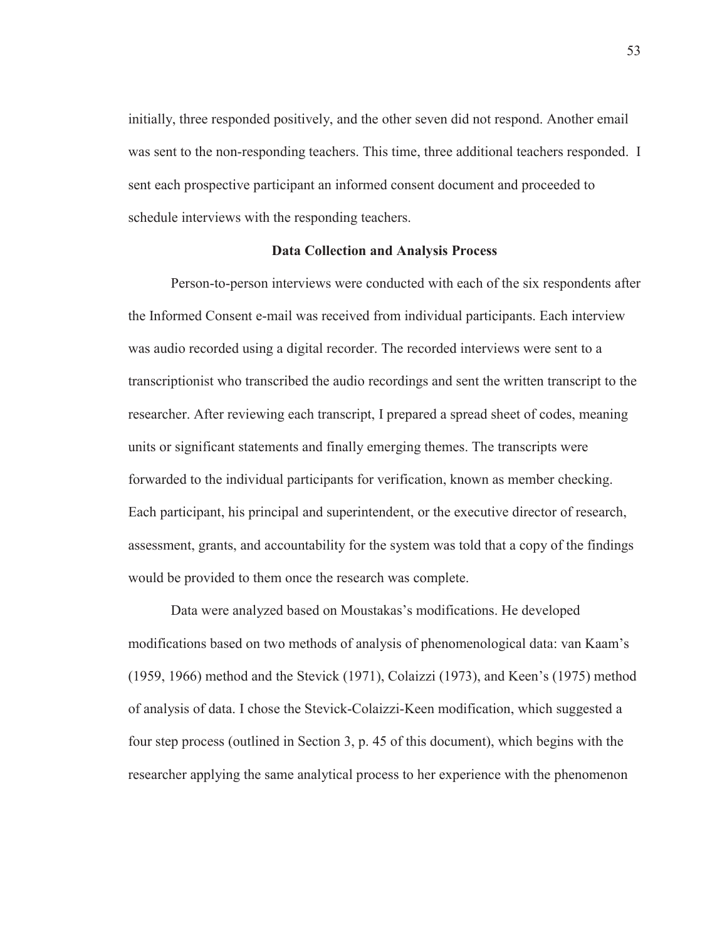initially, three responded positively, and the other seven did not respond. Another email was sent to the non-responding teachers. This time, three additional teachers responded. I sent each prospective participant an informed consent document and proceeded to schedule interviews with the responding teachers.

## **Data Collection and Analysis Process**

Person-to-person interviews were conducted with each of the six respondents after the Informed Consent e-mail was received from individual participants. Each interview was audio recorded using a digital recorder. The recorded interviews were sent to a transcriptionist who transcribed the audio recordings and sent the written transcript to the researcher. After reviewing each transcript, I prepared a spread sheet of codes, meaning units or significant statements and finally emerging themes. The transcripts were forwarded to the individual participants for verification, known as member checking. Each participant, his principal and superintendent, or the executive director of research, assessment, grants, and accountability for the system was told that a copy of the findings would be provided to them once the research was complete.

Data were analyzed based on Moustakas's modifications. He developed modifications based on two methods of analysis of phenomenological data: van Kaam's (1959, 1966) method and the Stevick (1971), Colaizzi (1973), and Keen's (1975) method of analysis of data. I chose the Stevick-Colaizzi-Keen modification, which suggested a four step process (outlined in Section 3, p. 45 of this document), which begins with the researcher applying the same analytical process to her experience with the phenomenon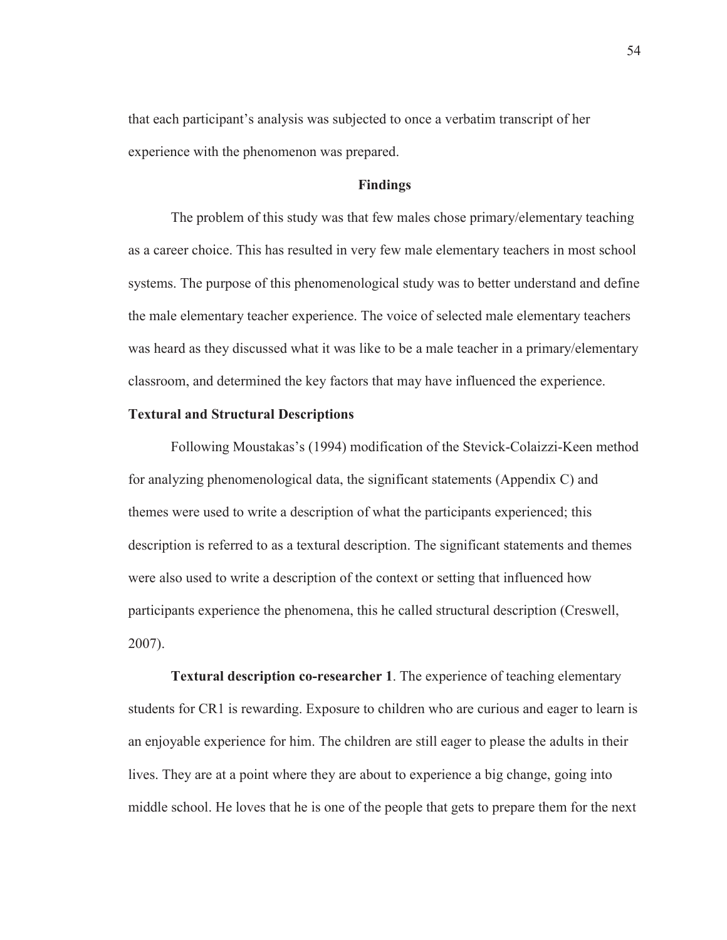that each participant's analysis was subjected to once a verbatim transcript of her experience with the phenomenon was prepared.

# **Findings**

The problem of this study was that few males chose primary/elementary teaching as a career choice. This has resulted in very few male elementary teachers in most school systems. The purpose of this phenomenological study was to better understand and define the male elementary teacher experience. The voice of selected male elementary teachers was heard as they discussed what it was like to be a male teacher in a primary/elementary classroom, and determined the key factors that may have influenced the experience.

## **Textural and Structural Descriptions**

Following Moustakas's (1994) modification of the Stevick-Colaizzi-Keen method for analyzing phenomenological data, the significant statements (Appendix C) and themes were used to write a description of what the participants experienced; this description is referred to as a textural description. The significant statements and themes were also used to write a description of the context or setting that influenced how participants experience the phenomena, this he called structural description (Creswell, 2007).

**Textural description co-researcher 1**. The experience of teaching elementary students for CR1 is rewarding. Exposure to children who are curious and eager to learn is an enjoyable experience for him. The children are still eager to please the adults in their lives. They are at a point where they are about to experience a big change, going into middle school. He loves that he is one of the people that gets to prepare them for the next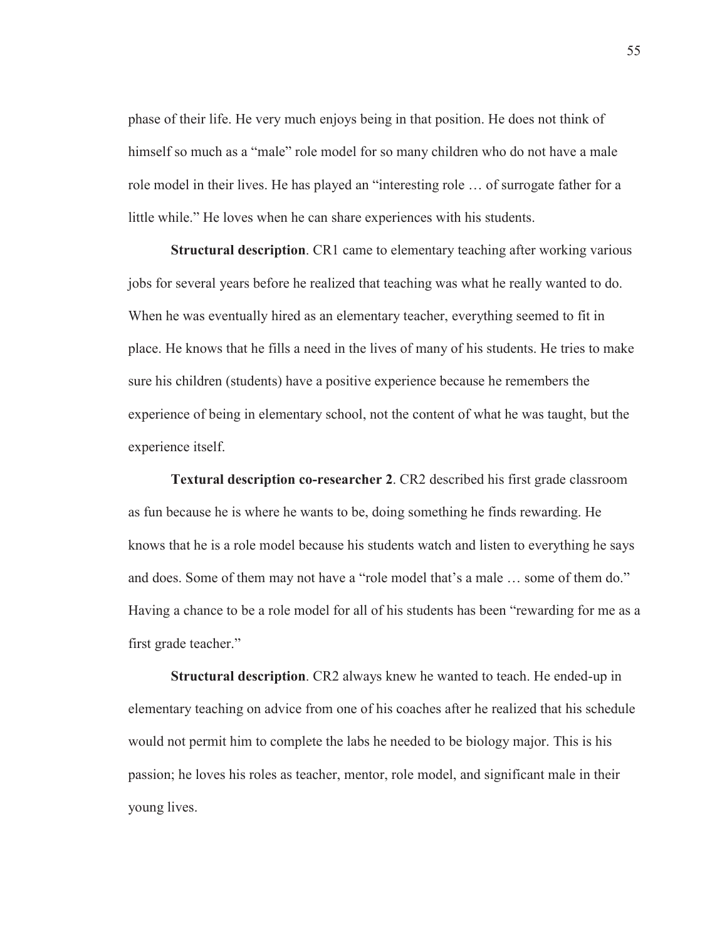phase of their life. He very much enjoys being in that position. He does not think of himself so much as a "male" role model for so many children who do not have a male role model in their lives. He has played an "interesting role … of surrogate father for a little while." He loves when he can share experiences with his students.

**Structural description**. CR1 came to elementary teaching after working various jobs for several years before he realized that teaching was what he really wanted to do. When he was eventually hired as an elementary teacher, everything seemed to fit in place. He knows that he fills a need in the lives of many of his students. He tries to make sure his children (students) have a positive experience because he remembers the experience of being in elementary school, not the content of what he was taught, but the experience itself.

**Textural description co-researcher 2**. CR2 described his first grade classroom as fun because he is where he wants to be, doing something he finds rewarding. He knows that he is a role model because his students watch and listen to everything he says and does. Some of them may not have a "role model that's a male … some of them do." Having a chance to be a role model for all of his students has been "rewarding for me as a first grade teacher."

**Structural description**. CR2 always knew he wanted to teach. He ended-up in elementary teaching on advice from one of his coaches after he realized that his schedule would not permit him to complete the labs he needed to be biology major. This is his passion; he loves his roles as teacher, mentor, role model, and significant male in their young lives.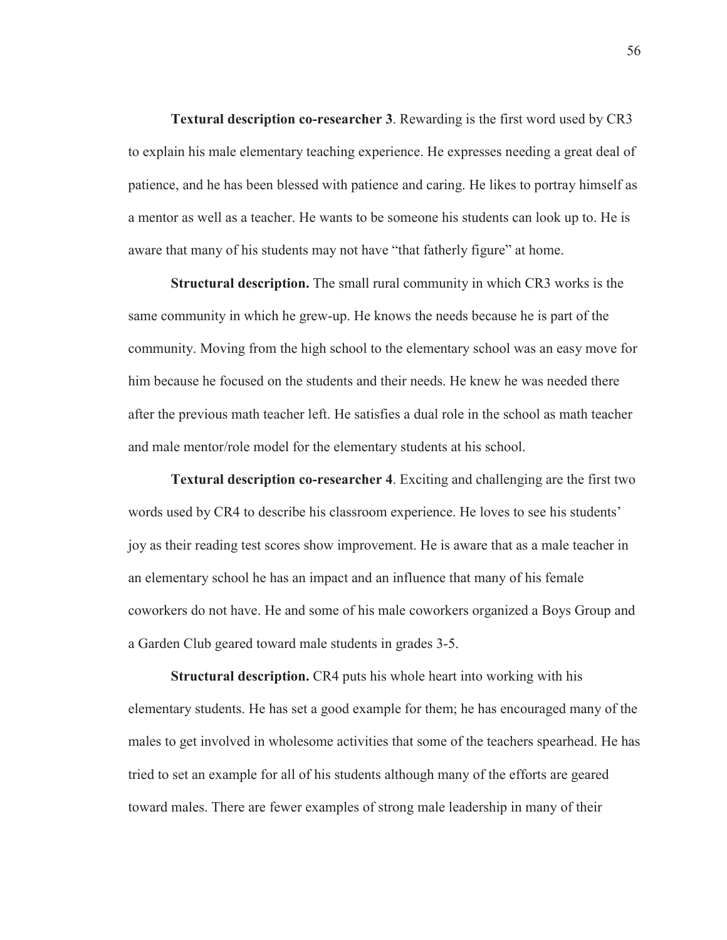**Textural description co-researcher 3**. Rewarding is the first word used by CR3 to explain his male elementary teaching experience. He expresses needing a great deal of patience, and he has been blessed with patience and caring. He likes to portray himself as a mentor as well as a teacher. He wants to be someone his students can look up to. He is aware that many of his students may not have "that fatherly figure" at home.

**Structural description.** The small rural community in which CR3 works is the same community in which he grew-up. He knows the needs because he is part of the community. Moving from the high school to the elementary school was an easy move for him because he focused on the students and their needs. He knew he was needed there after the previous math teacher left. He satisfies a dual role in the school as math teacher and male mentor/role model for the elementary students at his school.

**Textural description co-researcher 4**. Exciting and challenging are the first two words used by CR4 to describe his classroom experience. He loves to see his students' joy as their reading test scores show improvement. He is aware that as a male teacher in an elementary school he has an impact and an influence that many of his female coworkers do not have. He and some of his male coworkers organized a Boys Group and a Garden Club geared toward male students in grades 3-5.

**Structural description.** CR4 puts his whole heart into working with his elementary students. He has set a good example for them; he has encouraged many of the males to get involved in wholesome activities that some of the teachers spearhead. He has tried to set an example for all of his students although many of the efforts are geared toward males. There are fewer examples of strong male leadership in many of their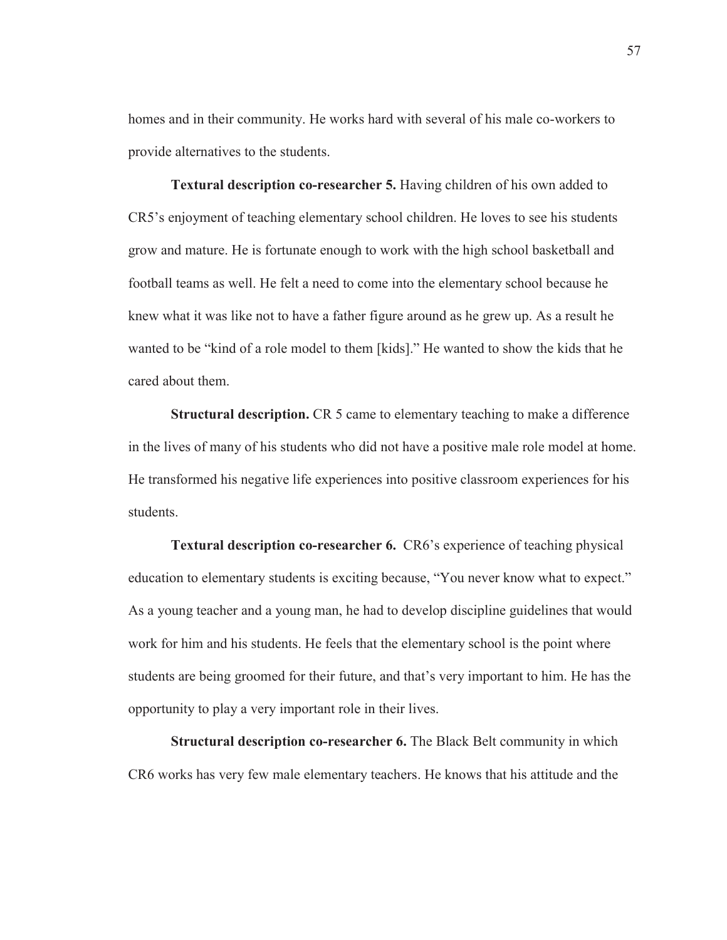homes and in their community. He works hard with several of his male co-workers to provide alternatives to the students.

**Textural description co-researcher 5.** Having children of his own added to CR5's enjoyment of teaching elementary school children. He loves to see his students grow and mature. He is fortunate enough to work with the high school basketball and football teams as well. He felt a need to come into the elementary school because he knew what it was like not to have a father figure around as he grew up. As a result he wanted to be "kind of a role model to them [kids]." He wanted to show the kids that he cared about them.

**Structural description.** CR 5 came to elementary teaching to make a difference in the lives of many of his students who did not have a positive male role model at home. He transformed his negative life experiences into positive classroom experiences for his students.

**Textural description co-researcher 6.** CR6's experience of teaching physical education to elementary students is exciting because, "You never know what to expect." As a young teacher and a young man, he had to develop discipline guidelines that would work for him and his students. He feels that the elementary school is the point where students are being groomed for their future, and that's very important to him. He has the opportunity to play a very important role in their lives.

**Structural description co-researcher 6.** The Black Belt community in which CR6 works has very few male elementary teachers. He knows that his attitude and the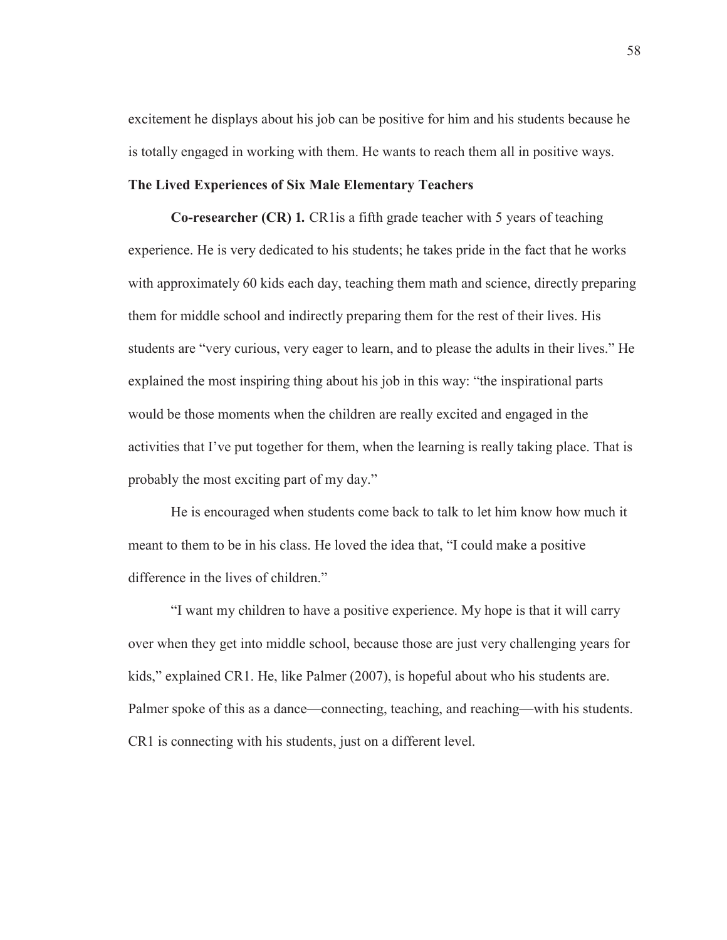excitement he displays about his job can be positive for him and his students because he is totally engaged in working with them. He wants to reach them all in positive ways.

# **The Lived Experiences of Six Male Elementary Teachers**

**Co-researcher (CR) 1***.* CR1is a fifth grade teacher with 5 years of teaching experience. He is very dedicated to his students; he takes pride in the fact that he works with approximately 60 kids each day, teaching them math and science, directly preparing them for middle school and indirectly preparing them for the rest of their lives. His students are "very curious, very eager to learn, and to please the adults in their lives." He explained the most inspiring thing about his job in this way: "the inspirational parts would be those moments when the children are really excited and engaged in the activities that I've put together for them, when the learning is really taking place. That is probably the most exciting part of my day."

He is encouraged when students come back to talk to let him know how much it meant to them to be in his class. He loved the idea that, "I could make a positive difference in the lives of children."

 "I want my children to have a positive experience. My hope is that it will carry over when they get into middle school, because those are just very challenging years for kids," explained CR1. He, like Palmer (2007), is hopeful about who his students are. Palmer spoke of this as a dance—connecting, teaching, and reaching—with his students. CR1 is connecting with his students, just on a different level.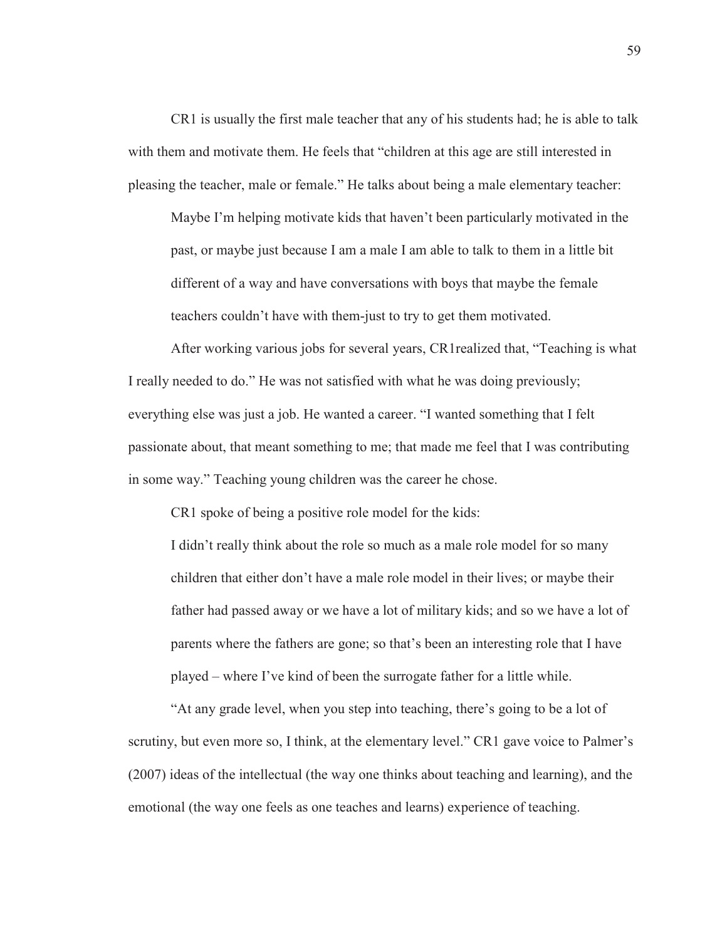CR1 is usually the first male teacher that any of his students had; he is able to talk with them and motivate them. He feels that "children at this age are still interested in pleasing the teacher, male or female." He talks about being a male elementary teacher:

Maybe I'm helping motivate kids that haven't been particularly motivated in the past, or maybe just because I am a male I am able to talk to them in a little bit different of a way and have conversations with boys that maybe the female teachers couldn't have with them-just to try to get them motivated.

 After working various jobs for several years, CR1realized that, "Teaching is what I really needed to do." He was not satisfied with what he was doing previously; everything else was just a job. He wanted a career. "I wanted something that I felt passionate about, that meant something to me; that made me feel that I was contributing in some way." Teaching young children was the career he chose.

CR1 spoke of being a positive role model for the kids:

I didn't really think about the role so much as a male role model for so many children that either don't have a male role model in their lives; or maybe their father had passed away or we have a lot of military kids; and so we have a lot of parents where the fathers are gone; so that's been an interesting role that I have played – where I've kind of been the surrogate father for a little while.

"At any grade level, when you step into teaching, there's going to be a lot of scrutiny, but even more so, I think, at the elementary level." CR1 gave voice to Palmer's (2007) ideas of the intellectual (the way one thinks about teaching and learning), and the emotional (the way one feels as one teaches and learns) experience of teaching.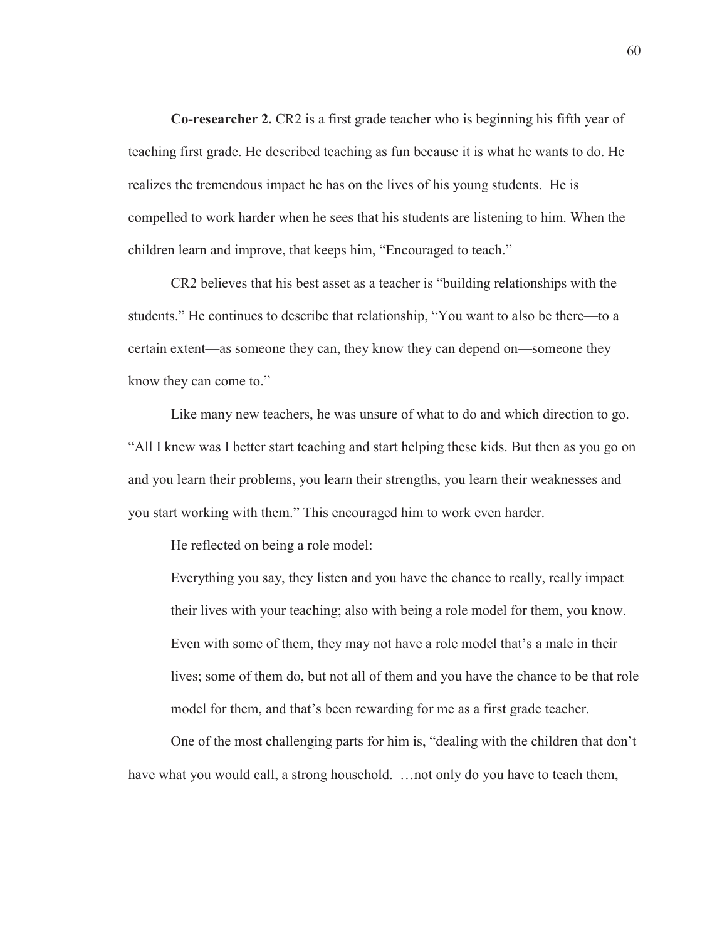**Co-researcher 2.** CR2 is a first grade teacher who is beginning his fifth year of teaching first grade. He described teaching as fun because it is what he wants to do. He realizes the tremendous impact he has on the lives of his young students. He is compelled to work harder when he sees that his students are listening to him. When the children learn and improve, that keeps him, "Encouraged to teach."

CR2 believes that his best asset as a teacher is "building relationships with the students." He continues to describe that relationship, "You want to also be there—to a certain extent—as someone they can, they know they can depend on—someone they know they can come to."

Like many new teachers, he was unsure of what to do and which direction to go. "All I knew was I better start teaching and start helping these kids. But then as you go on and you learn their problems, you learn their strengths, you learn their weaknesses and you start working with them." This encouraged him to work even harder.

He reflected on being a role model:

Everything you say, they listen and you have the chance to really, really impact their lives with your teaching; also with being a role model for them, you know. Even with some of them, they may not have a role model that's a male in their lives; some of them do, but not all of them and you have the chance to be that role model for them, and that's been rewarding for me as a first grade teacher.

One of the most challenging parts for him is, "dealing with the children that don't have what you would call, a strong household. ... not only do you have to teach them,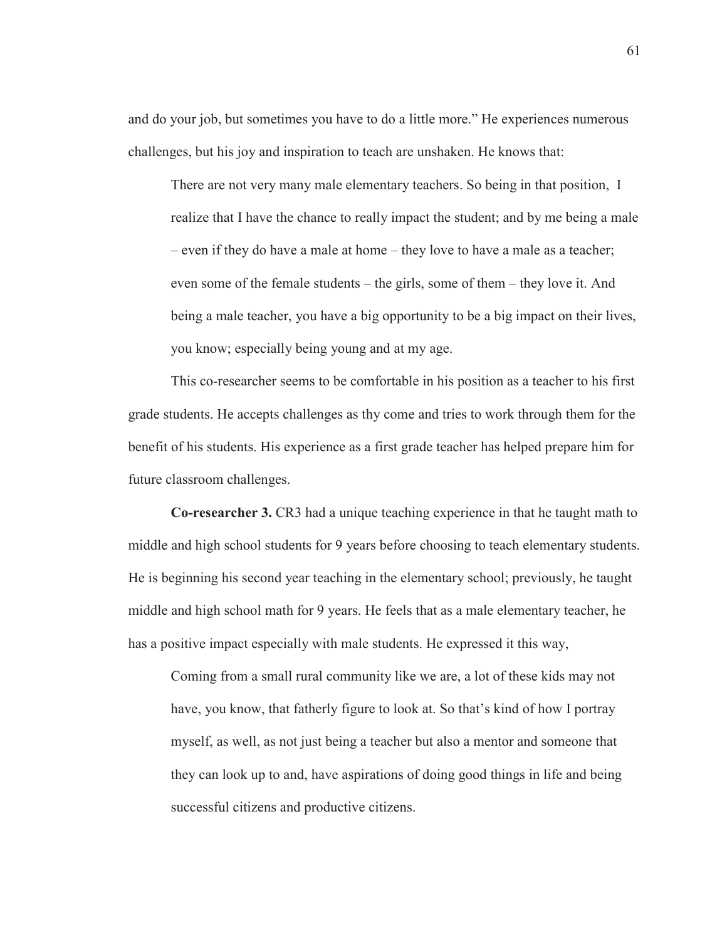and do your job, but sometimes you have to do a little more." He experiences numerous challenges, but his joy and inspiration to teach are unshaken. He knows that:

There are not very many male elementary teachers. So being in that position, I realize that I have the chance to really impact the student; and by me being a male – even if they do have a male at home – they love to have a male as a teacher; even some of the female students – the girls, some of them – they love it. And being a male teacher, you have a big opportunity to be a big impact on their lives, you know; especially being young and at my age.

This co-researcher seems to be comfortable in his position as a teacher to his first grade students. He accepts challenges as thy come and tries to work through them for the benefit of his students. His experience as a first grade teacher has helped prepare him for future classroom challenges.

**Co-researcher 3.** CR3 had a unique teaching experience in that he taught math to middle and high school students for 9 years before choosing to teach elementary students. He is beginning his second year teaching in the elementary school; previously, he taught middle and high school math for 9 years. He feels that as a male elementary teacher, he has a positive impact especially with male students. He expressed it this way,

Coming from a small rural community like we are, a lot of these kids may not have, you know, that fatherly figure to look at. So that's kind of how I portray myself, as well, as not just being a teacher but also a mentor and someone that they can look up to and, have aspirations of doing good things in life and being successful citizens and productive citizens.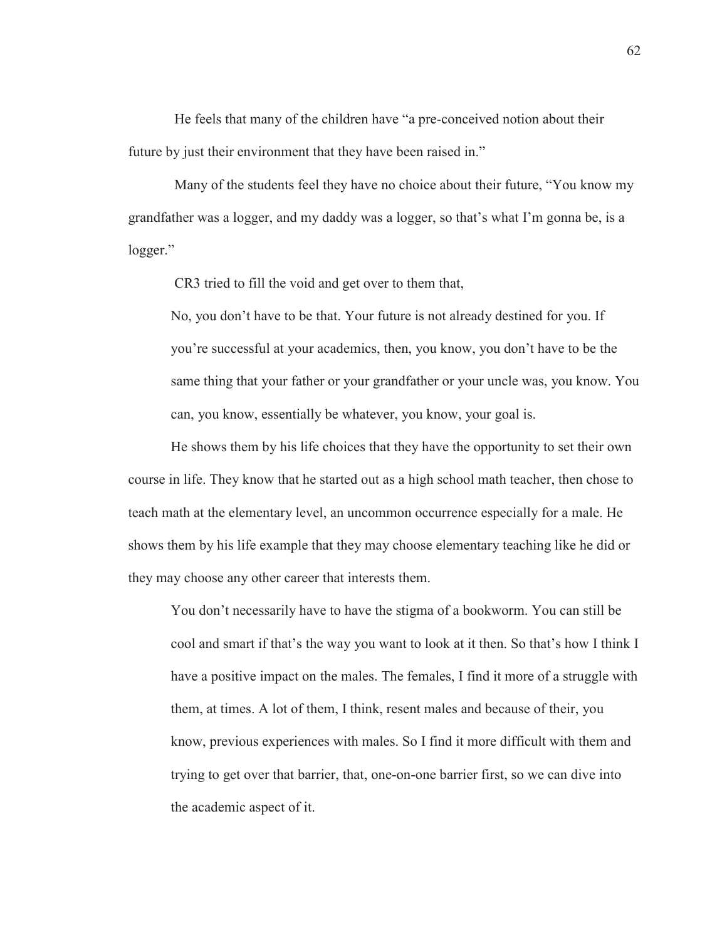He feels that many of the children have "a pre-conceived notion about their future by just their environment that they have been raised in."

 Many of the students feel they have no choice about their future, "You know my grandfather was a logger, and my daddy was a logger, so that's what I'm gonna be, is a logger."

CR3 tried to fill the void and get over to them that,

No, you don't have to be that. Your future is not already destined for you. If you're successful at your academics, then, you know, you don't have to be the same thing that your father or your grandfather or your uncle was, you know. You can, you know, essentially be whatever, you know, your goal is.

He shows them by his life choices that they have the opportunity to set their own course in life. They know that he started out as a high school math teacher, then chose to teach math at the elementary level, an uncommon occurrence especially for a male. He shows them by his life example that they may choose elementary teaching like he did or they may choose any other career that interests them.

You don't necessarily have to have the stigma of a bookworm. You can still be cool and smart if that's the way you want to look at it then. So that's how I think I have a positive impact on the males. The females, I find it more of a struggle with them, at times. A lot of them, I think, resent males and because of their, you know, previous experiences with males. So I find it more difficult with them and trying to get over that barrier, that, one-on-one barrier first, so we can dive into the academic aspect of it.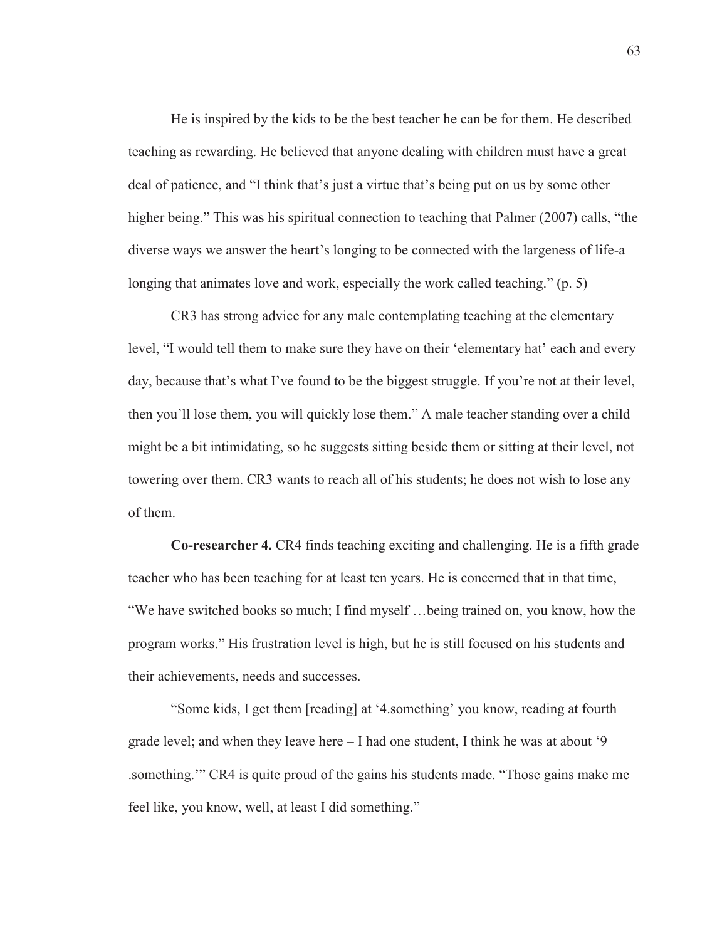He is inspired by the kids to be the best teacher he can be for them. He described teaching as rewarding. He believed that anyone dealing with children must have a great deal of patience, and "I think that's just a virtue that's being put on us by some other higher being." This was his spiritual connection to teaching that Palmer (2007) calls, "the diverse ways we answer the heart's longing to be connected with the largeness of life-a longing that animates love and work, especially the work called teaching." (p. 5)

 CR3 has strong advice for any male contemplating teaching at the elementary level, "I would tell them to make sure they have on their 'elementary hat' each and every day, because that's what I've found to be the biggest struggle. If you're not at their level, then you'll lose them, you will quickly lose them." A male teacher standing over a child might be a bit intimidating, so he suggests sitting beside them or sitting at their level, not towering over them. CR3 wants to reach all of his students; he does not wish to lose any of them.

**Co-researcher 4.** CR4 finds teaching exciting and challenging. He is a fifth grade teacher who has been teaching for at least ten years. He is concerned that in that time, "We have switched books so much; I find myself …being trained on, you know, how the program works." His frustration level is high, but he is still focused on his students and their achievements, needs and successes.

"Some kids, I get them [reading] at '4.something' you know, reading at fourth grade level; and when they leave here – I had one student, I think he was at about '9 .something.'" CR4 is quite proud of the gains his students made. "Those gains make me feel like, you know, well, at least I did something."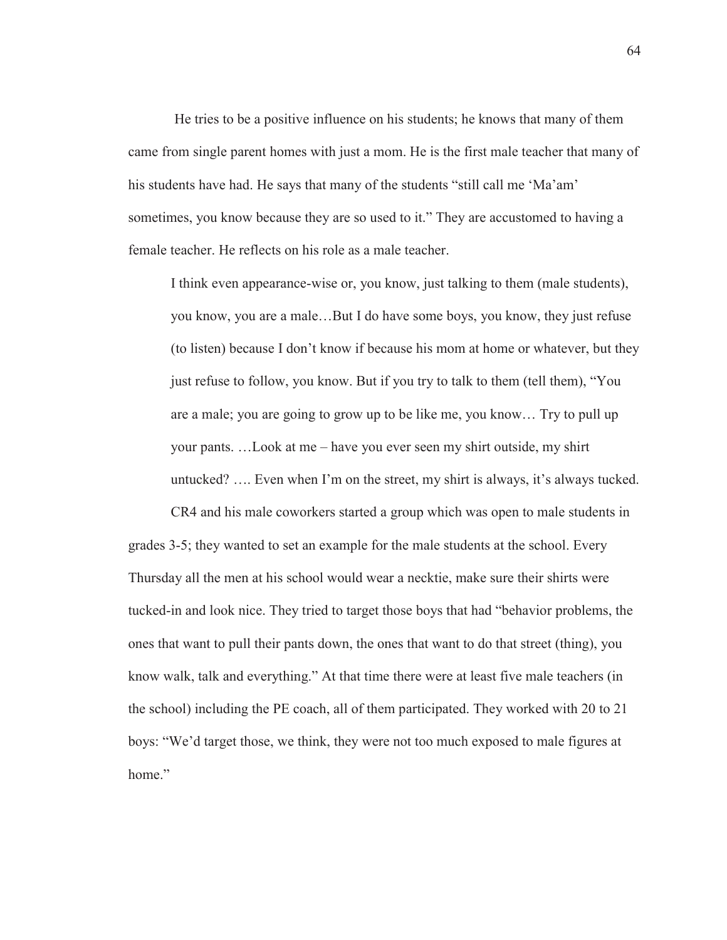He tries to be a positive influence on his students; he knows that many of them came from single parent homes with just a mom. He is the first male teacher that many of his students have had. He says that many of the students "still call me 'Ma'am' sometimes, you know because they are so used to it." They are accustomed to having a female teacher. He reflects on his role as a male teacher.

I think even appearance-wise or, you know, just talking to them (male students), you know, you are a male…But I do have some boys, you know, they just refuse (to listen) because I don't know if because his mom at home or whatever, but they just refuse to follow, you know. But if you try to talk to them (tell them), "You are a male; you are going to grow up to be like me, you know… Try to pull up your pants. …Look at me – have you ever seen my shirt outside, my shirt untucked? …. Even when I'm on the street, my shirt is always, it's always tucked.

CR4 and his male coworkers started a group which was open to male students in grades 3-5; they wanted to set an example for the male students at the school. Every Thursday all the men at his school would wear a necktie, make sure their shirts were tucked-in and look nice. They tried to target those boys that had "behavior problems, the ones that want to pull their pants down, the ones that want to do that street (thing), you know walk, talk and everything." At that time there were at least five male teachers (in the school) including the PE coach, all of them participated. They worked with 20 to 21 boys: "We'd target those, we think, they were not too much exposed to male figures at home"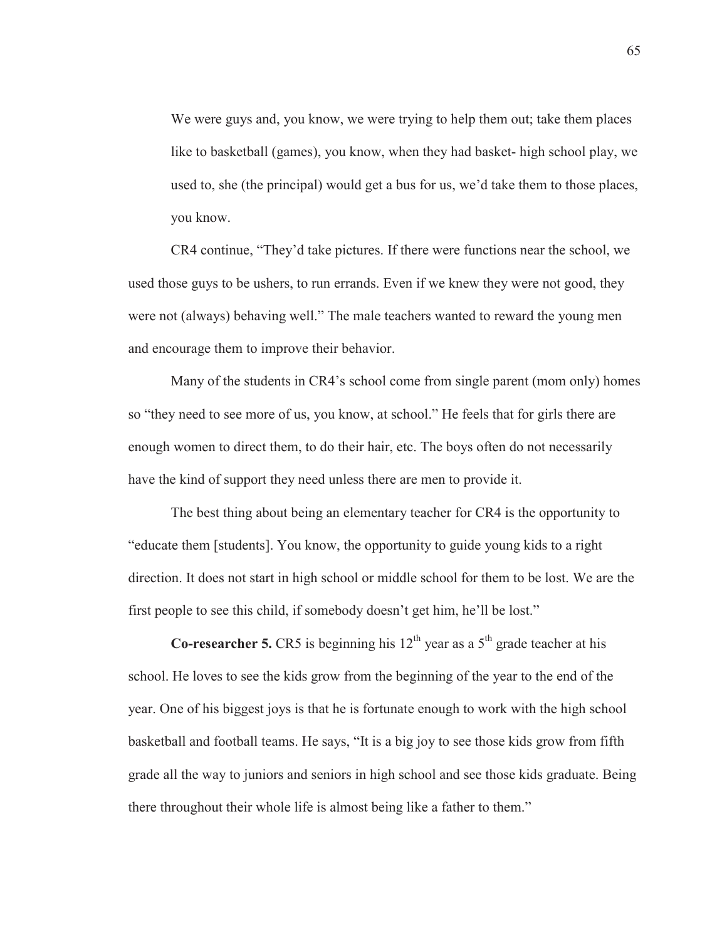We were guys and, you know, we were trying to help them out; take them places like to basketball (games), you know, when they had basket- high school play, we used to, she (the principal) would get a bus for us, we'd take them to those places, you know.

CR4 continue, "They'd take pictures. If there were functions near the school, we used those guys to be ushers, to run errands. Even if we knew they were not good, they were not (always) behaving well." The male teachers wanted to reward the young men and encourage them to improve their behavior.

Many of the students in CR4's school come from single parent (mom only) homes so "they need to see more of us, you know, at school." He feels that for girls there are enough women to direct them, to do their hair, etc. The boys often do not necessarily have the kind of support they need unless there are men to provide it.

The best thing about being an elementary teacher for CR4 is the opportunity to "educate them [students]. You know, the opportunity to guide young kids to a right direction. It does not start in high school or middle school for them to be lost. We are the first people to see this child, if somebody doesn't get him, he'll be lost."

**Co-researcher 5.** CR5 is beginning his  $12<sup>th</sup>$  year as a  $5<sup>th</sup>$  grade teacher at his school. He loves to see the kids grow from the beginning of the year to the end of the year. One of his biggest joys is that he is fortunate enough to work with the high school basketball and football teams. He says, "It is a big joy to see those kids grow from fifth grade all the way to juniors and seniors in high school and see those kids graduate. Being there throughout their whole life is almost being like a father to them."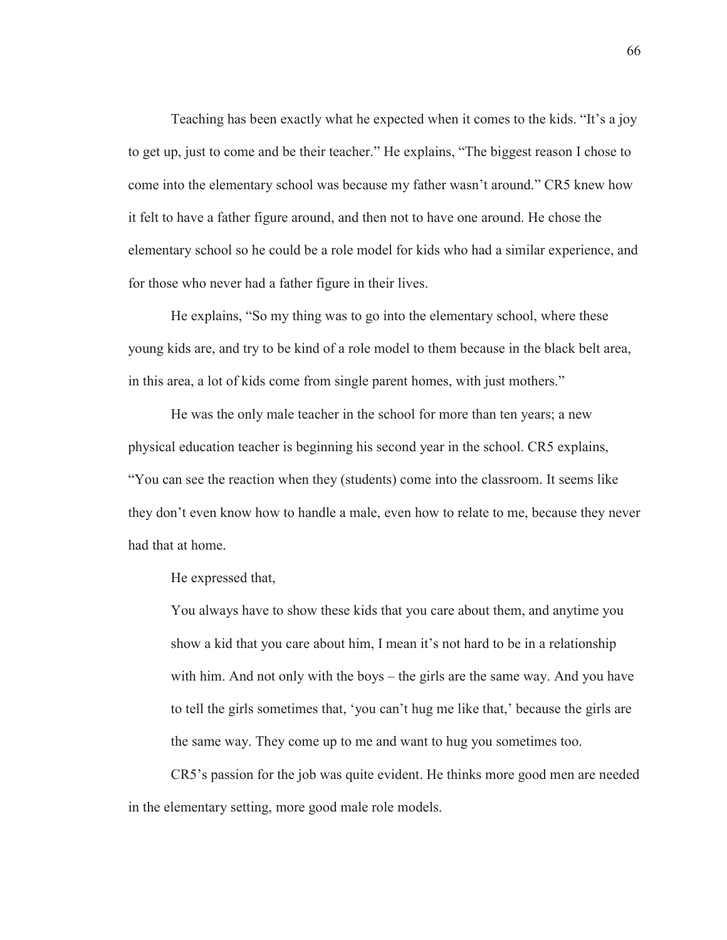Teaching has been exactly what he expected when it comes to the kids. "It's a joy to get up, just to come and be their teacher." He explains, "The biggest reason I chose to come into the elementary school was because my father wasn't around." CR5 knew how it felt to have a father figure around, and then not to have one around. He chose the elementary school so he could be a role model for kids who had a similar experience, and for those who never had a father figure in their lives.

He explains, "So my thing was to go into the elementary school, where these young kids are, and try to be kind of a role model to them because in the black belt area, in this area, a lot of kids come from single parent homes, with just mothers."

He was the only male teacher in the school for more than ten years; a new physical education teacher is beginning his second year in the school. CR5 explains, "You can see the reaction when they (students) come into the classroom. It seems like they don't even know how to handle a male, even how to relate to me, because they never had that at home.

He expressed that,

You always have to show these kids that you care about them, and anytime you show a kid that you care about him, I mean it's not hard to be in a relationship with him. And not only with the boys – the girls are the same way. And you have to tell the girls sometimes that, 'you can't hug me like that,' because the girls are the same way. They come up to me and want to hug you sometimes too.

CR5's passion for the job was quite evident. He thinks more good men are needed in the elementary setting, more good male role models.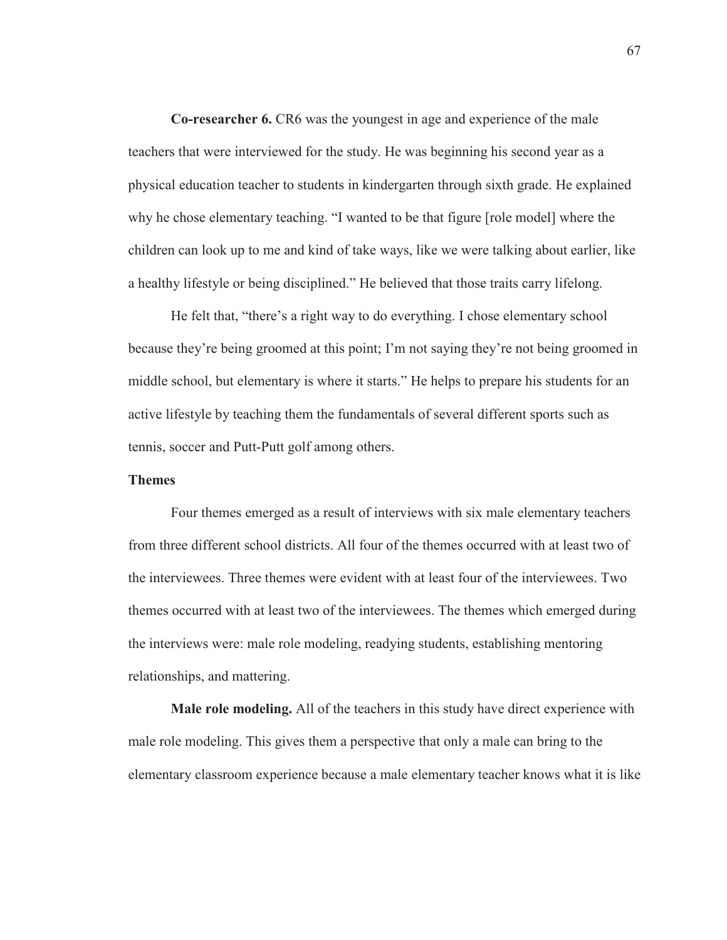**Co-researcher 6.** CR6 was the youngest in age and experience of the male teachers that were interviewed for the study. He was beginning his second year as a physical education teacher to students in kindergarten through sixth grade. He explained why he chose elementary teaching. "I wanted to be that figure [role model] where the children can look up to me and kind of take ways, like we were talking about earlier, like a healthy lifestyle or being disciplined." He believed that those traits carry lifelong.

He felt that, "there's a right way to do everything. I chose elementary school because they're being groomed at this point; I'm not saying they're not being groomed in middle school, but elementary is where it starts." He helps to prepare his students for an active lifestyle by teaching them the fundamentals of several different sports such as tennis, soccer and Putt-Putt golf among others.

# **Themes**

Four themes emerged as a result of interviews with six male elementary teachers from three different school districts. All four of the themes occurred with at least two of the interviewees. Three themes were evident with at least four of the interviewees. Two themes occurred with at least two of the interviewees. The themes which emerged during the interviews were: male role modeling, readying students, establishing mentoring relationships, and mattering.

**Male role modeling.** All of the teachers in this study have direct experience with male role modeling. This gives them a perspective that only a male can bring to the elementary classroom experience because a male elementary teacher knows what it is like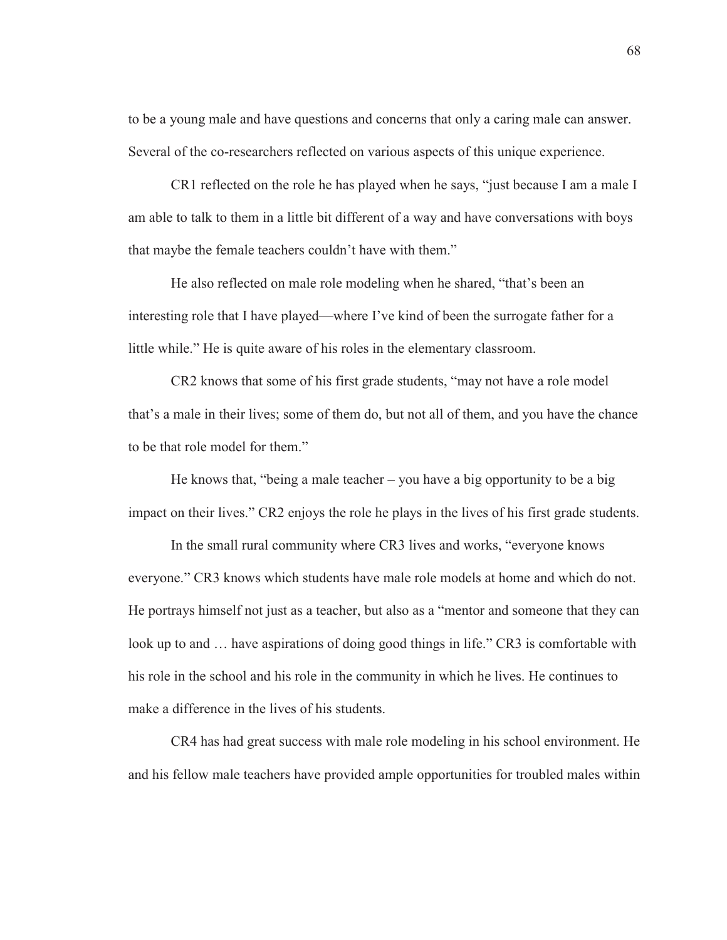to be a young male and have questions and concerns that only a caring male can answer. Several of the co-researchers reflected on various aspects of this unique experience.

CR1 reflected on the role he has played when he says, "just because I am a male I am able to talk to them in a little bit different of a way and have conversations with boys that maybe the female teachers couldn't have with them."

He also reflected on male role modeling when he shared, "that's been an interesting role that I have played—where I've kind of been the surrogate father for a little while." He is quite aware of his roles in the elementary classroom.

CR2 knows that some of his first grade students, "may not have a role model that's a male in their lives; some of them do, but not all of them, and you have the chance to be that role model for them."

He knows that, "being a male teacher – you have a big opportunity to be a big impact on their lives." CR2 enjoys the role he plays in the lives of his first grade students.

In the small rural community where CR3 lives and works, "everyone knows everyone." CR3 knows which students have male role models at home and which do not. He portrays himself not just as a teacher, but also as a "mentor and someone that they can look up to and ... have aspirations of doing good things in life." CR3 is comfortable with his role in the school and his role in the community in which he lives. He continues to make a difference in the lives of his students.

CR4 has had great success with male role modeling in his school environment. He and his fellow male teachers have provided ample opportunities for troubled males within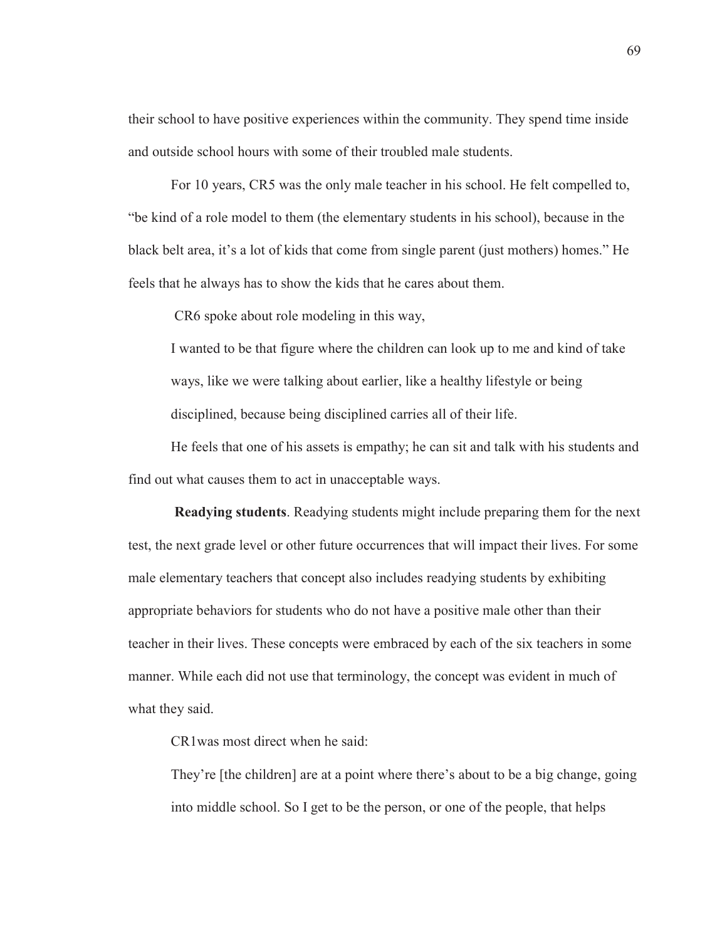their school to have positive experiences within the community. They spend time inside and outside school hours with some of their troubled male students.

For 10 years, CR5 was the only male teacher in his school. He felt compelled to, "be kind of a role model to them (the elementary students in his school), because in the black belt area, it's a lot of kids that come from single parent (just mothers) homes." He feels that he always has to show the kids that he cares about them.

CR6 spoke about role modeling in this way,

I wanted to be that figure where the children can look up to me and kind of take ways, like we were talking about earlier, like a healthy lifestyle or being disciplined, because being disciplined carries all of their life.

He feels that one of his assets is empathy; he can sit and talk with his students and find out what causes them to act in unacceptable ways.

**Readying students**. Readying students might include preparing them for the next test, the next grade level or other future occurrences that will impact their lives. For some male elementary teachers that concept also includes readying students by exhibiting appropriate behaviors for students who do not have a positive male other than their teacher in their lives. These concepts were embraced by each of the six teachers in some manner. While each did not use that terminology, the concept was evident in much of what they said.

CR1was most direct when he said:

They're [the children] are at a point where there's about to be a big change, going into middle school. So I get to be the person, or one of the people, that helps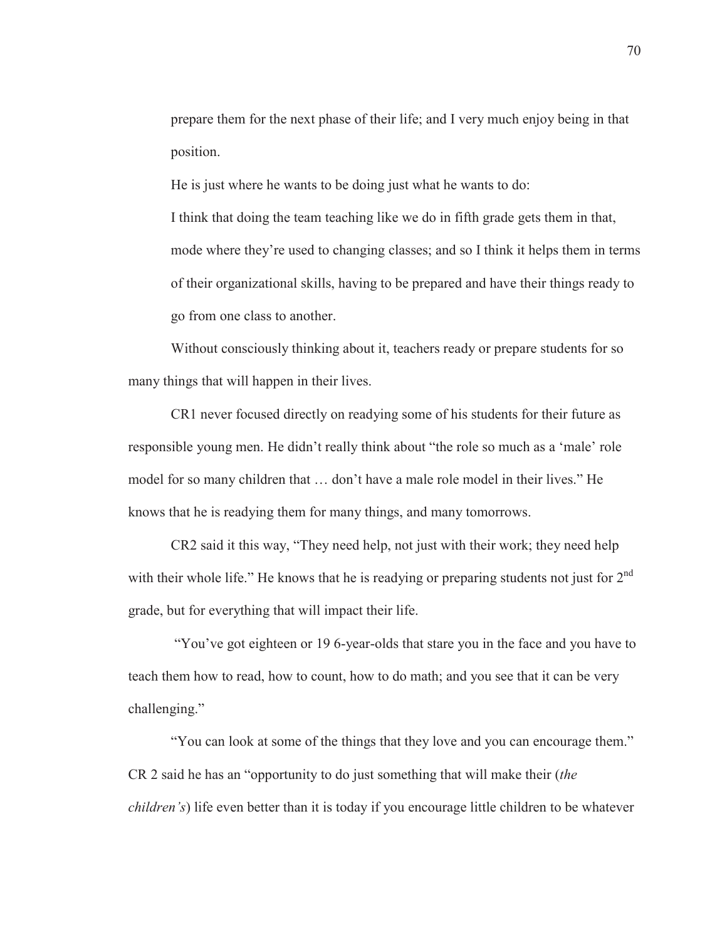prepare them for the next phase of their life; and I very much enjoy being in that position.

He is just where he wants to be doing just what he wants to do:

I think that doing the team teaching like we do in fifth grade gets them in that, mode where they're used to changing classes; and so I think it helps them in terms of their organizational skills, having to be prepared and have their things ready to go from one class to another.

Without consciously thinking about it, teachers ready or prepare students for so many things that will happen in their lives.

CR1 never focused directly on readying some of his students for their future as responsible young men. He didn't really think about "the role so much as a 'male' role model for so many children that … don't have a male role model in their lives." He knows that he is readying them for many things, and many tomorrows.

CR2 said it this way, "They need help, not just with their work; they need help with their whole life." He knows that he is readying or preparing students not just for 2<sup>nd</sup> grade, but for everything that will impact their life.

 "You've got eighteen or 19 6-year-olds that stare you in the face and you have to teach them how to read, how to count, how to do math; and you see that it can be very challenging."

"You can look at some of the things that they love and you can encourage them." CR 2 said he has an "opportunity to do just something that will make their (*the children's*) life even better than it is today if you encourage little children to be whatever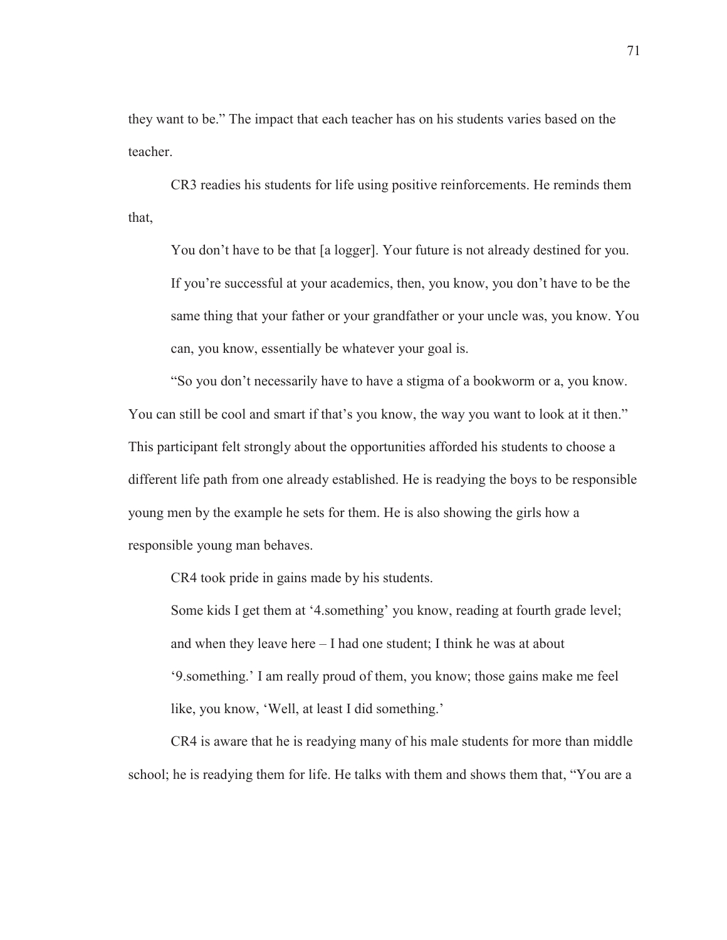they want to be." The impact that each teacher has on his students varies based on the teacher.

CR3 readies his students for life using positive reinforcements. He reminds them that,

You don't have to be that [a logger]. Your future is not already destined for you. If you're successful at your academics, then, you know, you don't have to be the same thing that your father or your grandfather or your uncle was, you know. You can, you know, essentially be whatever your goal is.

"So you don't necessarily have to have a stigma of a bookworm or a, you know. You can still be cool and smart if that's you know, the way you want to look at it then." This participant felt strongly about the opportunities afforded his students to choose a different life path from one already established. He is readying the boys to be responsible young men by the example he sets for them. He is also showing the girls how a responsible young man behaves.

CR4 took pride in gains made by his students.

Some kids I get them at '4.something' you know, reading at fourth grade level; and when they leave here – I had one student; I think he was at about '9.something.' I am really proud of them, you know; those gains make me feel like, you know, 'Well, at least I did something.'

 CR4 is aware that he is readying many of his male students for more than middle school; he is readying them for life. He talks with them and shows them that, "You are a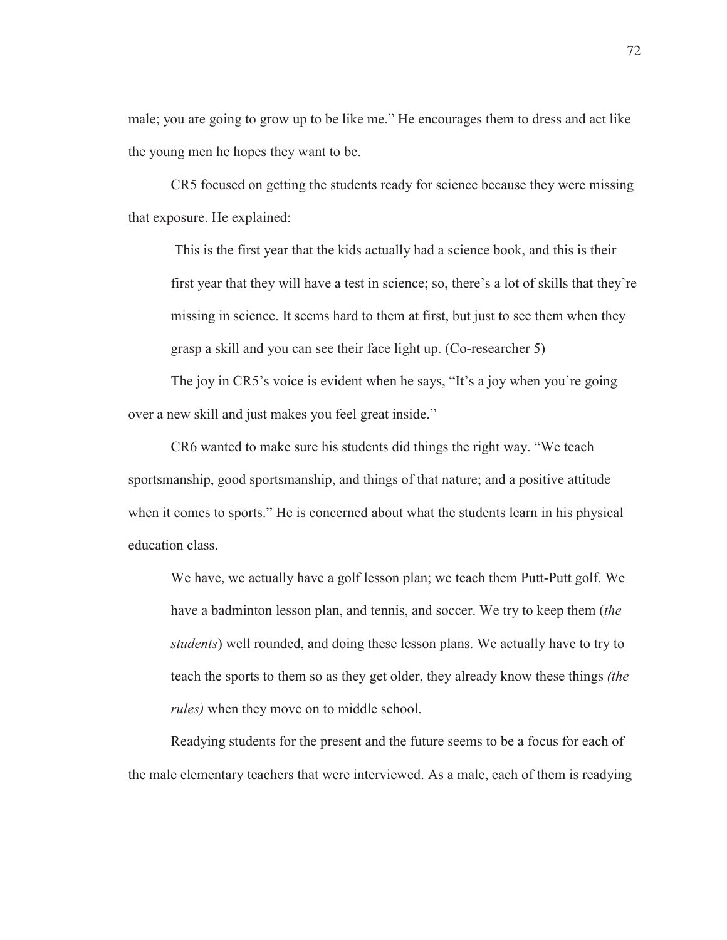male; you are going to grow up to be like me." He encourages them to dress and act like the young men he hopes they want to be.

 CR5 focused on getting the students ready for science because they were missing that exposure. He explained:

 This is the first year that the kids actually had a science book, and this is their first year that they will have a test in science; so, there's a lot of skills that they're missing in science. It seems hard to them at first, but just to see them when they grasp a skill and you can see their face light up. (Co-researcher 5)

The joy in CR5's voice is evident when he says, "It's a joy when you're going over a new skill and just makes you feel great inside."

 CR6 wanted to make sure his students did things the right way. "We teach sportsmanship, good sportsmanship, and things of that nature; and a positive attitude when it comes to sports." He is concerned about what the students learn in his physical education class.

We have, we actually have a golf lesson plan; we teach them Putt-Putt golf. We have a badminton lesson plan, and tennis, and soccer. We try to keep them (*the students*) well rounded, and doing these lesson plans. We actually have to try to teach the sports to them so as they get older, they already know these things *(the rules)* when they move on to middle school.

Readying students for the present and the future seems to be a focus for each of the male elementary teachers that were interviewed. As a male, each of them is readying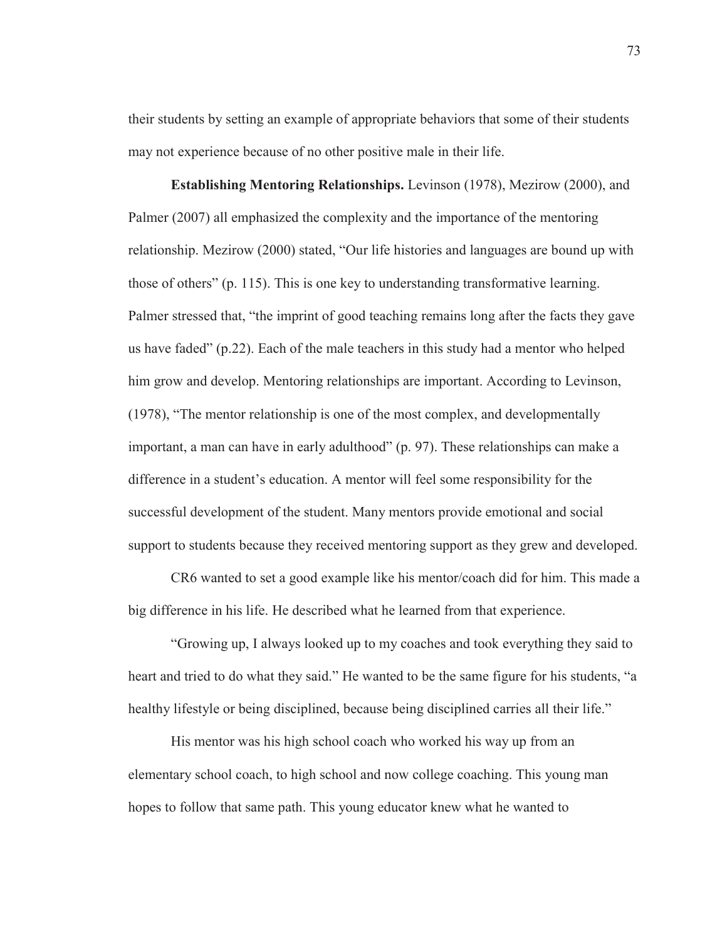their students by setting an example of appropriate behaviors that some of their students may not experience because of no other positive male in their life.

**Establishing Mentoring Relationships.** Levinson (1978), Mezirow (2000), and Palmer (2007) all emphasized the complexity and the importance of the mentoring relationship. Mezirow (2000) stated, "Our life histories and languages are bound up with those of others" (p. 115). This is one key to understanding transformative learning. Palmer stressed that, "the imprint of good teaching remains long after the facts they gave us have faded" (p.22). Each of the male teachers in this study had a mentor who helped him grow and develop. Mentoring relationships are important. According to Levinson, (1978), "The mentor relationship is one of the most complex, and developmentally important, a man can have in early adulthood" (p. 97). These relationships can make a difference in a student's education. A mentor will feel some responsibility for the successful development of the student. Many mentors provide emotional and social support to students because they received mentoring support as they grew and developed.

 CR6 wanted to set a good example like his mentor/coach did for him. This made a big difference in his life. He described what he learned from that experience.

 "Growing up, I always looked up to my coaches and took everything they said to heart and tried to do what they said." He wanted to be the same figure for his students, "a healthy lifestyle or being disciplined, because being disciplined carries all their life."

His mentor was his high school coach who worked his way up from an elementary school coach, to high school and now college coaching. This young man hopes to follow that same path. This young educator knew what he wanted to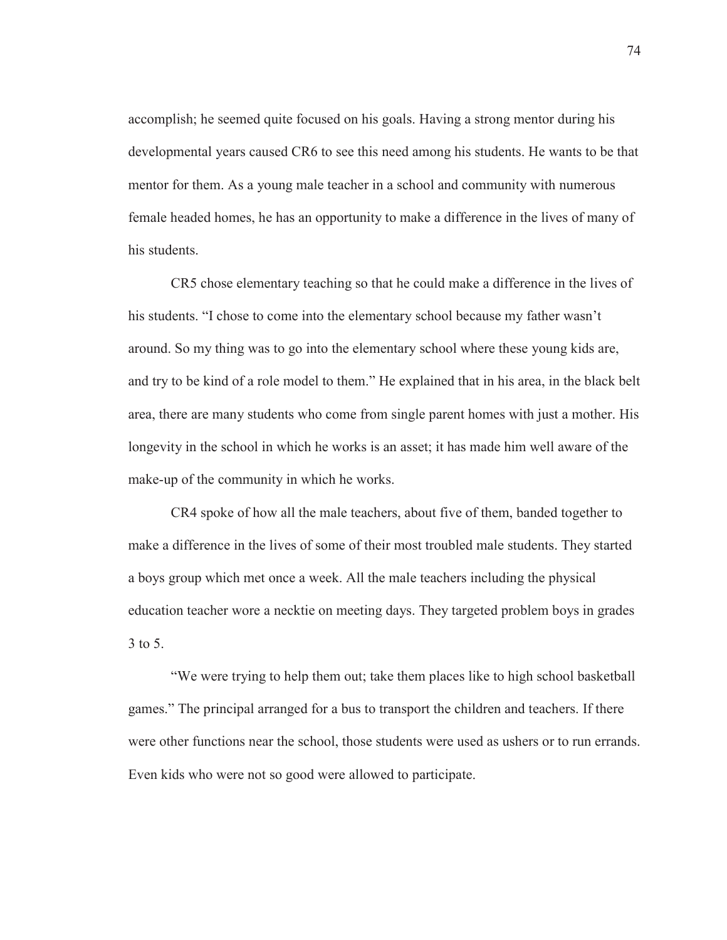accomplish; he seemed quite focused on his goals. Having a strong mentor during his developmental years caused CR6 to see this need among his students. He wants to be that mentor for them. As a young male teacher in a school and community with numerous female headed homes, he has an opportunity to make a difference in the lives of many of his students.

 CR5 chose elementary teaching so that he could make a difference in the lives of his students. "I chose to come into the elementary school because my father wasn't around. So my thing was to go into the elementary school where these young kids are, and try to be kind of a role model to them." He explained that in his area, in the black belt area, there are many students who come from single parent homes with just a mother. His longevity in the school in which he works is an asset; it has made him well aware of the make-up of the community in which he works.

 CR4 spoke of how all the male teachers, about five of them, banded together to make a difference in the lives of some of their most troubled male students. They started a boys group which met once a week. All the male teachers including the physical education teacher wore a necktie on meeting days. They targeted problem boys in grades 3 to 5.

 "We were trying to help them out; take them places like to high school basketball games." The principal arranged for a bus to transport the children and teachers. If there were other functions near the school, those students were used as ushers or to run errands. Even kids who were not so good were allowed to participate.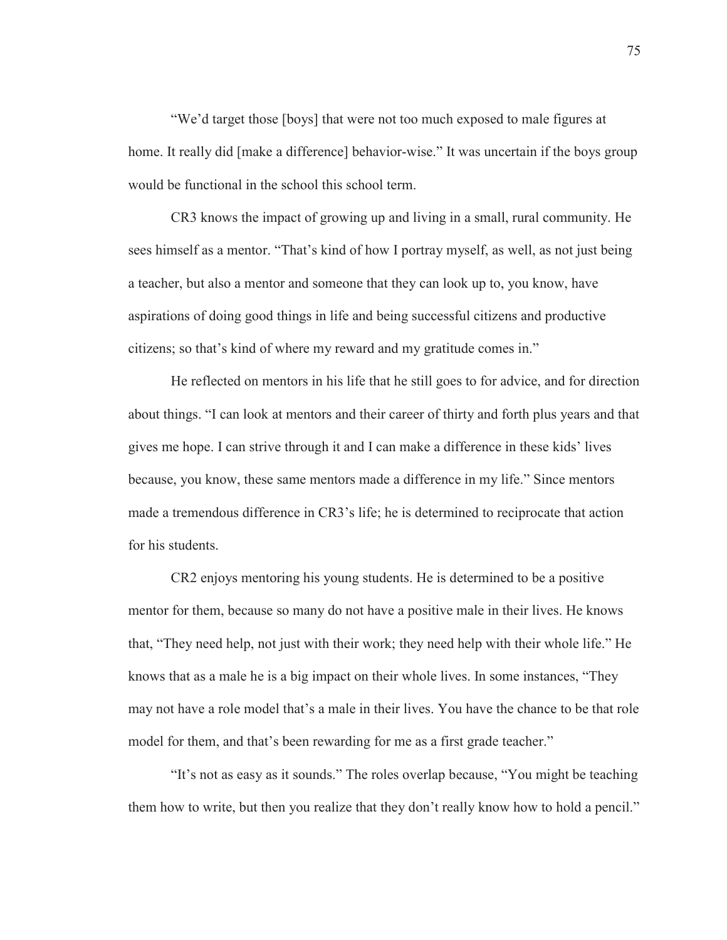"We'd target those [boys] that were not too much exposed to male figures at home. It really did [make a difference] behavior-wise." It was uncertain if the boys group would be functional in the school this school term.

 CR3 knows the impact of growing up and living in a small, rural community. He sees himself as a mentor. "That's kind of how I portray myself, as well, as not just being a teacher, but also a mentor and someone that they can look up to, you know, have aspirations of doing good things in life and being successful citizens and productive citizens; so that's kind of where my reward and my gratitude comes in."

He reflected on mentors in his life that he still goes to for advice, and for direction about things. "I can look at mentors and their career of thirty and forth plus years and that gives me hope. I can strive through it and I can make a difference in these kids' lives because, you know, these same mentors made a difference in my life." Since mentors made a tremendous difference in CR3's life; he is determined to reciprocate that action for his students.

 CR2 enjoys mentoring his young students. He is determined to be a positive mentor for them, because so many do not have a positive male in their lives. He knows that, "They need help, not just with their work; they need help with their whole life." He knows that as a male he is a big impact on their whole lives. In some instances, "They may not have a role model that's a male in their lives. You have the chance to be that role model for them, and that's been rewarding for me as a first grade teacher."

"It's not as easy as it sounds." The roles overlap because, "You might be teaching them how to write, but then you realize that they don't really know how to hold a pencil."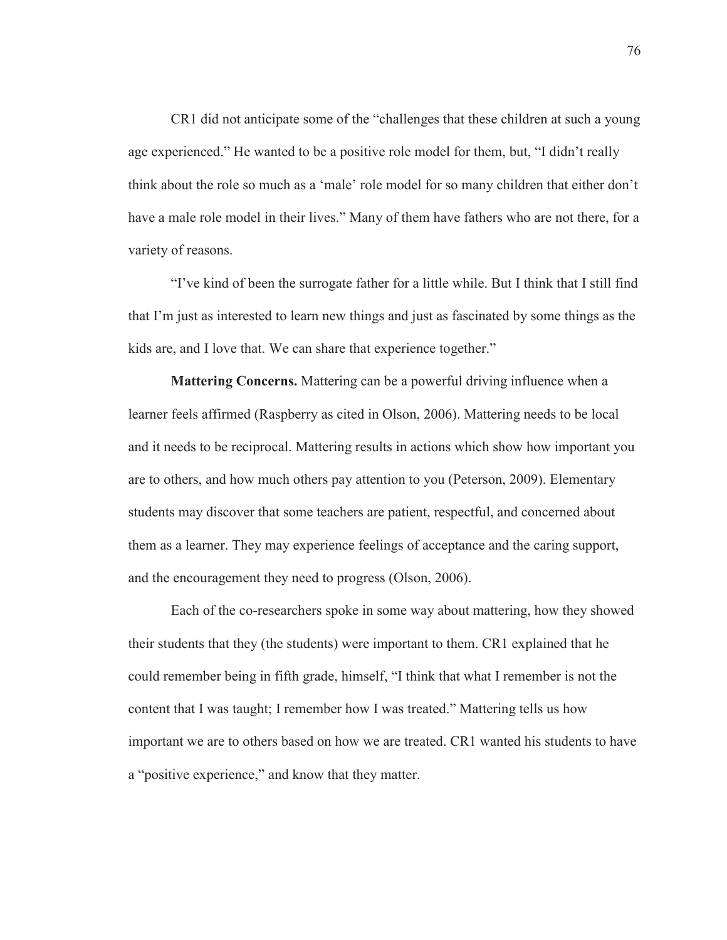CR1 did not anticipate some of the "challenges that these children at such a young age experienced." He wanted to be a positive role model for them, but, "I didn't really think about the role so much as a 'male' role model for so many children that either don't have a male role model in their lives." Many of them have fathers who are not there, for a variety of reasons.

 "I've kind of been the surrogate father for a little while. But I think that I still find that I'm just as interested to learn new things and just as fascinated by some things as the kids are, and I love that. We can share that experience together."

**Mattering Concerns.** Mattering can be a powerful driving influence when a learner feels affirmed (Raspberry as cited in Olson, 2006). Mattering needs to be local and it needs to be reciprocal. Mattering results in actions which show how important you are to others, and how much others pay attention to you (Peterson, 2009). Elementary students may discover that some teachers are patient, respectful, and concerned about them as a learner. They may experience feelings of acceptance and the caring support, and the encouragement they need to progress (Olson, 2006).

 Each of the co-researchers spoke in some way about mattering, how they showed their students that they (the students) were important to them. CR1 explained that he could remember being in fifth grade, himself, "I think that what I remember is not the content that I was taught; I remember how I was treated." Mattering tells us how important we are to others based on how we are treated. CR1 wanted his students to have a "positive experience," and know that they matter.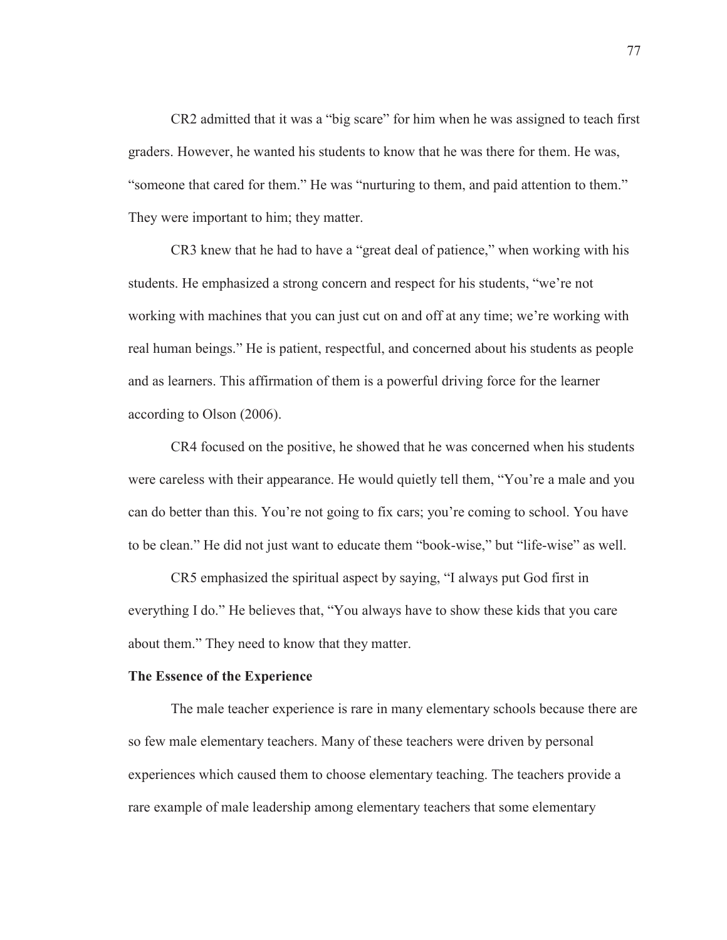CR2 admitted that it was a "big scare" for him when he was assigned to teach first graders. However, he wanted his students to know that he was there for them. He was, "someone that cared for them." He was "nurturing to them, and paid attention to them." They were important to him; they matter.

 CR3 knew that he had to have a "great deal of patience," when working with his students. He emphasized a strong concern and respect for his students, "we're not working with machines that you can just cut on and off at any time; we're working with real human beings." He is patient, respectful, and concerned about his students as people and as learners. This affirmation of them is a powerful driving force for the learner according to Olson (2006).

 CR4 focused on the positive, he showed that he was concerned when his students were careless with their appearance. He would quietly tell them, "You're a male and you can do better than this. You're not going to fix cars; you're coming to school. You have to be clean." He did not just want to educate them "book-wise," but "life-wise" as well.

 CR5 emphasized the spiritual aspect by saying, "I always put God first in everything I do." He believes that, "You always have to show these kids that you care about them." They need to know that they matter.

### **The Essence of the Experience**

The male teacher experience is rare in many elementary schools because there are so few male elementary teachers. Many of these teachers were driven by personal experiences which caused them to choose elementary teaching. The teachers provide a rare example of male leadership among elementary teachers that some elementary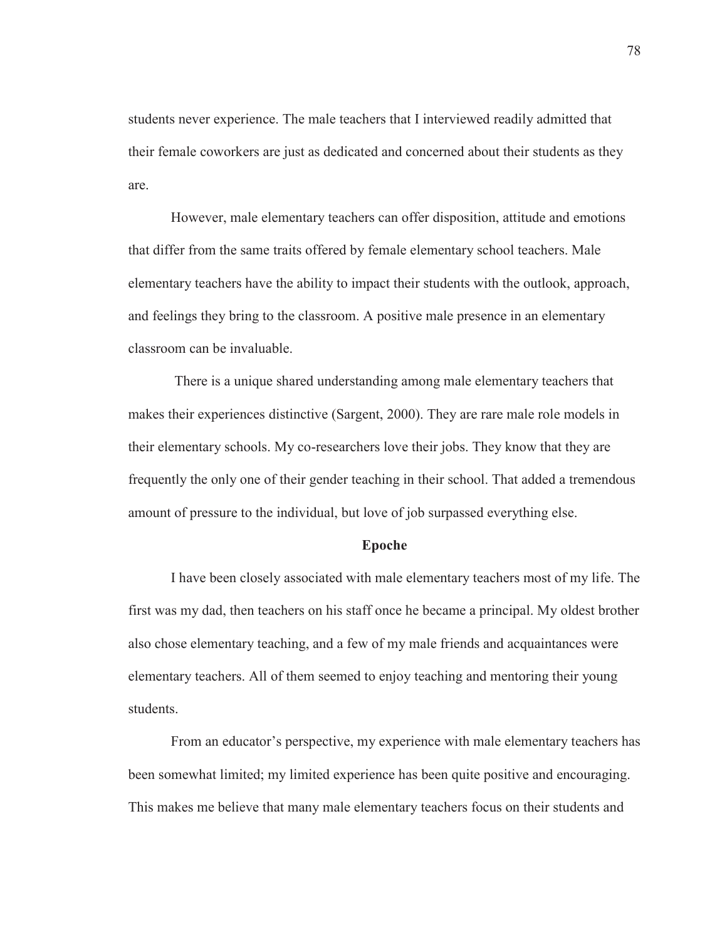students never experience. The male teachers that I interviewed readily admitted that their female coworkers are just as dedicated and concerned about their students as they are.

 However, male elementary teachers can offer disposition, attitude and emotions that differ from the same traits offered by female elementary school teachers. Male elementary teachers have the ability to impact their students with the outlook, approach, and feelings they bring to the classroom. A positive male presence in an elementary classroom can be invaluable.

 There is a unique shared understanding among male elementary teachers that makes their experiences distinctive (Sargent, 2000). They are rare male role models in their elementary schools. My co-researchers love their jobs. They know that they are frequently the only one of their gender teaching in their school. That added a tremendous amount of pressure to the individual, but love of job surpassed everything else.

#### **Epoche**

I have been closely associated with male elementary teachers most of my life. The first was my dad, then teachers on his staff once he became a principal. My oldest brother also chose elementary teaching, and a few of my male friends and acquaintances were elementary teachers. All of them seemed to enjoy teaching and mentoring their young students.

 From an educator's perspective, my experience with male elementary teachers has been somewhat limited; my limited experience has been quite positive and encouraging. This makes me believe that many male elementary teachers focus on their students and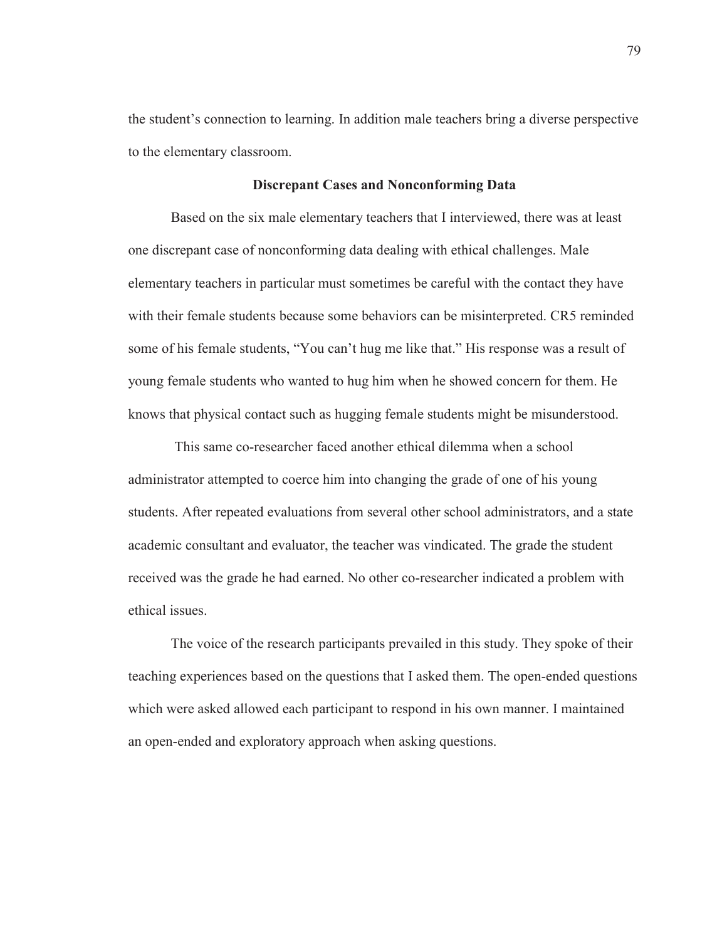the student's connection to learning. In addition male teachers bring a diverse perspective to the elementary classroom.

## **Discrepant Cases and Nonconforming Data**

Based on the six male elementary teachers that I interviewed, there was at least one discrepant case of nonconforming data dealing with ethical challenges. Male elementary teachers in particular must sometimes be careful with the contact they have with their female students because some behaviors can be misinterpreted. CR5 reminded some of his female students, "You can't hug me like that." His response was a result of young female students who wanted to hug him when he showed concern for them. He knows that physical contact such as hugging female students might be misunderstood.

 This same co-researcher faced another ethical dilemma when a school administrator attempted to coerce him into changing the grade of one of his young students. After repeated evaluations from several other school administrators, and a state academic consultant and evaluator, the teacher was vindicated. The grade the student received was the grade he had earned. No other co-researcher indicated a problem with ethical issues.

The voice of the research participants prevailed in this study. They spoke of their teaching experiences based on the questions that I asked them. The open-ended questions which were asked allowed each participant to respond in his own manner. I maintained an open-ended and exploratory approach when asking questions.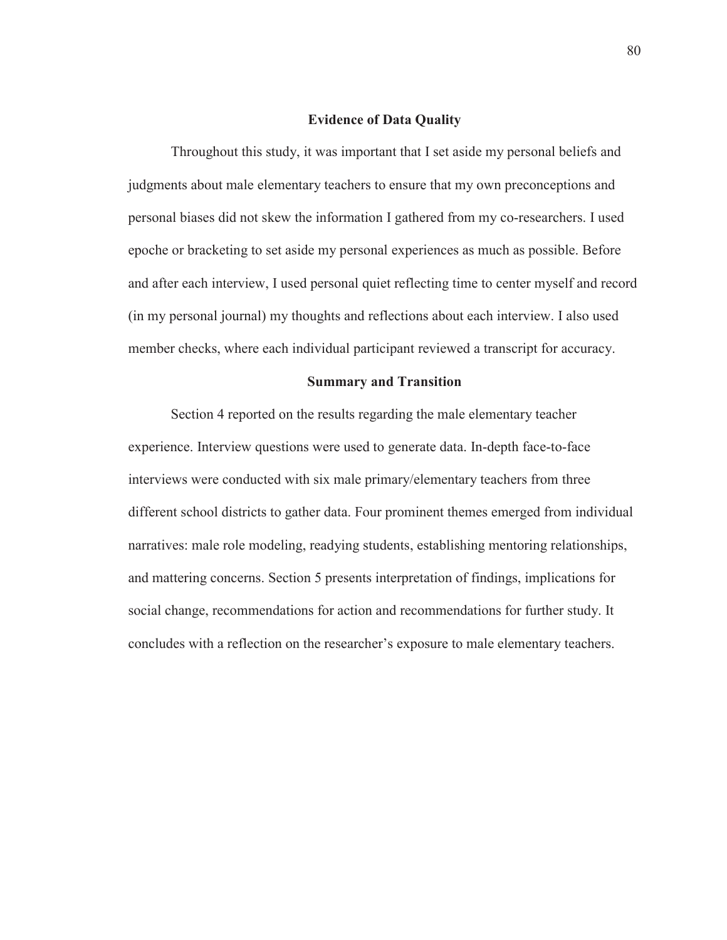## **Evidence of Data Quality**

Throughout this study, it was important that I set aside my personal beliefs and judgments about male elementary teachers to ensure that my own preconceptions and personal biases did not skew the information I gathered from my co-researchers. I used epoche or bracketing to set aside my personal experiences as much as possible. Before and after each interview, I used personal quiet reflecting time to center myself and record (in my personal journal) my thoughts and reflections about each interview. I also used member checks, where each individual participant reviewed a transcript for accuracy.

### **Summary and Transition**

Section 4 reported on the results regarding the male elementary teacher experience. Interview questions were used to generate data. In-depth face-to-face interviews were conducted with six male primary/elementary teachers from three different school districts to gather data. Four prominent themes emerged from individual narratives: male role modeling, readying students, establishing mentoring relationships, and mattering concerns. Section 5 presents interpretation of findings, implications for social change, recommendations for action and recommendations for further study. It concludes with a reflection on the researcher's exposure to male elementary teachers.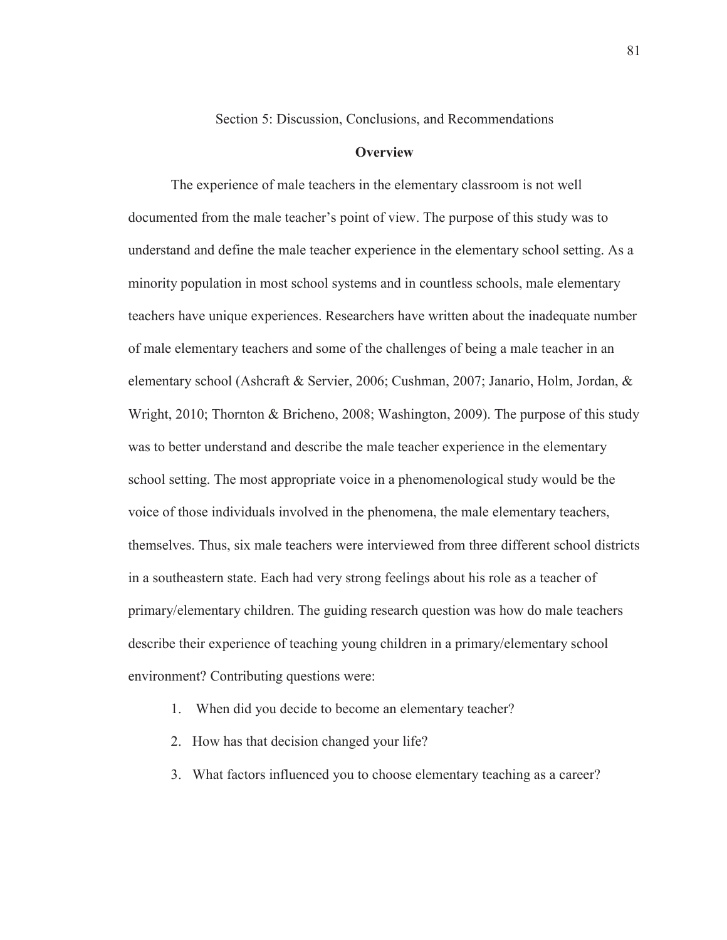Section 5: Discussion, Conclusions, and Recommendations

## **Overview**

The experience of male teachers in the elementary classroom is not well documented from the male teacher's point of view. The purpose of this study was to understand and define the male teacher experience in the elementary school setting. As a minority population in most school systems and in countless schools, male elementary teachers have unique experiences. Researchers have written about the inadequate number of male elementary teachers and some of the challenges of being a male teacher in an elementary school (Ashcraft & Servier, 2006; Cushman, 2007; Janario, Holm, Jordan, & Wright, 2010; Thornton & Bricheno, 2008; Washington, 2009). The purpose of this study was to better understand and describe the male teacher experience in the elementary school setting. The most appropriate voice in a phenomenological study would be the voice of those individuals involved in the phenomena, the male elementary teachers, themselves. Thus, six male teachers were interviewed from three different school districts in a southeastern state. Each had very strong feelings about his role as a teacher of primary/elementary children. The guiding research question was how do male teachers describe their experience of teaching young children in a primary/elementary school environment? Contributing questions were:

- 1. When did you decide to become an elementary teacher?
- 2. How has that decision changed your life?
- 3. What factors influenced you to choose elementary teaching as a career?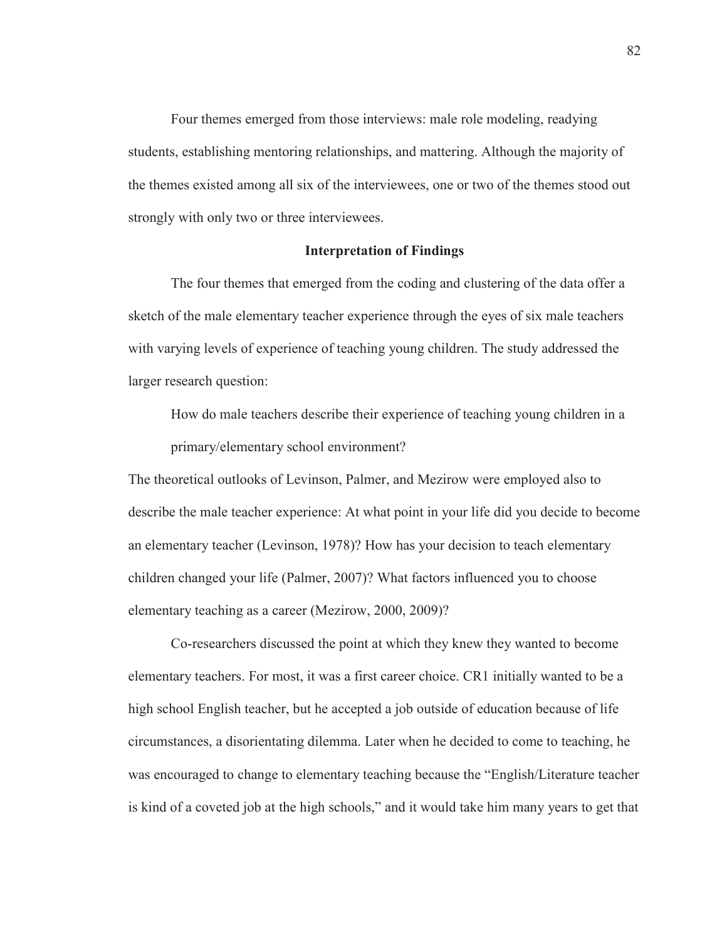Four themes emerged from those interviews: male role modeling, readying students, establishing mentoring relationships, and mattering. Although the majority of the themes existed among all six of the interviewees, one or two of the themes stood out strongly with only two or three interviewees.

## **Interpretation of Findings**

The four themes that emerged from the coding and clustering of the data offer a sketch of the male elementary teacher experience through the eyes of six male teachers with varying levels of experience of teaching young children. The study addressed the larger research question:

How do male teachers describe their experience of teaching young children in a primary/elementary school environment?

The theoretical outlooks of Levinson, Palmer, and Mezirow were employed also to describe the male teacher experience: At what point in your life did you decide to become an elementary teacher (Levinson, 1978)? How has your decision to teach elementary children changed your life (Palmer, 2007)? What factors influenced you to choose elementary teaching as a career (Mezirow, 2000, 2009)?

Co-researchers discussed the point at which they knew they wanted to become elementary teachers. For most, it was a first career choice. CR1 initially wanted to be a high school English teacher, but he accepted a job outside of education because of life circumstances, a disorientating dilemma. Later when he decided to come to teaching, he was encouraged to change to elementary teaching because the "English/Literature teacher is kind of a coveted job at the high schools," and it would take him many years to get that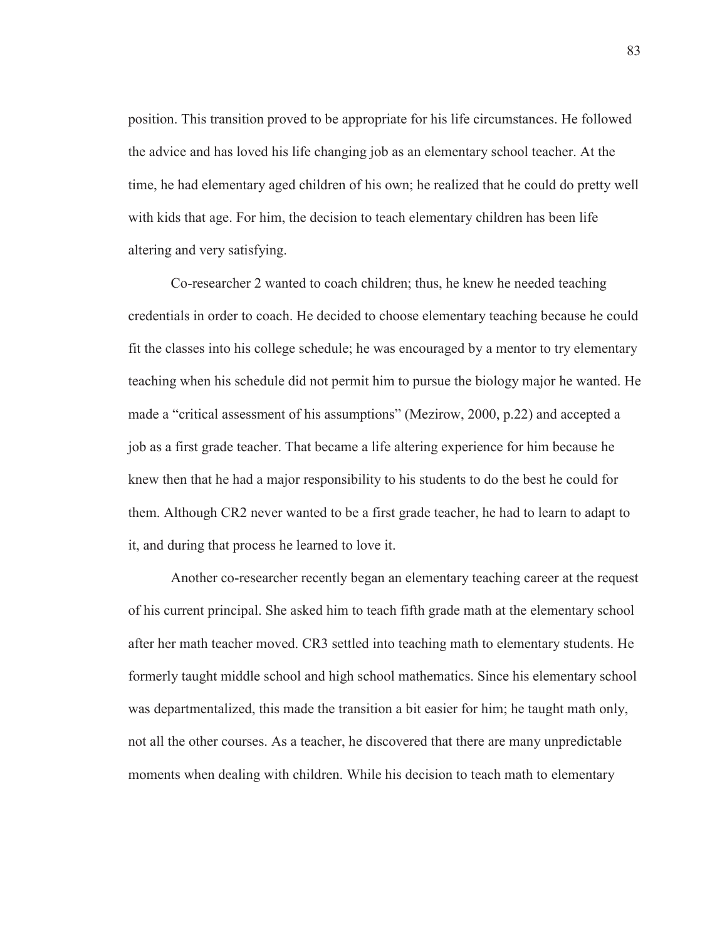position. This transition proved to be appropriate for his life circumstances. He followed the advice and has loved his life changing job as an elementary school teacher. At the time, he had elementary aged children of his own; he realized that he could do pretty well with kids that age. For him, the decision to teach elementary children has been life altering and very satisfying.

Co-researcher 2 wanted to coach children; thus, he knew he needed teaching credentials in order to coach. He decided to choose elementary teaching because he could fit the classes into his college schedule; he was encouraged by a mentor to try elementary teaching when his schedule did not permit him to pursue the biology major he wanted. He made a "critical assessment of his assumptions" (Mezirow, 2000, p.22) and accepted a job as a first grade teacher. That became a life altering experience for him because he knew then that he had a major responsibility to his students to do the best he could for them. Although CR2 never wanted to be a first grade teacher, he had to learn to adapt to it, and during that process he learned to love it.

Another co-researcher recently began an elementary teaching career at the request of his current principal. She asked him to teach fifth grade math at the elementary school after her math teacher moved. CR3 settled into teaching math to elementary students. He formerly taught middle school and high school mathematics. Since his elementary school was departmentalized, this made the transition a bit easier for him; he taught math only, not all the other courses. As a teacher, he discovered that there are many unpredictable moments when dealing with children. While his decision to teach math to elementary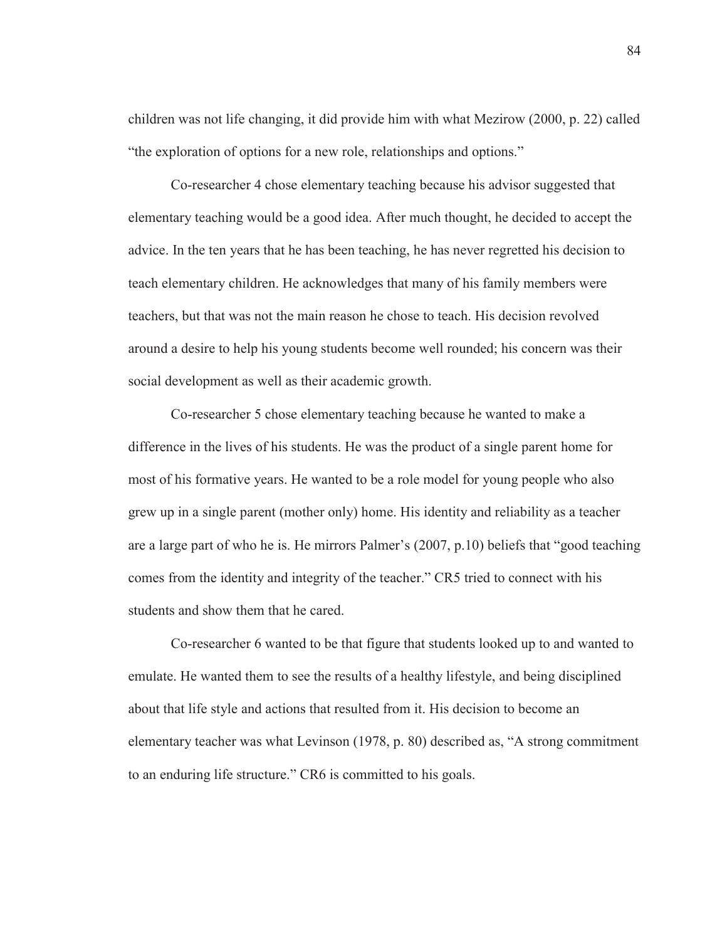children was not life changing, it did provide him with what Mezirow (2000, p. 22) called "the exploration of options for a new role, relationships and options."

Co-researcher 4 chose elementary teaching because his advisor suggested that elementary teaching would be a good idea. After much thought, he decided to accept the advice. In the ten years that he has been teaching, he has never regretted his decision to teach elementary children. He acknowledges that many of his family members were teachers, but that was not the main reason he chose to teach. His decision revolved around a desire to help his young students become well rounded; his concern was their social development as well as their academic growth.

Co-researcher 5 chose elementary teaching because he wanted to make a difference in the lives of his students. He was the product of a single parent home for most of his formative years. He wanted to be a role model for young people who also grew up in a single parent (mother only) home. His identity and reliability as a teacher are a large part of who he is. He mirrors Palmer's (2007, p.10) beliefs that "good teaching comes from the identity and integrity of the teacher." CR5 tried to connect with his students and show them that he cared.

Co-researcher 6 wanted to be that figure that students looked up to and wanted to emulate. He wanted them to see the results of a healthy lifestyle, and being disciplined about that life style and actions that resulted from it. His decision to become an elementary teacher was what Levinson (1978, p. 80) described as, "A strong commitment to an enduring life structure." CR6 is committed to his goals.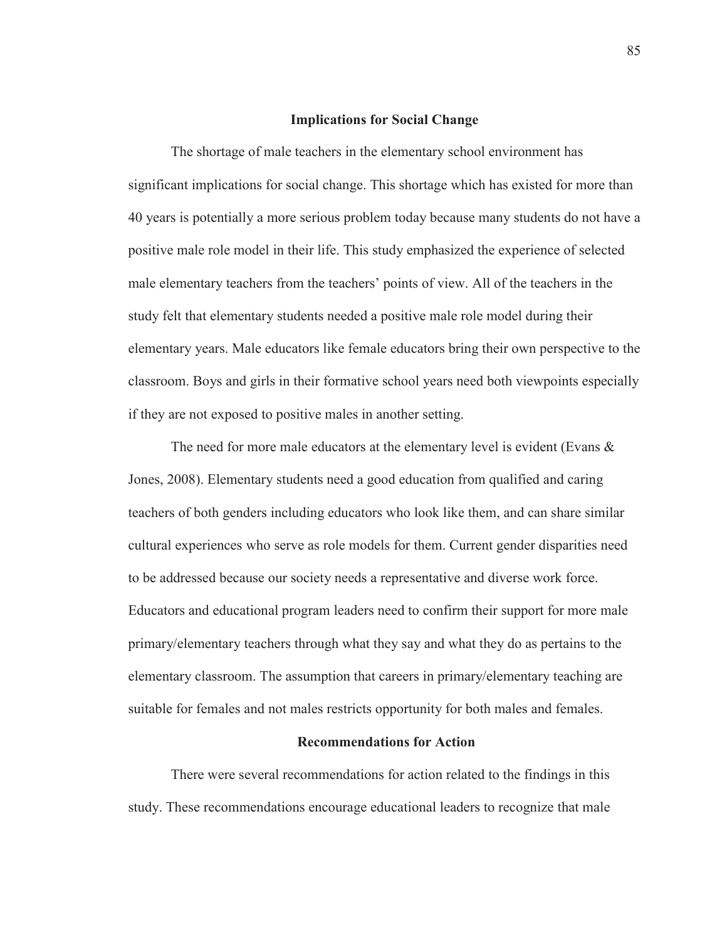### **Implications for Social Change**

The shortage of male teachers in the elementary school environment has significant implications for social change. This shortage which has existed for more than 40 years is potentially a more serious problem today because many students do not have a positive male role model in their life. This study emphasized the experience of selected male elementary teachers from the teachers' points of view. All of the teachers in the study felt that elementary students needed a positive male role model during their elementary years. Male educators like female educators bring their own perspective to the classroom. Boys and girls in their formative school years need both viewpoints especially if they are not exposed to positive males in another setting.

The need for more male educators at the elementary level is evident (Evans & Jones, 2008). Elementary students need a good education from qualified and caring teachers of both genders including educators who look like them, and can share similar cultural experiences who serve as role models for them. Current gender disparities need to be addressed because our society needs a representative and diverse work force. Educators and educational program leaders need to confirm their support for more male primary/elementary teachers through what they say and what they do as pertains to the elementary classroom. The assumption that careers in primary/elementary teaching are suitable for females and not males restricts opportunity for both males and females.

## **Recommendations for Action**

There were several recommendations for action related to the findings in this study. These recommendations encourage educational leaders to recognize that male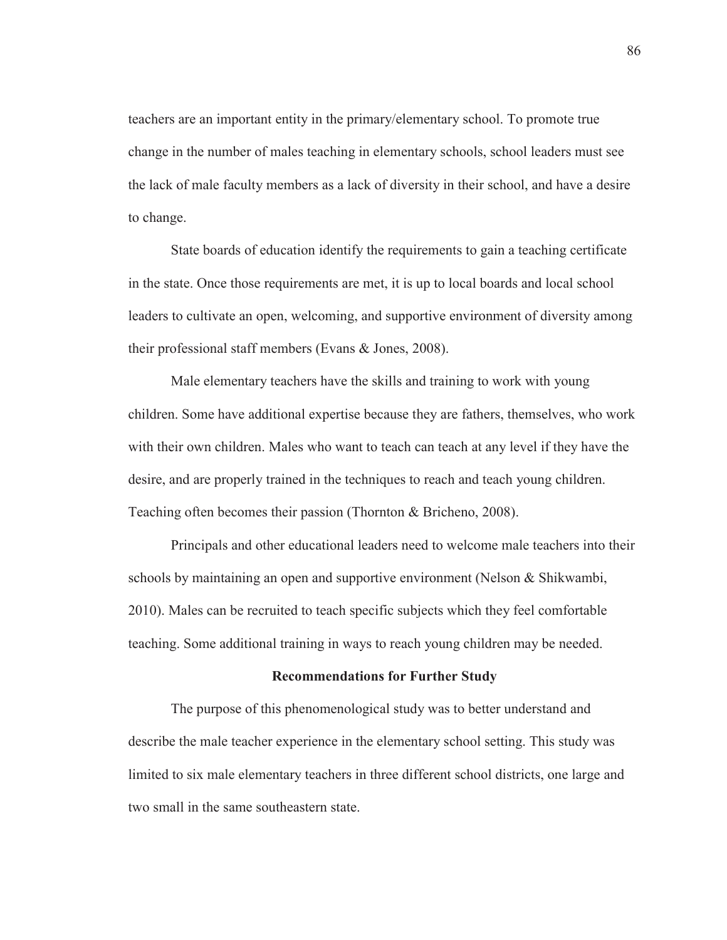teachers are an important entity in the primary/elementary school. To promote true change in the number of males teaching in elementary schools, school leaders must see the lack of male faculty members as a lack of diversity in their school, and have a desire to change.

State boards of education identify the requirements to gain a teaching certificate in the state. Once those requirements are met, it is up to local boards and local school leaders to cultivate an open, welcoming, and supportive environment of diversity among their professional staff members (Evans & Jones, 2008).

Male elementary teachers have the skills and training to work with young children. Some have additional expertise because they are fathers, themselves, who work with their own children. Males who want to teach can teach at any level if they have the desire, and are properly trained in the techniques to reach and teach young children. Teaching often becomes their passion (Thornton & Bricheno, 2008).

Principals and other educational leaders need to welcome male teachers into their schools by maintaining an open and supportive environment (Nelson & Shikwambi, 2010). Males can be recruited to teach specific subjects which they feel comfortable teaching. Some additional training in ways to reach young children may be needed.

#### **Recommendations for Further Study**

The purpose of this phenomenological study was to better understand and describe the male teacher experience in the elementary school setting. This study was limited to six male elementary teachers in three different school districts, one large and two small in the same southeastern state.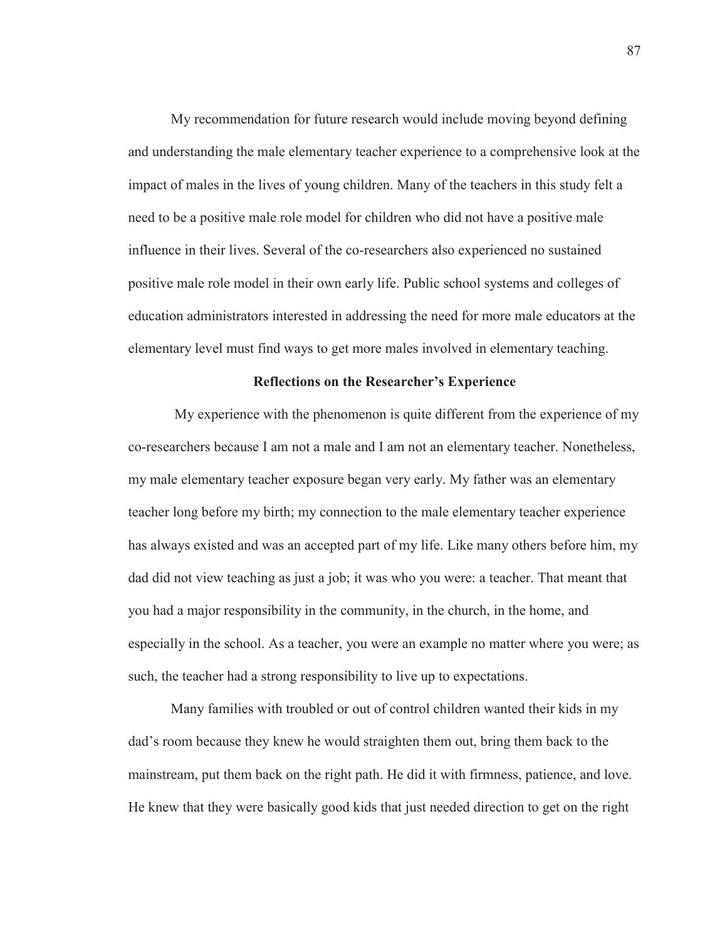My recommendation for future research would include moving beyond defining and understanding the male elementary teacher experience to a comprehensive look at the impact of males in the lives of young children. Many of the teachers in this study felt a need to be a positive male role model for children who did not have a positive male influence in their lives. Several of the co-researchers also experienced no sustained positive male role model in their own early life. Public school systems and colleges of education administrators interested in addressing the need for more male educators at the elementary level must find ways to get more males involved in elementary teaching.

## **Reflections on the Researcher's Experience**

My experience with the phenomenon is quite different from the experience of my co-researchers because I am not a male and I am not an elementary teacher. Nonetheless, my male elementary teacher exposure began very early. My father was an elementary teacher long before my birth; my connection to the male elementary teacher experience has always existed and was an accepted part of my life. Like many others before him, my dad did not view teaching as just a job; it was who you were: a teacher. That meant that you had a major responsibility in the community, in the church, in the home, and especially in the school. As a teacher, you were an example no matter where you were; as such, the teacher had a strong responsibility to live up to expectations.

Many families with troubled or out of control children wanted their kids in my dad's room because they knew he would straighten them out, bring them back to the mainstream, put them back on the right path. He did it with firmness, patience, and love. He knew that they were basically good kids that just needed direction to get on the right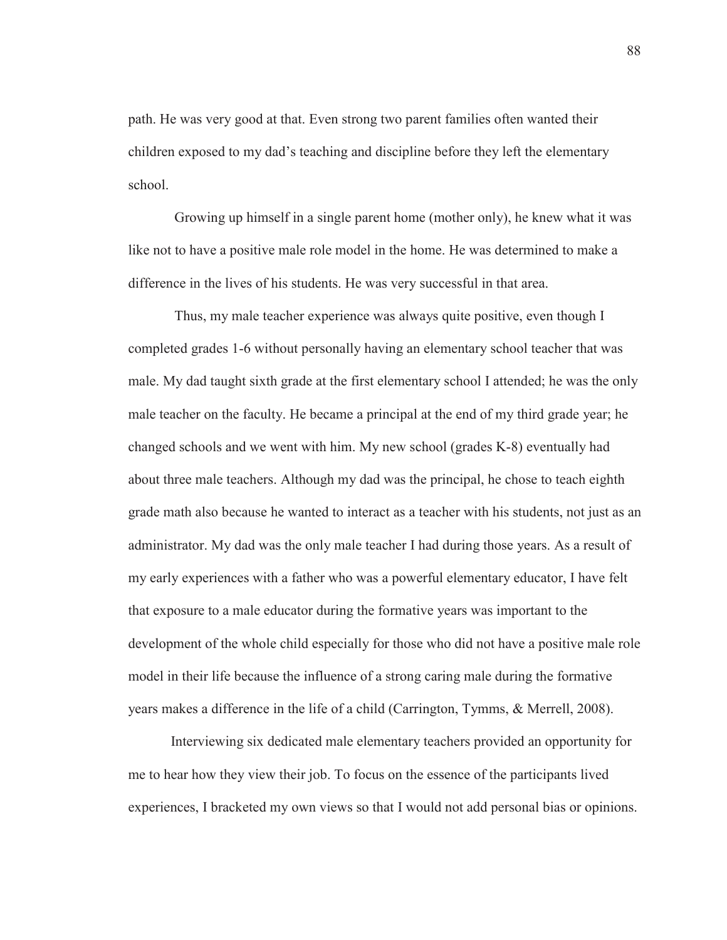path. He was very good at that. Even strong two parent families often wanted their children exposed to my dad's teaching and discipline before they left the elementary school.

 Growing up himself in a single parent home (mother only), he knew what it was like not to have a positive male role model in the home. He was determined to make a difference in the lives of his students. He was very successful in that area.

 Thus, my male teacher experience was always quite positive, even though I completed grades 1-6 without personally having an elementary school teacher that was male. My dad taught sixth grade at the first elementary school I attended; he was the only male teacher on the faculty. He became a principal at the end of my third grade year; he changed schools and we went with him. My new school (grades K-8) eventually had about three male teachers. Although my dad was the principal, he chose to teach eighth grade math also because he wanted to interact as a teacher with his students, not just as an administrator. My dad was the only male teacher I had during those years. As a result of my early experiences with a father who was a powerful elementary educator, I have felt that exposure to a male educator during the formative years was important to the development of the whole child especially for those who did not have a positive male role model in their life because the influence of a strong caring male during the formative years makes a difference in the life of a child (Carrington, Tymms, & Merrell, 2008).

Interviewing six dedicated male elementary teachers provided an opportunity for me to hear how they view their job. To focus on the essence of the participants lived experiences, I bracketed my own views so that I would not add personal bias or opinions.

88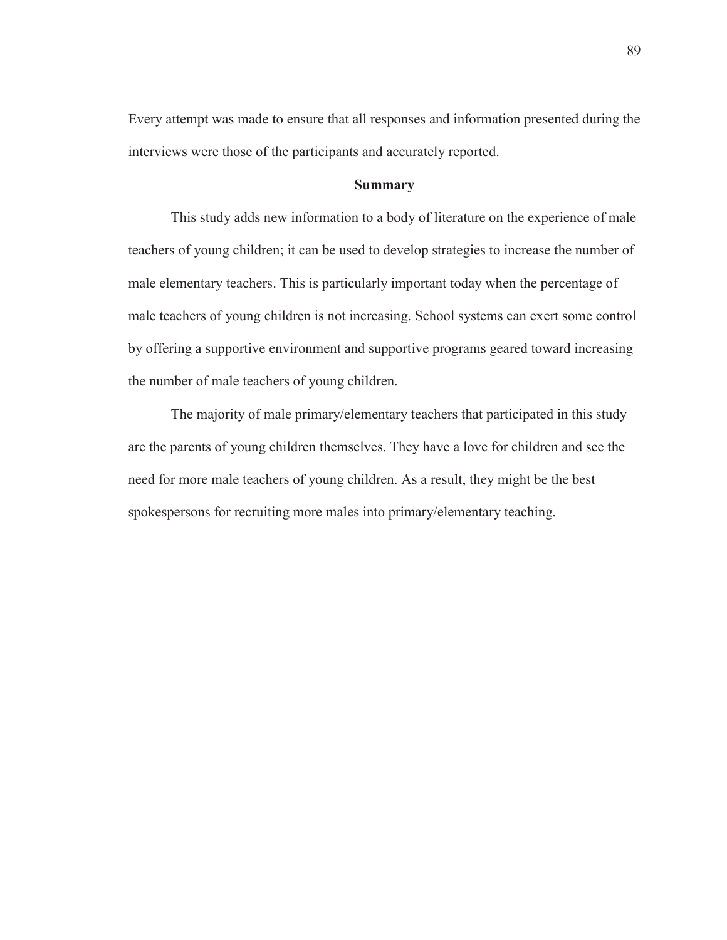Every attempt was made to ensure that all responses and information presented during the interviews were those of the participants and accurately reported.

# **Summary**

This study adds new information to a body of literature on the experience of male teachers of young children; it can be used to develop strategies to increase the number of male elementary teachers. This is particularly important today when the percentage of male teachers of young children is not increasing. School systems can exert some control by offering a supportive environment and supportive programs geared toward increasing the number of male teachers of young children.

The majority of male primary/elementary teachers that participated in this study are the parents of young children themselves. They have a love for children and see the need for more male teachers of young children. As a result, they might be the best spokespersons for recruiting more males into primary/elementary teaching.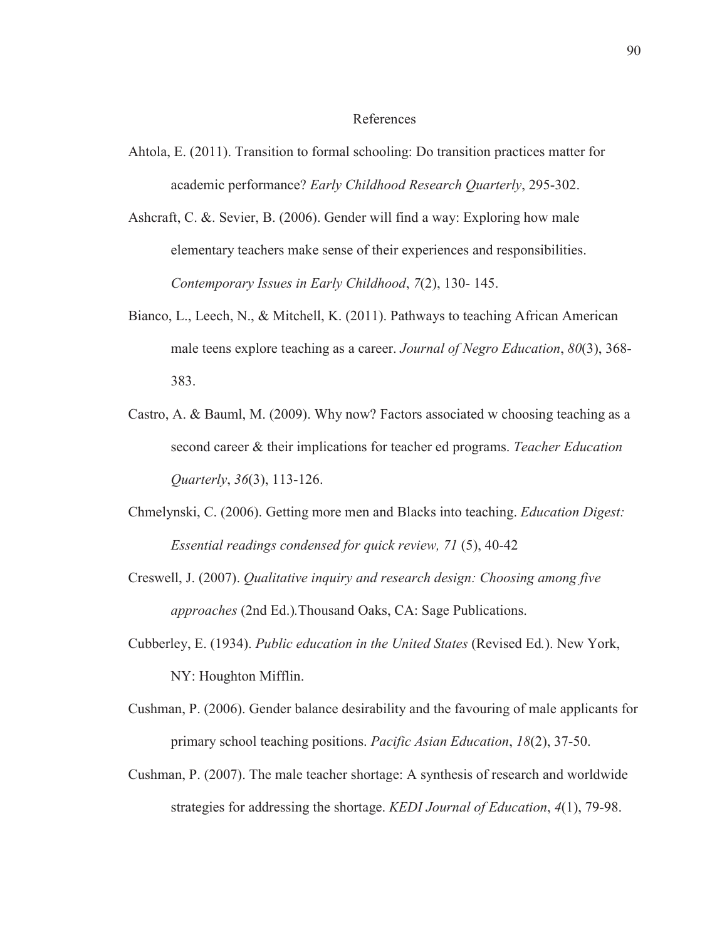#### References

- Ahtola, E. (2011). Transition to formal schooling: Do transition practices matter for academic performance? *Early Childhood Research Quarterly*, 295-302.
- Ashcraft, C. &. Sevier, B. (2006). Gender will find a way: Exploring how male elementary teachers make sense of their experiences and responsibilities. *Contemporary Issues in Early Childhood*, *7*(2), 130- 145.
- Bianco, L., Leech, N., & Mitchell, K. (2011). Pathways to teaching African American male teens explore teaching as a career. *Journal of Negro Education*, *80*(3), 368- 383.
- Castro, A. & Bauml, M. (2009). Why now? Factors associated w choosing teaching as a second career & their implications for teacher ed programs. *Teacher Education Quarterly*, *36*(3), 113-126.
- Chmelynski, C. (2006). Getting more men and Blacks into teaching. *Education Digest: Essential readings condensed for quick review, 71* (5), 40-42
- Creswell, J. (2007). *Qualitative inquiry and research design: Choosing among five approaches* (2nd Ed.)*.*Thousand Oaks, CA: Sage Publications.
- Cubberley, E. (1934). *Public education in the United States* (Revised Ed*.*). New York, NY: Houghton Mifflin.
- Cushman, P. (2006). Gender balance desirability and the favouring of male applicants for primary school teaching positions. *Pacific Asian Education*, *18*(2), 37-50.
- Cushman, P. (2007). The male teacher shortage: A synthesis of research and worldwide strategies for addressing the shortage. *KEDI Journal of Education*, *4*(1), 79-98.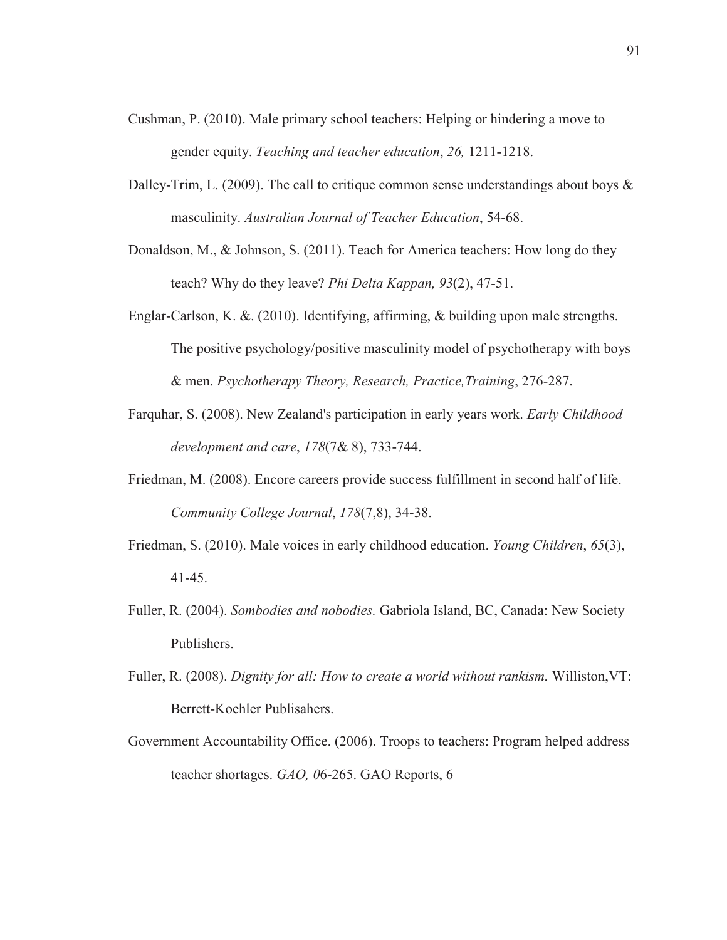- Cushman, P. (2010). Male primary school teachers: Helping or hindering a move to gender equity. *Teaching and teacher education*, *26,* 1211-1218.
- Dalley-Trim, L. (2009). The call to critique common sense understandings about boys  $\&$ masculinity. *Australian Journal of Teacher Education*, 54-68.
- Donaldson, M., & Johnson, S. (2011). Teach for America teachers: How long do they teach? Why do they leave? *Phi Delta Kappan, 93*(2), 47-51.
- Englar-Carlson, K. &. (2010). Identifying, affirming, & building upon male strengths. The positive psychology/positive masculinity model of psychotherapy with boys & men. *Psychotherapy Theory, Research, Practice,Training*, 276-287.
- Farquhar, S. (2008). New Zealand's participation in early years work. *Early Childhood development and care*, *178*(7& 8), 733-744.
- Friedman, M. (2008). Encore careers provide success fulfillment in second half of life. *Community College Journal*, *178*(7,8), 34-38.
- Friedman, S. (2010). Male voices in early childhood education. *Young Children*, *65*(3), 41-45.
- Fuller, R. (2004). *Sombodies and nobodies.* Gabriola Island, BC, Canada: New Society Publishers.
- Fuller, R. (2008). *Dignity for all: How to create a world without rankism.* Williston,VT: Berrett-Koehler Publisahers.
- Government Accountability Office. (2006). Troops to teachers: Program helped address teacher shortages. *GAO, 0*6-265. GAO Reports, 6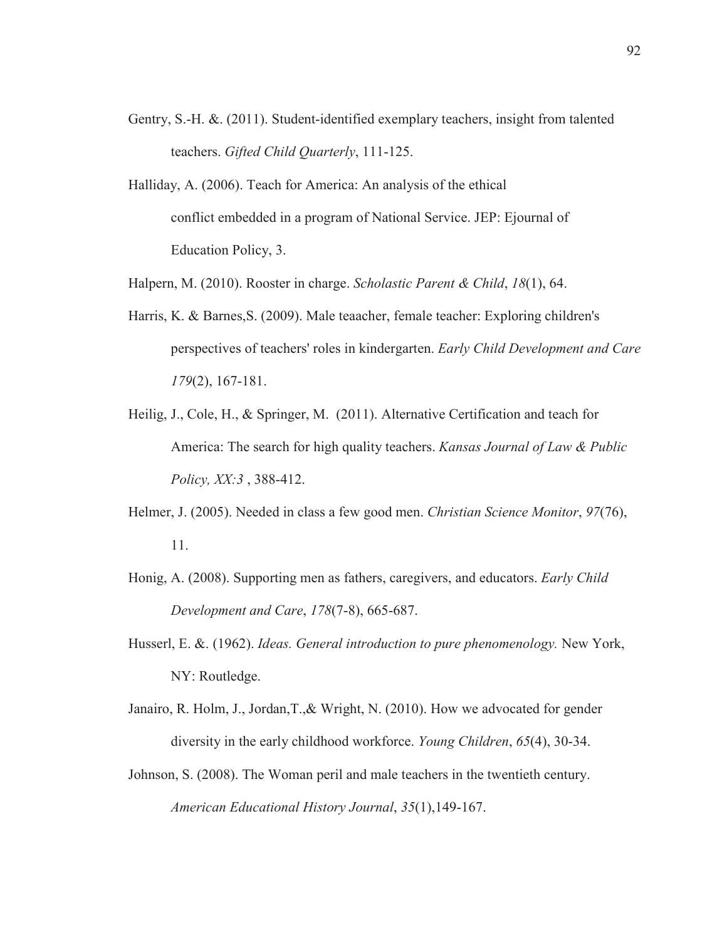- Gentry, S.-H. &. (2011). Student-identified exemplary teachers, insight from talented teachers. *Gifted Child Quarterly*, 111-125.
- Halliday, A. (2006). Teach for America: An analysis of the ethical conflict embedded in a program of National Service. JEP: Ejournal of Education Policy, 3.

Halpern, M. (2010). Rooster in charge. *Scholastic Parent & Child*, *18*(1), 64.

- Harris, K. & Barnes,S. (2009). Male teaacher, female teacher: Exploring children's perspectives of teachers' roles in kindergarten. *Early Child Development and Care 179*(2), 167-181.
- Heilig, J., Cole, H., & Springer, M. (2011). Alternative Certification and teach for America: The search for high quality teachers. *Kansas Journal of Law & Public Policy, XX:3* , 388-412.
- Helmer, J. (2005). Needed in class a few good men. *Christian Science Monitor*, *97*(76), 11.
- Honig, A. (2008). Supporting men as fathers, caregivers, and educators. *Early Child Development and Care*, *178*(7-8), 665-687.
- Husserl, E. &. (1962). *Ideas. General introduction to pure phenomenology.* New York, NY: Routledge.
- Janairo, R. Holm, J., Jordan,T.,& Wright, N. (2010). How we advocated for gender diversity in the early childhood workforce. *Young Children*, *65*(4), 30-34.
- Johnson, S. (2008). The Woman peril and male teachers in the twentieth century. *American Educational History Journal*, *35*(1),149-167.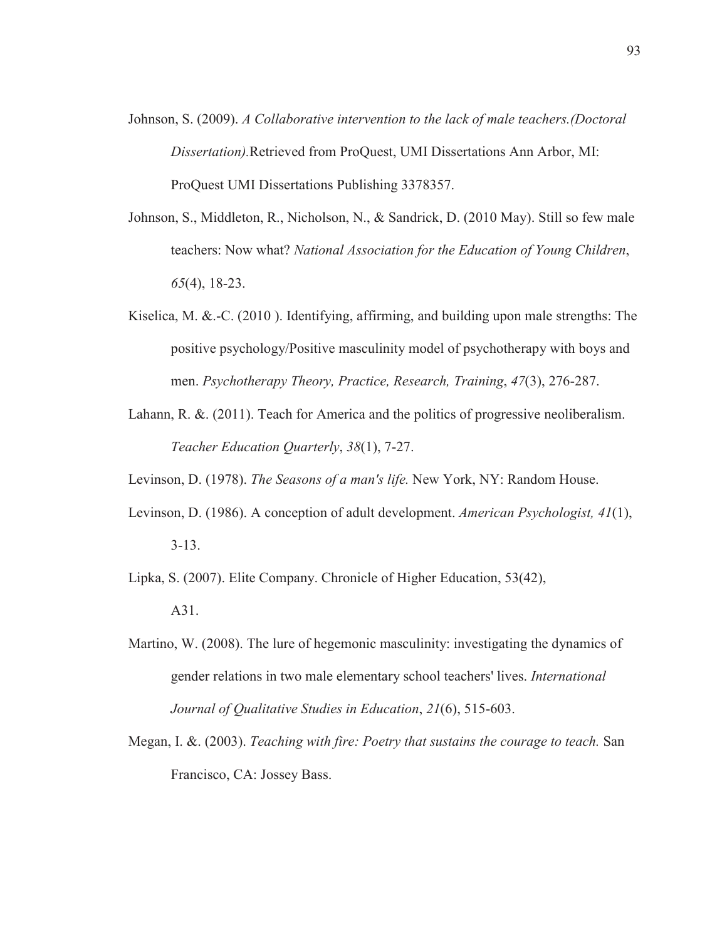- Johnson, S. (2009). *A Collaborative intervention to the lack of male teachers.(Doctoral Dissertation).*Retrieved from ProQuest, UMI Dissertations Ann Arbor, MI: ProQuest UMI Dissertations Publishing 3378357.
- Johnson, S., Middleton, R., Nicholson, N., & Sandrick, D. (2010 May). Still so few male teachers: Now what? *National Association for the Education of Young Children*, *65*(4), 18-23.
- Kiselica, M. &.-C. (2010). Identifying, affirming, and building upon male strengths: The positive psychology/Positive masculinity model of psychotherapy with boys and men. *Psychotherapy Theory, Practice, Research, Training*, *47*(3), 276-287.
- Lahann, R. &. (2011). Teach for America and the politics of progressive neoliberalism. *Teacher Education Quarterly*, *38*(1), 7-27.

Levinson, D. (1978). *The Seasons of a man's life.* New York, NY: Random House.

Levinson, D. (1986). A conception of adult development. *American Psychologist, 41*(1), 3-13.

Lipka, S. (2007). Elite Company. Chronicle of Higher Education, 53(42),

A31.

- Martino, W. (2008). The lure of hegemonic masculinity: investigating the dynamics of gender relations in two male elementary school teachers' lives. *International Journal of Qualitative Studies in Education*, *21*(6), 515-603.
- Megan, I. &. (2003). *Teaching with fire: Poetry that sustains the courage to teach.* San Francisco, CA: Jossey Bass.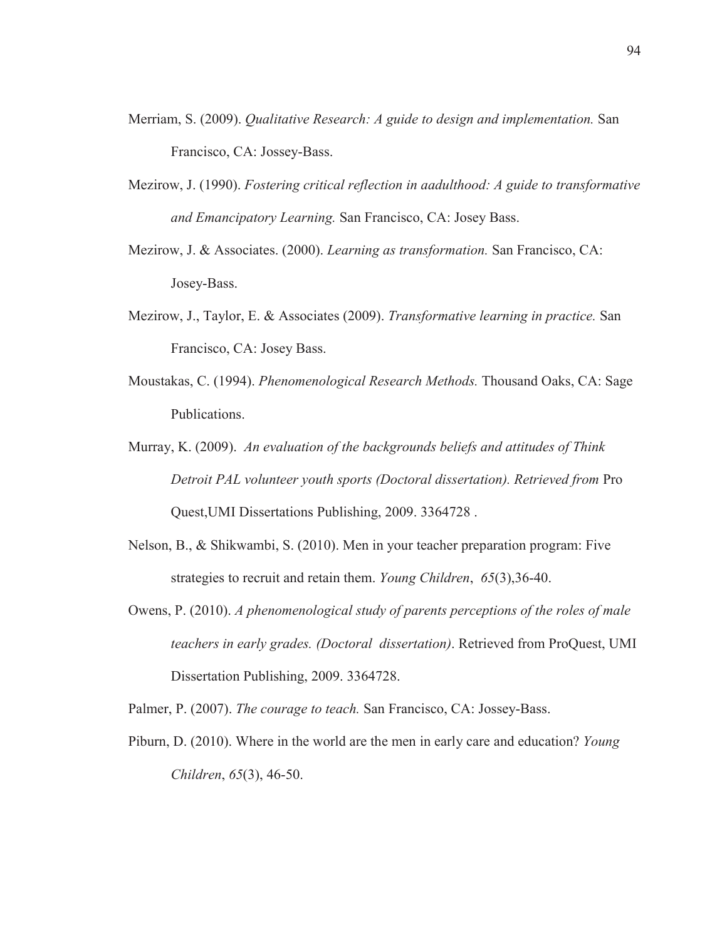- Merriam, S. (2009). *Qualitative Research: A guide to design and implementation.* San Francisco, CA: Jossey-Bass.
- Mezirow, J. (1990). *Fostering critical reflection in aadulthood: A guide to transformative and Emancipatory Learning.* San Francisco, CA: Josey Bass.
- Mezirow, J. & Associates. (2000). *Learning as transformation.* San Francisco, CA: Josey-Bass.
- Mezirow, J., Taylor, E. & Associates (2009). *Transformative learning in practice.* San Francisco, CA: Josey Bass.
- Moustakas, C. (1994). *Phenomenological Research Methods.* Thousand Oaks, CA: Sage Publications.
- Murray, K. (2009). *An evaluation of the backgrounds beliefs and attitudes of Think Detroit PAL volunteer youth sports (Doctoral dissertation). Retrieved from* Pro Quest,UMI Dissertations Publishing, 2009. 3364728 .
- Nelson, B., & Shikwambi, S. (2010). Men in your teacher preparation program: Five strategies to recruit and retain them. *Young Children*, *65*(3),36-40.
- Owens, P. (2010). *A phenomenological study of parents perceptions of the roles of male teachers in early grades. (Doctoral dissertation)*. Retrieved from ProQuest, UMI Dissertation Publishing, 2009. 3364728.
- Palmer, P. (2007). *The courage to teach.* San Francisco, CA: Jossey-Bass.
- Piburn, D. (2010). Where in the world are the men in early care and education? *Young Children*, *65*(3), 46-50.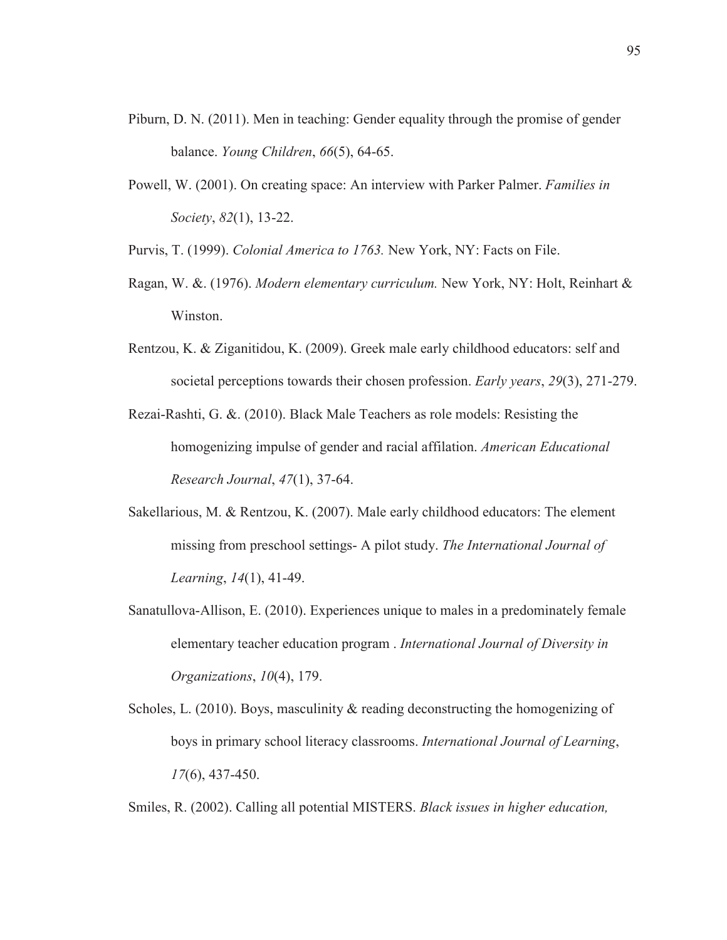- Piburn, D. N. (2011). Men in teaching: Gender equality through the promise of gender balance. *Young Children*, *66*(5), 64-65.
- Powell, W. (2001). On creating space: An interview with Parker Palmer. *Families in Society*, *82*(1), 13-22.
- Purvis, T. (1999). *Colonial America to 1763.* New York, NY: Facts on File.
- Ragan, W. &. (1976). *Modern elementary curriculum.* New York, NY: Holt, Reinhart & Winston.
- Rentzou, K. & Ziganitidou, K. (2009). Greek male early childhood educators: self and societal perceptions towards their chosen profession. *Early years*, *29*(3), 271-279.
- Rezai-Rashti, G. &. (2010). Black Male Teachers as role models: Resisting the homogenizing impulse of gender and racial affilation. *American Educational Research Journal*, *47*(1), 37-64.
- Sakellarious, M. & Rentzou, K. (2007). Male early childhood educators: The element missing from preschool settings- A pilot study. *The International Journal of Learning*, *14*(1), 41-49.
- Sanatullova-Allison, E. (2010). Experiences unique to males in a predominately female elementary teacher education program . *International Journal of Diversity in Organizations*, *10*(4), 179.
- Scholes, L. (2010). Boys, masculinity & reading deconstructing the homogenizing of boys in primary school literacy classrooms. *International Journal of Learning*, *17*(6), 437-450.

Smiles, R. (2002). Calling all potential MISTERS. *Black issues in higher education,*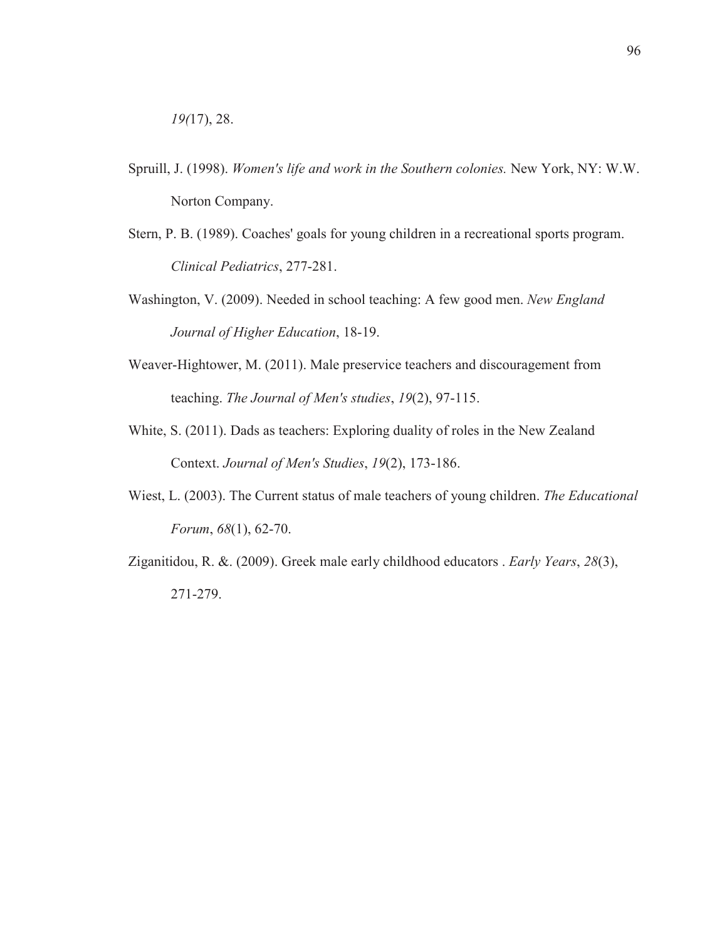- Spruill, J. (1998). *Women's life and work in the Southern colonies.* New York, NY: W.W. Norton Company.
- Stern, P. B. (1989). Coaches' goals for young children in a recreational sports program. *Clinical Pediatrics*, 277-281.
- Washington, V. (2009). Needed in school teaching: A few good men. *New England Journal of Higher Education*, 18-19.
- Weaver-Hightower, M. (2011). Male preservice teachers and discouragement from teaching. *The Journal of Men's studies*, *19*(2), 97-115.
- White, S. (2011). Dads as teachers: Exploring duality of roles in the New Zealand Context. *Journal of Men's Studies*, *19*(2), 173-186.
- Wiest, L. (2003). The Current status of male teachers of young children. *The Educational Forum*, *68*(1), 62-70.
- Ziganitidou, R. &. (2009). Greek male early childhood educators . *Early Years*, *28*(3), 271-279.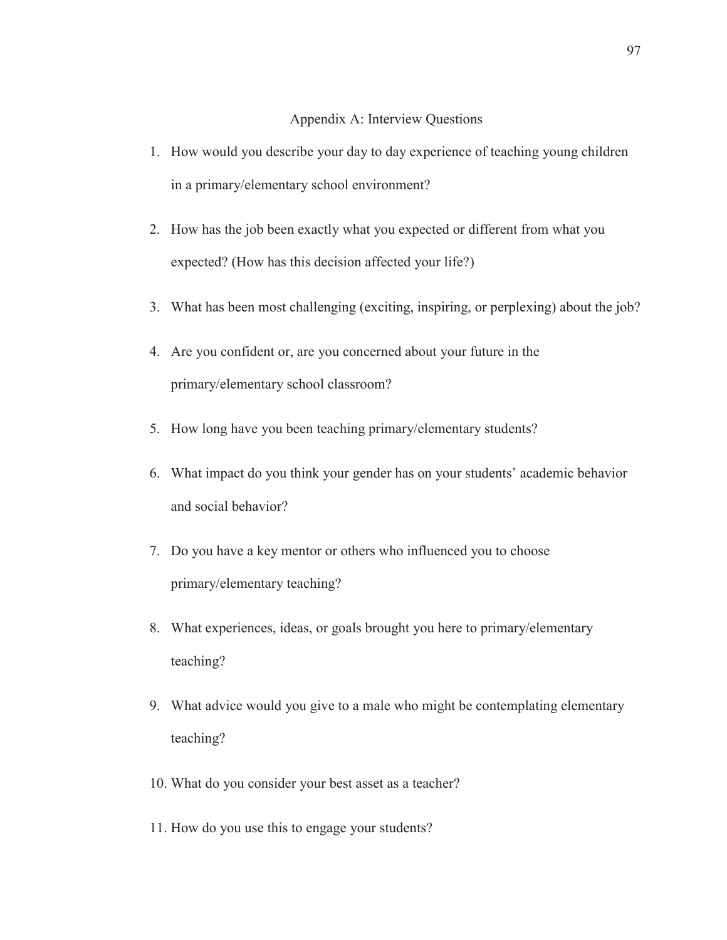#### Appendix A: Interview Questions

- 1. How would you describe your day to day experience of teaching young children in a primary/elementary school environment?
- 2. How has the job been exactly what you expected or different from what you expected? (How has this decision affected your life?)
- 3. What has been most challenging (exciting, inspiring, or perplexing) about the job?
- 4. Are you confident or, are you concerned about your future in the primary/elementary school classroom?
- 5. How long have you been teaching primary/elementary students?
- 6. What impact do you think your gender has on your students' academic behavior and social behavior?
- 7. Do you have a key mentor or others who influenced you to choose primary/elementary teaching?
- 8. What experiences, ideas, or goals brought you here to primary/elementary teaching?
- 9. What advice would you give to a male who might be contemplating elementary teaching?
- 10. What do you consider your best asset as a teacher?
- 11. How do you use this to engage your students?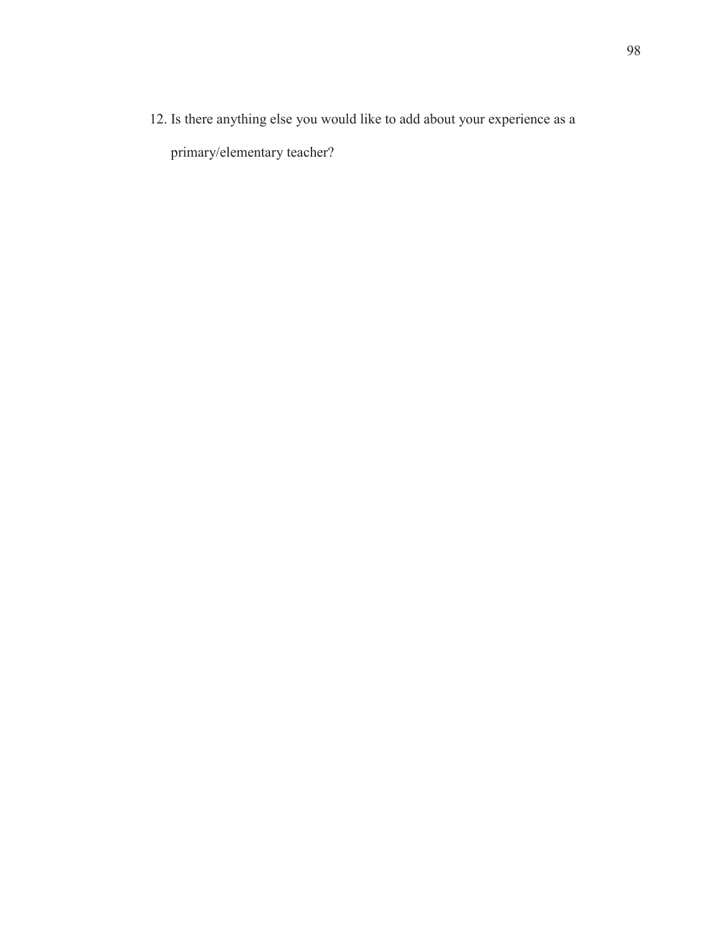12. Is there anything else you would like to add about your experience as a primary/elementary teacher?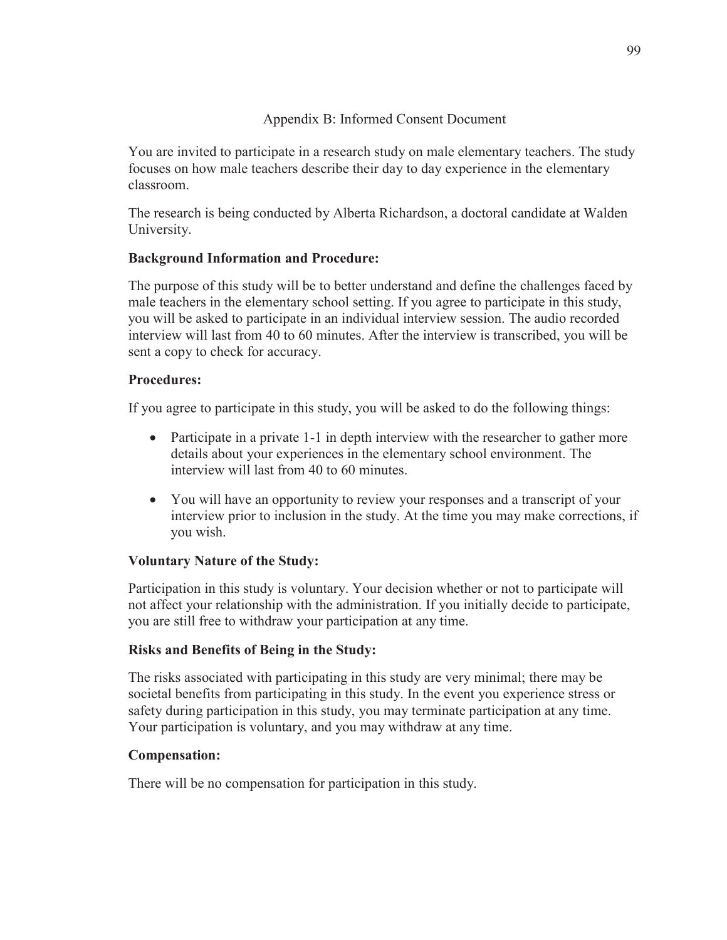# Appendix B: Informed Consent Document

You are invited to participate in a research study on male elementary teachers. The study focuses on how male teachers describe their day to day experience in the elementary classroom.

The research is being conducted by Alberta Richardson, a doctoral candidate at Walden University.

# **Background Information and Procedure:**

The purpose of this study will be to better understand and define the challenges faced by male teachers in the elementary school setting. If you agree to participate in this study, you will be asked to participate in an individual interview session. The audio recorded interview will last from 40 to 60 minutes. After the interview is transcribed, you will be sent a copy to check for accuracy.

# **Procedures:**

If you agree to participate in this study, you will be asked to do the following things:

- Participate in a private 1-1 in depth interview with the researcher to gather more details about your experiences in the elementary school environment. The interview will last from 40 to 60 minutes.
- You will have an opportunity to review your responses and a transcript of your interview prior to inclusion in the study. At the time you may make corrections, if you wish.

# **Voluntary Nature of the Study:**

Participation in this study is voluntary. Your decision whether or not to participate will not affect your relationship with the administration. If you initially decide to participate, you are still free to withdraw your participation at any time.

# **Risks and Benefits of Being in the Study:**

The risks associated with participating in this study are very minimal; there may be societal benefits from participating in this study. In the event you experience stress or safety during participation in this study, you may terminate participation at any time. Your participation is voluntary, and you may withdraw at any time.

# **Compensation:**

There will be no compensation for participation in this study.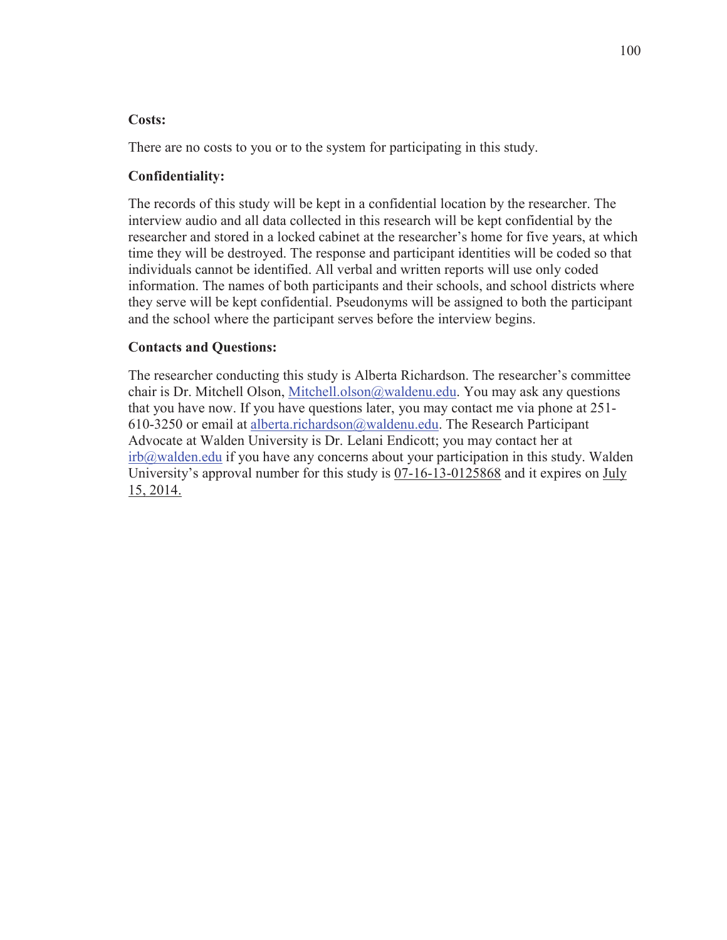#### **Costs:**

There are no costs to you or to the system for participating in this study.

## **Confidentiality:**

The records of this study will be kept in a confidential location by the researcher. The interview audio and all data collected in this research will be kept confidential by the researcher and stored in a locked cabinet at the researcher's home for five years, at which time they will be destroyed. The response and participant identities will be coded so that individuals cannot be identified. All verbal and written reports will use only coded information. The names of both participants and their schools, and school districts where they serve will be kept confidential. Pseudonyms will be assigned to both the participant and the school where the participant serves before the interview begins.

## **Contacts and Questions:**

The researcher conducting this study is Alberta Richardson. The researcher's committee chair is Dr. Mitchell Olson, Mitchell.olson@waldenu.edu. You may ask any questions that you have now. If you have questions later, you may contact me via phone at 251- 610-3250 or email at alberta.richardson@waldenu.edu. The Research Participant Advocate at Walden University is Dr. Lelani Endicott; you may contact her at irb@walden.edu if you have any concerns about your participation in this study. Walden University's approval number for this study is  $07-16-13-0125868$  and it expires on July 15, 2014.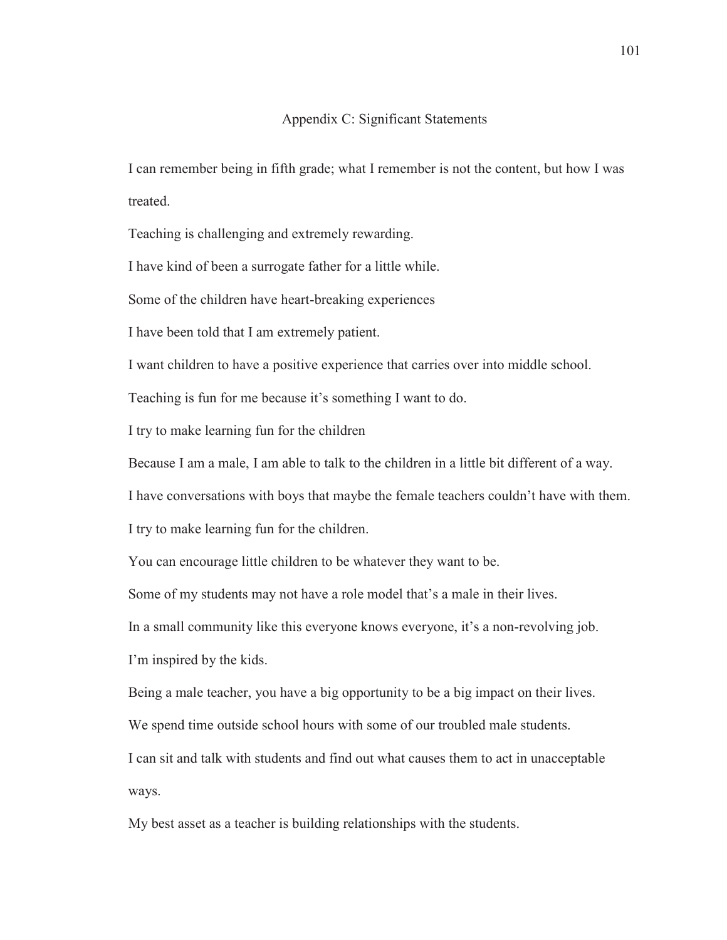#### Appendix C: Significant Statements

I can remember being in fifth grade; what I remember is not the content, but how I was treated.

Teaching is challenging and extremely rewarding.

I have kind of been a surrogate father for a little while.

Some of the children have heart-breaking experiences

I have been told that I am extremely patient.

I want children to have a positive experience that carries over into middle school.

Teaching is fun for me because it's something I want to do.

I try to make learning fun for the children

Because I am a male, I am able to talk to the children in a little bit different of a way.

I have conversations with boys that maybe the female teachers couldn't have with them.

I try to make learning fun for the children.

You can encourage little children to be whatever they want to be.

Some of my students may not have a role model that's a male in their lives.

In a small community like this everyone knows everyone, it's a non-revolving job.

I'm inspired by the kids.

Being a male teacher, you have a big opportunity to be a big impact on their lives.

We spend time outside school hours with some of our troubled male students.

I can sit and talk with students and find out what causes them to act in unacceptable ways.

My best asset as a teacher is building relationships with the students.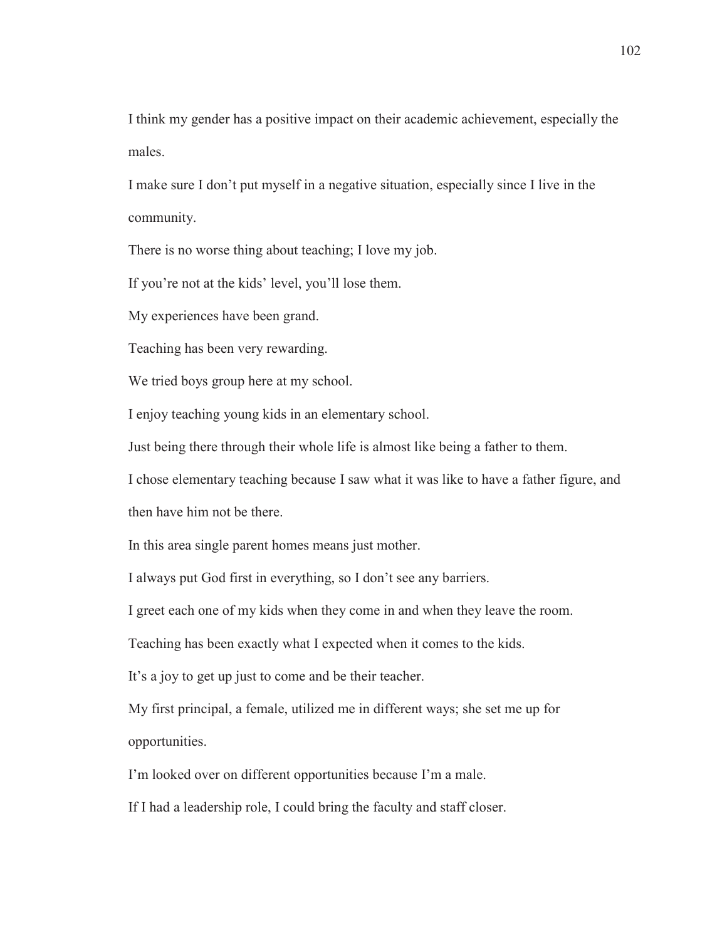I think my gender has a positive impact on their academic achievement, especially the males.

I make sure I don't put myself in a negative situation, especially since I live in the community.

There is no worse thing about teaching; I love my job.

If you're not at the kids' level, you'll lose them.

My experiences have been grand.

Teaching has been very rewarding.

We tried boys group here at my school.

I enjoy teaching young kids in an elementary school.

Just being there through their whole life is almost like being a father to them.

I chose elementary teaching because I saw what it was like to have a father figure, and

then have him not be there.

In this area single parent homes means just mother.

I always put God first in everything, so I don't see any barriers.

I greet each one of my kids when they come in and when they leave the room.

Teaching has been exactly what I expected when it comes to the kids.

It's a joy to get up just to come and be their teacher.

My first principal, a female, utilized me in different ways; she set me up for opportunities.

I'm looked over on different opportunities because I'm a male.

If I had a leadership role, I could bring the faculty and staff closer.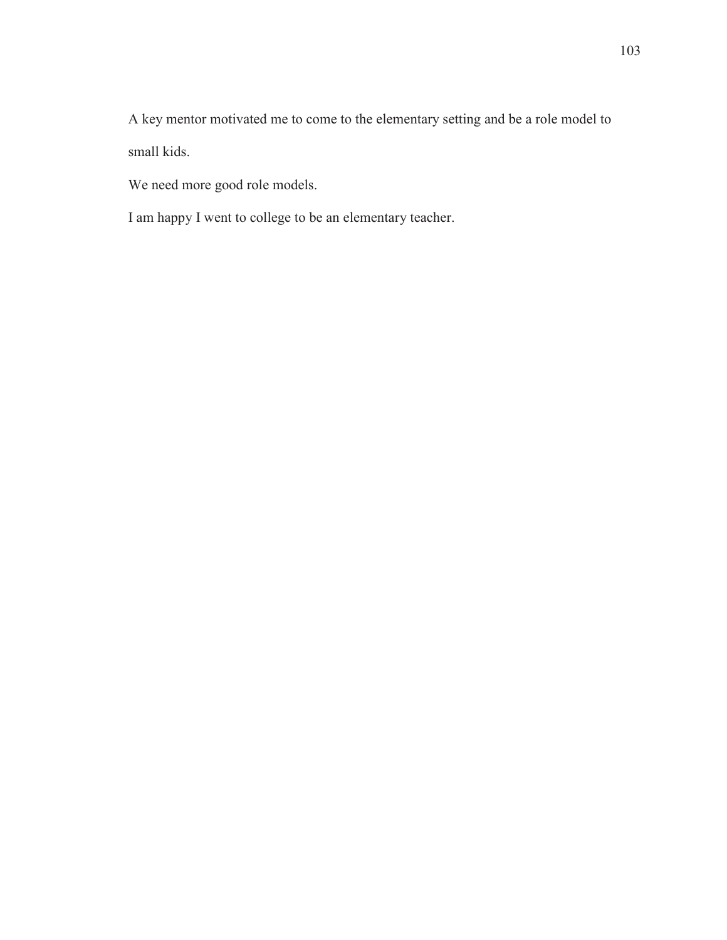A key mentor motivated me to come to the elementary setting and be a role model to small kids.

We need more good role models.

I am happy I went to college to be an elementary teacher.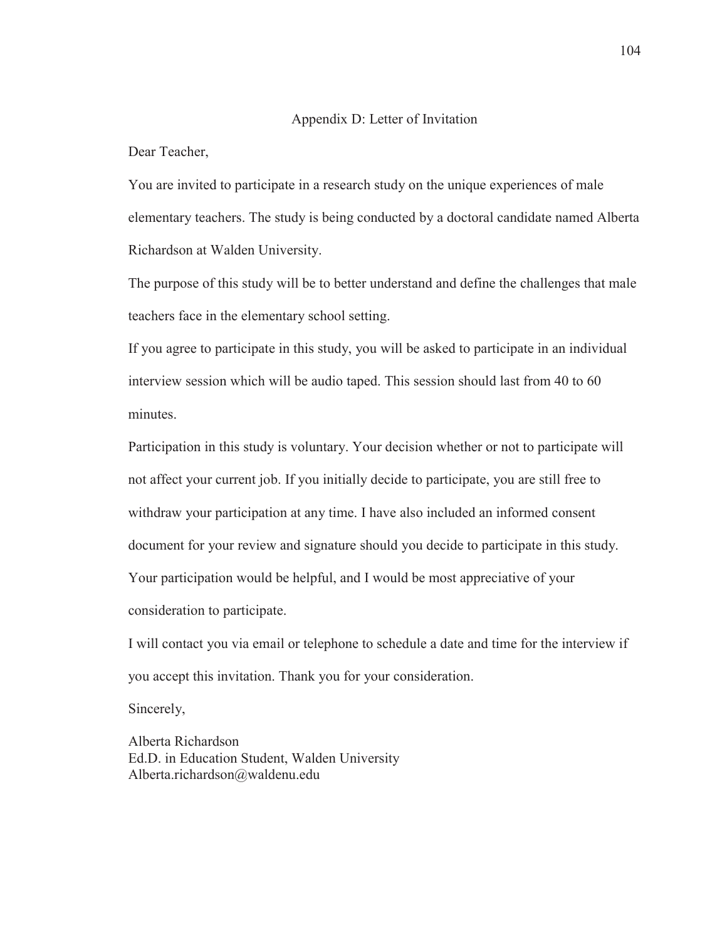#### Appendix D: Letter of Invitation

Dear Teacher,

You are invited to participate in a research study on the unique experiences of male elementary teachers. The study is being conducted by a doctoral candidate named Alberta Richardson at Walden University.

The purpose of this study will be to better understand and define the challenges that male teachers face in the elementary school setting.

If you agree to participate in this study, you will be asked to participate in an individual interview session which will be audio taped. This session should last from 40 to 60 minutes.

Participation in this study is voluntary. Your decision whether or not to participate will not affect your current job. If you initially decide to participate, you are still free to withdraw your participation at any time. I have also included an informed consent document for your review and signature should you decide to participate in this study. Your participation would be helpful, and I would be most appreciative of your consideration to participate.

I will contact you via email or telephone to schedule a date and time for the interview if you accept this invitation. Thank you for your consideration.

Sincerely,

Alberta Richardson Ed.D. in Education Student, Walden University Alberta.richardson@waldenu.edu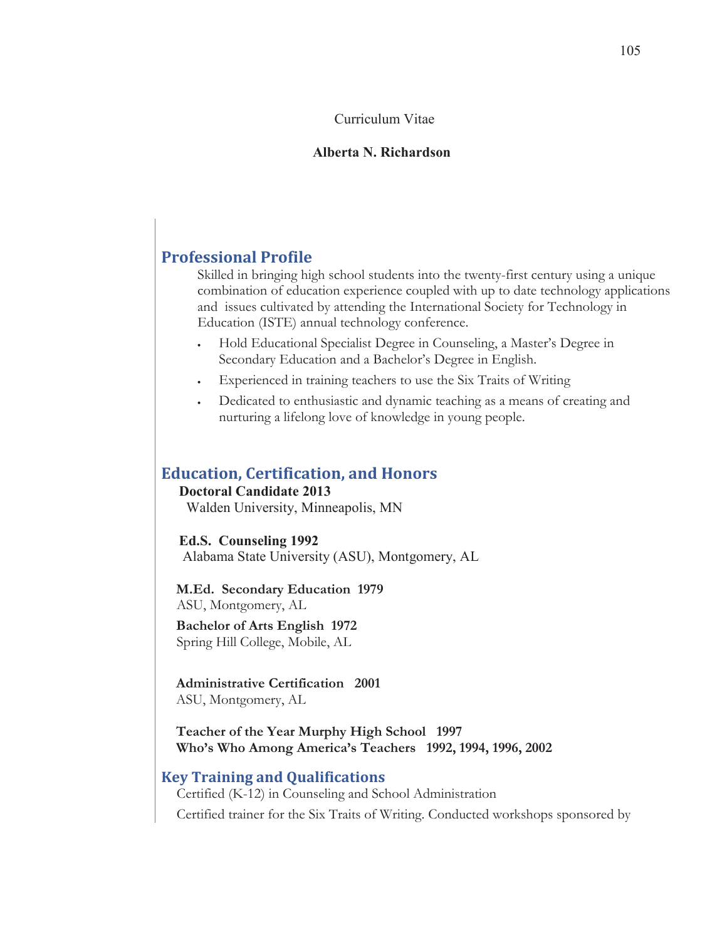#### Curriculum Vitae

#### **Alberta N. Richardson**

# **Professional Profile**

Skilled in bringing high school students into the twenty-first century using a unique combination of education experience coupled with up to date technology applications and issues cultivated by attending the International Society for Technology in Education (ISTE) annual technology conference.

- Hold Educational Specialist Degree in Counseling, a Master's Degree in Secondary Education and a Bachelor's Degree in English.
- Experienced in training teachers to use the Six Traits of Writing
- Dedicated to enthusiastic and dynamic teaching as a means of creating and nurturing a lifelong love of knowledge in young people.

## **Education, Certification, and Honors**

#### **Doctoral Candidate 2013**

Walden University, Minneapolis, MN

#### **Ed.S. Counseling 1992**

Alabama State University (ASU), Montgomery, AL

**M.Ed. Secondary Education 1979** ASU, Montgomery, AL

**Bachelor of Arts English 1972** Spring Hill College, Mobile, AL

**Administrative Certification** 2001 ASU, Montgomery, AL

**Teacher of the Year Murphy High School 1997 Who's Who Among America's Teachers** 1992, 1994, 1996, 2002

#### **Key Training and Qualifications**

Certified (K-12) in Counseling and School Administration

Certified trainer for the Six Traits of Writing. Conducted workshops sponsored by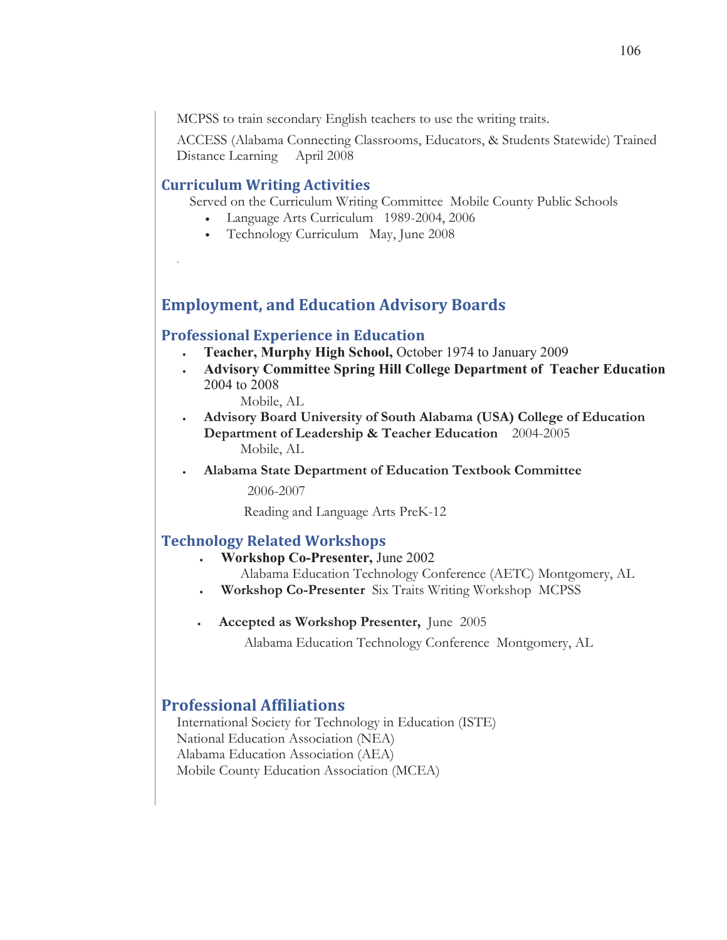MCPSS to train secondary English teachers to use the writing traits.

ACCESS (Alabama Connecting Classrooms, Educators, & Students Statewide) Trained Distance Learning April 2008

## **Curriculum Writing Activities**

Ļ,

Served on the Curriculum Writing Committee Mobile County Public Schools

- Language Arts Curriculum 1989-2004, 2006
- Technology Curriculum May, June 2008

# **Employment, and Education Advisory Boards**

#### **Professional Experience in Education**

- <sup>x</sup> **Teacher, Murphy High School,** October 1974 to January 2009
- <sup>x</sup> **Advisory Committee Spring Hill College Department of Teacher Education**  2004 to 2008

Mobile, AL

- Advisory Board University of South Alabama (USA) College of Education **Department of Leadership & Teacher Education** 2004-2005 Mobile, AL
- Alabama State Department of Education Textbook Committee

2006-2007

Reading and Language Arts PreK-12

## **Technology Related Workshops**

- <sup>x</sup> **Workshop Co-Presenter,** June 2002
	- Alabama Education Technology Conference (AETC) Montgomery, AL
- **:** Workshop Co-Presenter Six Traits Writing Workshop MCPSS
- **Accepted as Workshop Presenter, June 2005**

Alabama Education Technology Conference Montgomery, AL

## **Professional Affiliations**

International Society for Technology in Education (ISTE) National Education Association (NEA) Alabama Education Association (AEA) Mobile County Education Association (MCEA)